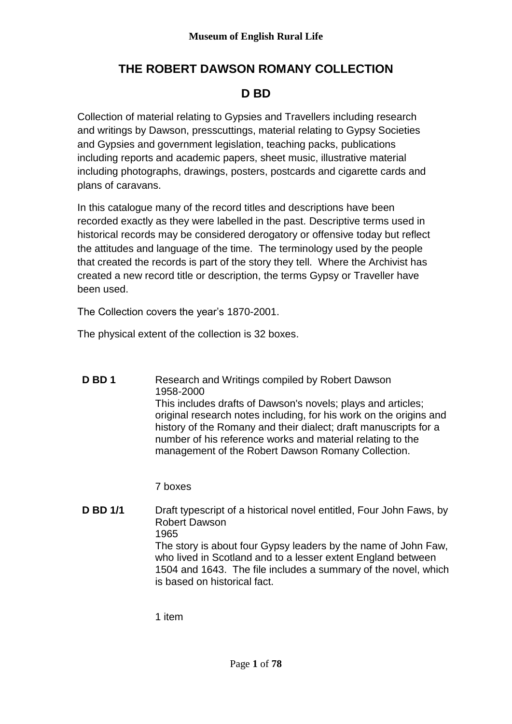# **THE ROBERT DAWSON ROMANY COLLECTION**

## **D BD**

Collection of material relating to Gypsies and Travellers including research and writings by Dawson, presscuttings, material relating to Gypsy Societies and Gypsies and government legislation, teaching packs, publications including reports and academic papers, sheet music, illustrative material including photographs, drawings, posters, postcards and cigarette cards and plans of caravans.

In this catalogue many of the record titles and descriptions have been recorded exactly as they were labelled in the past. Descriptive terms used in historical records may be considered derogatory or offensive today but reflect the attitudes and language of the time. The terminology used by the people that created the records is part of the story they tell. Where the Archivist has created a new record title or description, the terms Gypsy or Traveller have been used.

The Collection covers the year's 1870-2001.

The physical extent of the collection is 32 boxes.

**D BD 1** Research and Writings compiled by Robert Dawson 1958-2000 This includes drafts of Dawson's novels; plays and articles; original research notes including, for his work on the origins and history of the Romany and their dialect; draft manuscripts for a number of his reference works and material relating to the management of the Robert Dawson Romany Collection.

7 boxes

**D BD 1/1** Draft typescript of a historical novel entitled, Four John Faws, by Robert Dawson 1965 The story is about four Gypsy leaders by the name of John Faw, who lived in Scotland and to a lesser extent England between 1504 and 1643. The file includes a summary of the novel, which is based on historical fact.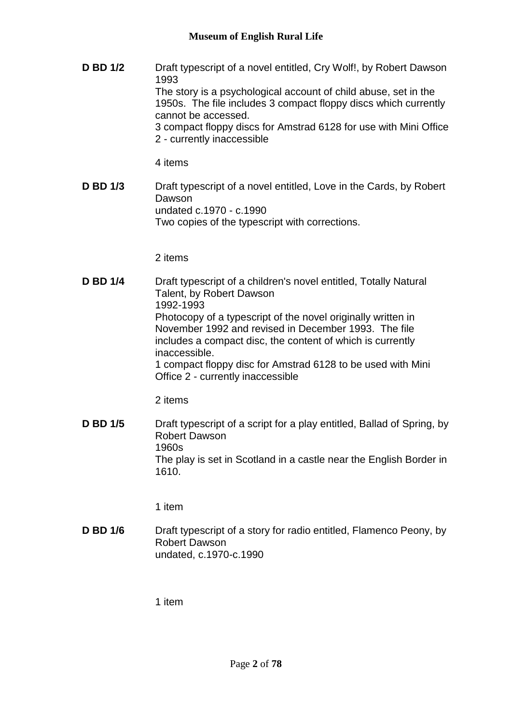**D BD 1/2** Draft typescript of a novel entitled, Cry Wolf!, by Robert Dawson 1993 The story is a psychological account of child abuse, set in the 1950s. The file includes 3 compact floppy discs which currently cannot be accessed. 3 compact floppy discs for Amstrad 6128 for use with Mini Office 2 - currently inaccessible

4 items

**D BD 1/3** Draft typescript of a novel entitled, Love in the Cards, by Robert Dawson undated c.1970 - c.1990 Two copies of the typescript with corrections.

2 items

**D BD 1/4** Draft typescript of a children's novel entitled, Totally Natural Talent, by Robert Dawson 1992-1993 Photocopy of a typescript of the novel originally written in November 1992 and revised in December 1993. The file includes a compact disc, the content of which is currently inaccessible. 1 compact floppy disc for Amstrad 6128 to be used with Mini Office 2 - currently inaccessible

2 items

**D BD 1/5** Draft typescript of a script for a play entitled, Ballad of Spring, by Robert Dawson 1960s The play is set in Scotland in a castle near the English Border in 1610.

1 item

**D BD 1/6** Draft typescript of a story for radio entitled, Flamenco Peony, by Robert Dawson undated, c.1970-c.1990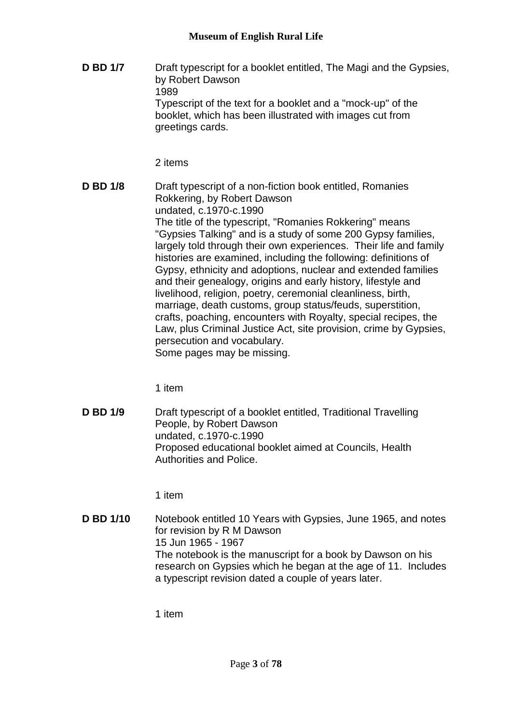**D BD 1/7** Draft typescript for a booklet entitled, The Magi and the Gypsies, by Robert Dawson 1989 Typescript of the text for a booklet and a "mock-up" of the booklet, which has been illustrated with images cut from greetings cards.

2 items

**D BD 1/8** Draft typescript of a non-fiction book entitled, Romanies Rokkering, by Robert Dawson undated, c.1970-c.1990 The title of the typescript, "Romanies Rokkering" means "Gypsies Talking" and is a study of some 200 Gypsy families, largely told through their own experiences. Their life and family histories are examined, including the following: definitions of Gypsy, ethnicity and adoptions, nuclear and extended families and their genealogy, origins and early history, lifestyle and livelihood, religion, poetry, ceremonial cleanliness, birth, marriage, death customs, group status/feuds, superstition, crafts, poaching, encounters with Royalty, special recipes, the Law, plus Criminal Justice Act, site provision, crime by Gypsies, persecution and vocabulary. Some pages may be missing.

1 item

**D BD 1/9** Draft typescript of a booklet entitled, Traditional Travelling People, by Robert Dawson undated, c.1970-c.1990 Proposed educational booklet aimed at Councils, Health Authorities and Police.

1 item

**D BD 1/10** Notebook entitled 10 Years with Gypsies, June 1965, and notes for revision by R M Dawson 15 Jun 1965 - 1967 The notebook is the manuscript for a book by Dawson on his research on Gypsies which he began at the age of 11. Includes a typescript revision dated a couple of years later.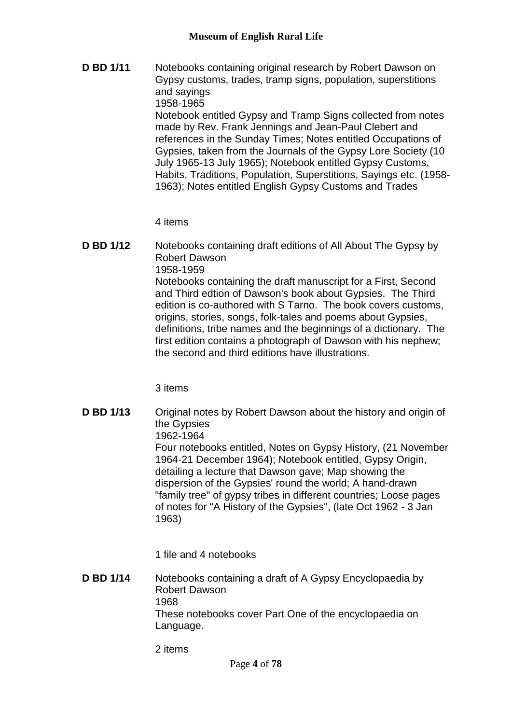**D BD 1/11** Notebooks containing original research by Robert Dawson on Gypsy customs, trades, tramp signs, population, superstitions and sayings 1958-1965 Notebook entitled Gypsy and Tramp Signs collected from notes made by Rev. Frank Jennings and Jean-Paul Clebert and references in the Sunday Times; Notes entitled Occupations of Gypsies, taken from the Journals of the Gypsy Lore Society (10 July 1965-13 July 1965); Notebook entitled Gypsy Customs, Habits, Traditions, Population, Superstitions, Sayings etc. (1958- 1963); Notes entitled English Gypsy Customs and Trades

4 items

**D BD 1/12** Notebooks containing draft editions of All About The Gypsy by Robert Dawson 1958-1959 Notebooks containing the draft manuscript for a First, Second and Third edtion of Dawson's book about Gypsies. The Third edition is co-authored with S Tarno. The book covers customs, origins, stories, songs, folk-tales and poems about Gypsies, definitions, tribe names and the beginnings of a dictionary. The first edition contains a photograph of Dawson with his nephew; the second and third editions have illustrations.

3 items

**D BD 1/13** Original notes by Robert Dawson about the history and origin of the Gypsies 1962-1964 Four notebooks entitled, Notes on Gypsy History, (21 November 1964-21 December 1964); Notebook entitled, Gypsy Origin, detailing a lecture that Dawson gave; Map showing the dispersion of the Gypsies' round the world; A hand-drawn "family tree" of gypsy tribes in different countries; Loose pages of notes for "A History of the Gypsies", (late Oct 1962 - 3 Jan 1963)

1 file and 4 notebooks

**D BD 1/14** Notebooks containing a draft of A Gypsy Encyclopaedia by Robert Dawson 1968 These notebooks cover Part One of the encyclopaedia on Language.

2 items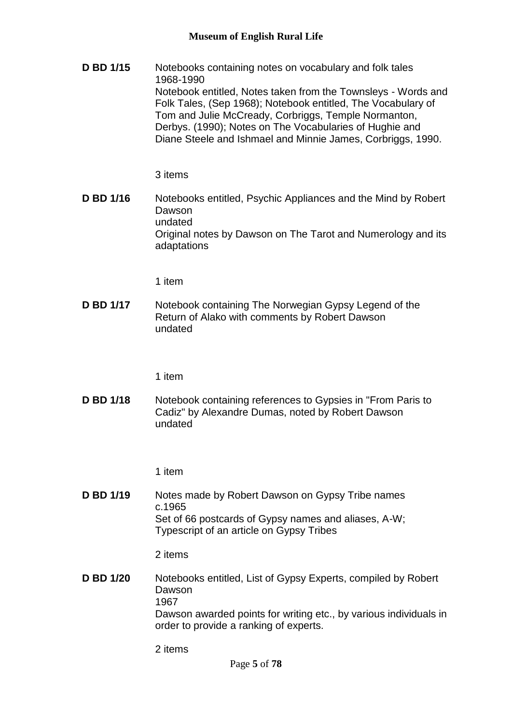**D BD 1/15** Notebooks containing notes on vocabulary and folk tales 1968-1990 Notebook entitled, Notes taken from the Townsleys - Words and Folk Tales, (Sep 1968); Notebook entitled, The Vocabulary of Tom and Julie McCready, Corbriggs, Temple Normanton, Derbys. (1990); Notes on The Vocabularies of Hughie and Diane Steele and Ishmael and Minnie James, Corbriggs, 1990.

3 items

**D BD 1/16** Notebooks entitled, Psychic Appliances and the Mind by Robert Dawson undated Original notes by Dawson on The Tarot and Numerology and its adaptations

1 item

**D BD 1/17** Notebook containing The Norwegian Gypsy Legend of the Return of Alako with comments by Robert Dawson undated

1 item

**D BD 1/18** Notebook containing references to Gypsies in "From Paris to Cadiz" by Alexandre Dumas, noted by Robert Dawson undated

1 item

**D BD 1/19** Notes made by Robert Dawson on Gypsy Tribe names c.1965 Set of 66 postcards of Gypsy names and aliases, A-W; Typescript of an article on Gypsy Tribes

2 items

**D BD 1/20** Notebooks entitled, List of Gypsy Experts, compiled by Robert Dawson 1967 Dawson awarded points for writing etc., by various individuals in order to provide a ranking of experts.

2 items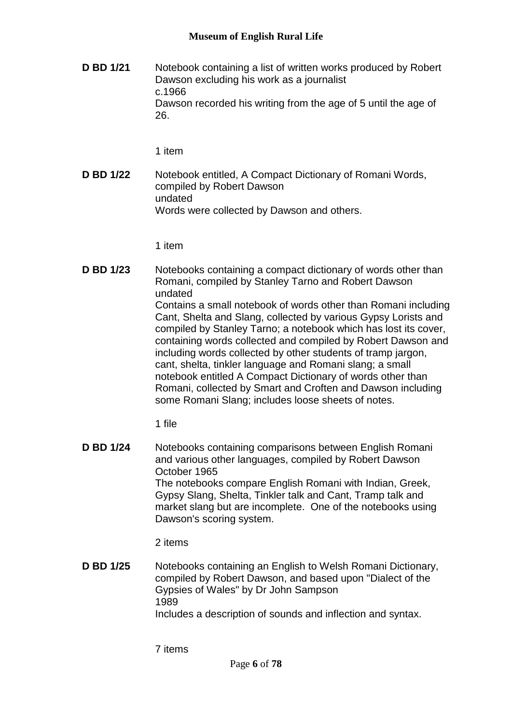**D BD 1/21** Notebook containing a list of written works produced by Robert Dawson excluding his work as a journalist c.1966 Dawson recorded his writing from the age of 5 until the age of 26.

1 item

**D BD 1/22** Notebook entitled, A Compact Dictionary of Romani Words, compiled by Robert Dawson undated Words were collected by Dawson and others.

1 item

**D BD 1/23** Notebooks containing a compact dictionary of words other than Romani, compiled by Stanley Tarno and Robert Dawson undated Contains a small notebook of words other than Romani including Cant, Shelta and Slang, collected by various Gypsy Lorists and compiled by Stanley Tarno; a notebook which has lost its cover, containing words collected and compiled by Robert Dawson and including words collected by other students of tramp jargon, cant, shelta, tinkler language and Romani slang; a small notebook entitled A Compact Dictionary of words other than Romani, collected by Smart and Croften and Dawson including some Romani Slang; includes loose sheets of notes.

1 file

**D BD 1/24** Notebooks containing comparisons between English Romani and various other languages, compiled by Robert Dawson October 1965 The notebooks compare English Romani with Indian, Greek, Gypsy Slang, Shelta, Tinkler talk and Cant, Tramp talk and market slang but are incomplete. One of the notebooks using Dawson's scoring system.

2 items

**D BD 1/25** Notebooks containing an English to Welsh Romani Dictionary, compiled by Robert Dawson, and based upon "Dialect of the Gypsies of Wales" by Dr John Sampson 1989 Includes a description of sounds and inflection and syntax.

7 items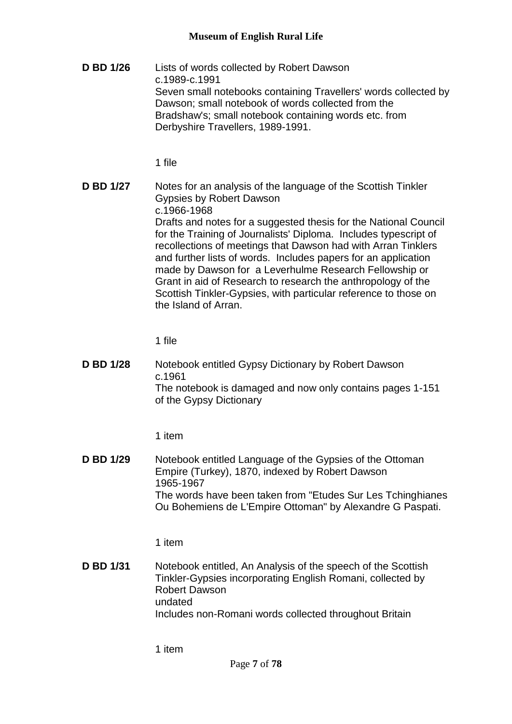**D BD 1/26** Lists of words collected by Robert Dawson c.1989-c.1991 Seven small notebooks containing Travellers' words collected by Dawson; small notebook of words collected from the Bradshaw's; small notebook containing words etc. from Derbyshire Travellers, 1989-1991.

1 file

**D BD 1/27** Notes for an analysis of the language of the Scottish Tinkler Gypsies by Robert Dawson c.1966-1968 Drafts and notes for a suggested thesis for the National Council for the Training of Journalists' Diploma. Includes typescript of recollections of meetings that Dawson had with Arran Tinklers and further lists of words. Includes papers for an application made by Dawson for a Leverhulme Research Fellowship or Grant in aid of Research to research the anthropology of the Scottish Tinkler-Gypsies, with particular reference to those on the Island of Arran.

1 file

**D BD 1/28** Notebook entitled Gypsy Dictionary by Robert Dawson c.1961 The notebook is damaged and now only contains pages 1-151 of the Gypsy Dictionary

1 item

**D BD 1/29** Notebook entitled Language of the Gypsies of the Ottoman Empire (Turkey), 1870, indexed by Robert Dawson 1965-1967 The words have been taken from "Etudes Sur Les Tchinghianes Ou Bohemiens de L'Empire Ottoman" by Alexandre G Paspati.

1 item

**D BD 1/31** Notebook entitled, An Analysis of the speech of the Scottish Tinkler-Gypsies incorporating English Romani, collected by Robert Dawson undated Includes non-Romani words collected throughout Britain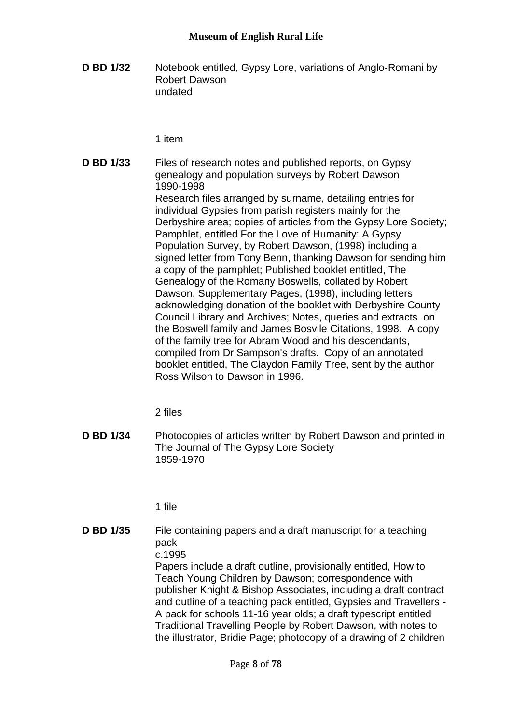**D BD 1/32** Notebook entitled, Gypsy Lore, variations of Anglo-Romani by Robert Dawson undated

1 item

**D BD 1/33** Files of research notes and published reports, on Gypsy genealogy and population surveys by Robert Dawson 1990-1998 Research files arranged by surname, detailing entries for individual Gypsies from parish registers mainly for the Derbyshire area; copies of articles from the Gypsy Lore Society; Pamphlet, entitled For the Love of Humanity: A Gypsy Population Survey, by Robert Dawson, (1998) including a signed letter from Tony Benn, thanking Dawson for sending him a copy of the pamphlet; Published booklet entitled, The Genealogy of the Romany Boswells, collated by Robert Dawson, Supplementary Pages, (1998), including letters acknowledging donation of the booklet with Derbyshire County Council Library and Archives; Notes, queries and extracts on the Boswell family and James Bosvile Citations, 1998. A copy of the family tree for Abram Wood and his descendants, compiled from Dr Sampson's drafts. Copy of an annotated booklet entitled, The Claydon Family Tree, sent by the author Ross Wilson to Dawson in 1996.

2 files

**D BD 1/34** Photocopies of articles written by Robert Dawson and printed in The Journal of The Gypsy Lore Society 1959-1970

1 file

**D BD 1/35** File containing papers and a draft manuscript for a teaching pack c.1995 Papers include a draft outline, provisionally entitled, How to Teach Young Children by Dawson; correspondence with publisher Knight & Bishop Associates, including a draft contract and outline of a teaching pack entitled, Gypsies and Travellers - A pack for schools 11-16 year olds; a draft typescript entitled Traditional Travelling People by Robert Dawson, with notes to the illustrator, Bridie Page; photocopy of a drawing of 2 children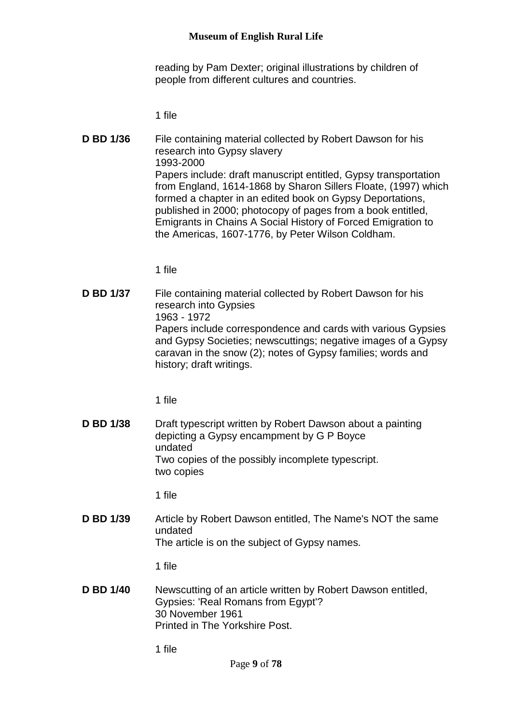reading by Pam Dexter; original illustrations by children of people from different cultures and countries.

1 file

**D BD 1/36** File containing material collected by Robert Dawson for his research into Gypsy slavery 1993-2000 Papers include: draft manuscript entitled, Gypsy transportation from England, 1614-1868 by Sharon Sillers Floate, (1997) which formed a chapter in an edited book on Gypsy Deportations, published in 2000; photocopy of pages from a book entitled, Emigrants in Chains A Social History of Forced Emigration to the Americas, 1607-1776, by Peter Wilson Coldham.

1 file

**D BD 1/37** File containing material collected by Robert Dawson for his research into Gypsies 1963 - 1972 Papers include correspondence and cards with various Gypsies and Gypsy Societies; newscuttings; negative images of a Gypsy caravan in the snow (2); notes of Gypsy families; words and history; draft writings.

1 file

**D BD 1/38** Draft typescript written by Robert Dawson about a painting depicting a Gypsy encampment by G P Boyce undated Two copies of the possibly incomplete typescript. two copies

1 file

**D BD 1/39** Article by Robert Dawson entitled, The Name's NOT the same undated The article is on the subject of Gypsy names.

1 file

**D BD 1/40** Newscutting of an article written by Robert Dawson entitled, Gypsies: 'Real Romans from Egypt'? 30 November 1961 Printed in The Yorkshire Post.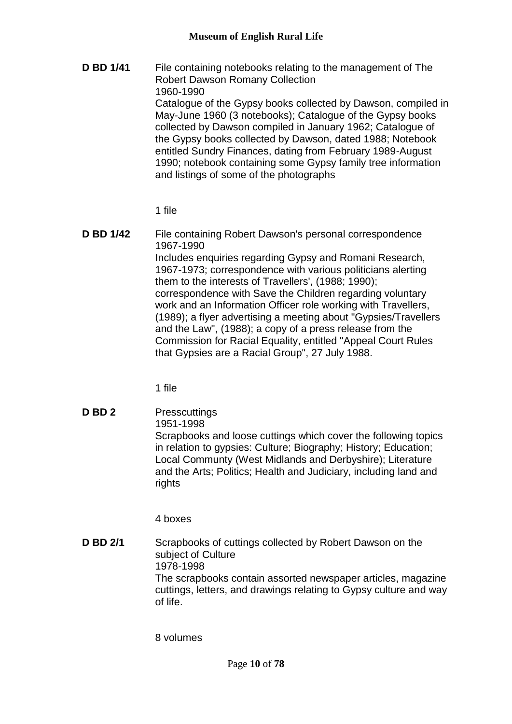**D BD 1/41** File containing notebooks relating to the management of The Robert Dawson Romany Collection 1960-1990 Catalogue of the Gypsy books collected by Dawson, compiled in May-June 1960 (3 notebooks); Catalogue of the Gypsy books collected by Dawson compiled in January 1962; Catalogue of the Gypsy books collected by Dawson, dated 1988; Notebook entitled Sundry Finances, dating from February 1989-August 1990; notebook containing some Gypsy family tree information and listings of some of the photographs

## 1 file

**D BD 1/42** File containing Robert Dawson's personal correspondence 1967-1990 Includes enquiries regarding Gypsy and Romani Research, 1967-1973; correspondence with various politicians alerting them to the interests of Travellers', (1988; 1990); correspondence with Save the Children regarding voluntary work and an Information Officer role working with Travellers, (1989); a flyer advertising a meeting about "Gypsies/Travellers and the Law", (1988); a copy of a press release from the Commission for Racial Equality, entitled "Appeal Court Rules that Gypsies are a Racial Group", 27 July 1988.

1 file

**D BD 2** Presscuttings 1951-1998 Scrapbooks and loose cuttings which cover the following topics in relation to gypsies: Culture; Biography; History; Education; Local Communty (West Midlands and Derbyshire); Literature and the Arts; Politics; Health and Judiciary, including land and rights

4 boxes

**D BD 2/1** Scrapbooks of cuttings collected by Robert Dawson on the subject of Culture 1978-1998 The scrapbooks contain assorted newspaper articles, magazine cuttings, letters, and drawings relating to Gypsy culture and way of life.

8 volumes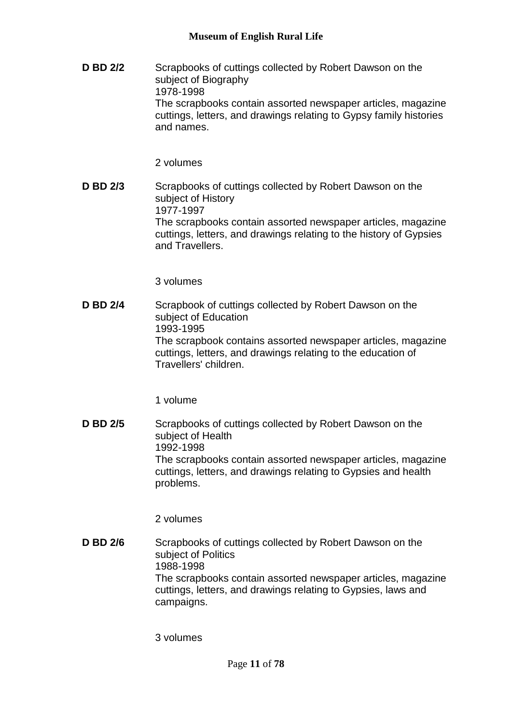**D BD 2/2** Scrapbooks of cuttings collected by Robert Dawson on the subject of Biography 1978-1998 The scrapbooks contain assorted newspaper articles, magazine cuttings, letters, and drawings relating to Gypsy family histories and names.

2 volumes

**D BD 2/3** Scrapbooks of cuttings collected by Robert Dawson on the subject of History 1977-1997 The scrapbooks contain assorted newspaper articles, magazine cuttings, letters, and drawings relating to the history of Gypsies and Travellers.

3 volumes

**D BD 2/4** Scrapbook of cuttings collected by Robert Dawson on the subject of Education 1993-1995 The scrapbook contains assorted newspaper articles, magazine cuttings, letters, and drawings relating to the education of Travellers' children.

1 volume

**D BD 2/5** Scrapbooks of cuttings collected by Robert Dawson on the subject of Health 1992-1998 The scrapbooks contain assorted newspaper articles, magazine cuttings, letters, and drawings relating to Gypsies and health problems.

2 volumes

**D BD 2/6** Scrapbooks of cuttings collected by Robert Dawson on the subject of Politics 1988-1998 The scrapbooks contain assorted newspaper articles, magazine cuttings, letters, and drawings relating to Gypsies, laws and campaigns.

3 volumes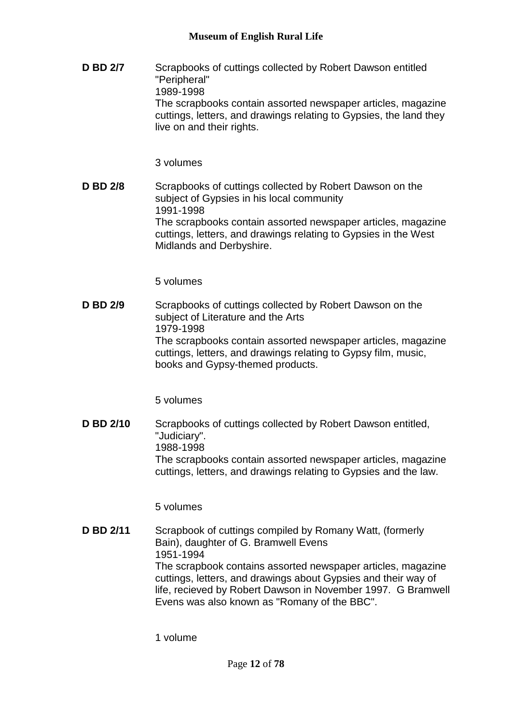**D BD 2/7** Scrapbooks of cuttings collected by Robert Dawson entitled "Peripheral" 1989-1998 The scrapbooks contain assorted newspaper articles, magazine cuttings, letters, and drawings relating to Gypsies, the land they live on and their rights.

3 volumes

**D BD 2/8** Scrapbooks of cuttings collected by Robert Dawson on the subject of Gypsies in his local community 1991-1998 The scrapbooks contain assorted newspaper articles, magazine cuttings, letters, and drawings relating to Gypsies in the West Midlands and Derbyshire.

5 volumes

**D BD 2/9** Scrapbooks of cuttings collected by Robert Dawson on the subject of Literature and the Arts 1979-1998 The scrapbooks contain assorted newspaper articles, magazine cuttings, letters, and drawings relating to Gypsy film, music, books and Gypsy-themed products.

5 volumes

**D BD 2/10** Scrapbooks of cuttings collected by Robert Dawson entitled, "Judiciary". 1988-1998 The scrapbooks contain assorted newspaper articles, magazine cuttings, letters, and drawings relating to Gypsies and the law.

5 volumes

**D BD 2/11** Scrapbook of cuttings compiled by Romany Watt, (formerly Bain), daughter of G. Bramwell Evens 1951-1994 The scrapbook contains assorted newspaper articles, magazine cuttings, letters, and drawings about Gypsies and their way of life, recieved by Robert Dawson in November 1997. G Bramwell Evens was also known as "Romany of the BBC".

1 volume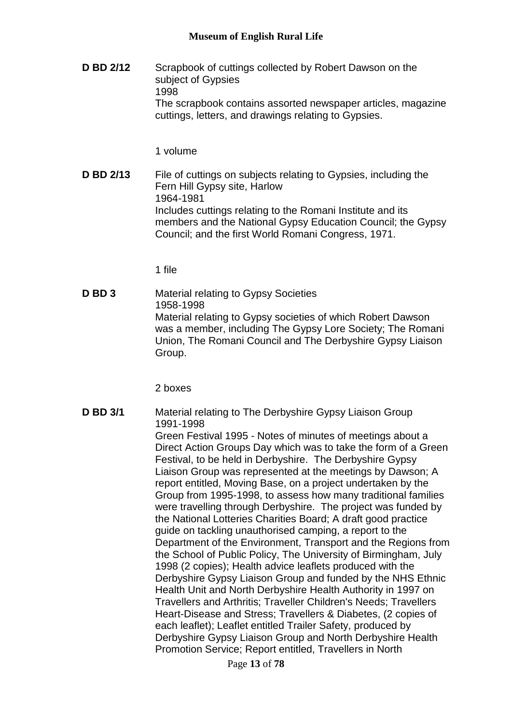**D BD 2/12** Scrapbook of cuttings collected by Robert Dawson on the subject of Gypsies 1998 The scrapbook contains assorted newspaper articles, magazine cuttings, letters, and drawings relating to Gypsies.

1 volume

**D BD 2/13** File of cuttings on subjects relating to Gypsies, including the Fern Hill Gypsy site, Harlow 1964-1981 Includes cuttings relating to the Romani Institute and its members and the National Gypsy Education Council; the Gypsy Council; and the first World Romani Congress, 1971.

1 file

**D BD 3** Material relating to Gypsy Societies 1958-1998 Material relating to Gypsy societies of which Robert Dawson was a member, including The Gypsy Lore Society; The Romani Union, The Romani Council and The Derbyshire Gypsy Liaison Group.

2 boxes

**D BD 3/1** Material relating to The Derbyshire Gypsy Liaison Group 1991-1998 Green Festival 1995 - Notes of minutes of meetings about a Direct Action Groups Day which was to take the form of a Green Festival, to be held in Derbyshire. The Derbyshire Gypsy Liaison Group was represented at the meetings by Dawson; A report entitled, Moving Base, on a project undertaken by the Group from 1995-1998, to assess how many traditional families were travelling through Derbyshire. The project was funded by the National Lotteries Charities Board; A draft good practice guide on tackling unauthorised camping, a report to the Department of the Environment, Transport and the Regions from the School of Public Policy, The University of Birmingham, July 1998 (2 copies); Health advice leaflets produced with the Derbyshire Gypsy Liaison Group and funded by the NHS Ethnic Health Unit and North Derbyshire Health Authority in 1997 on Travellers and Arthritis; Traveller Children's Needs; Travellers Heart-Disease and Stress; Travellers & Diabetes, (2 copies of each leaflet); Leaflet entitled Trailer Safety, produced by Derbyshire Gypsy Liaison Group and North Derbyshire Health Promotion Service; Report entitled, Travellers in North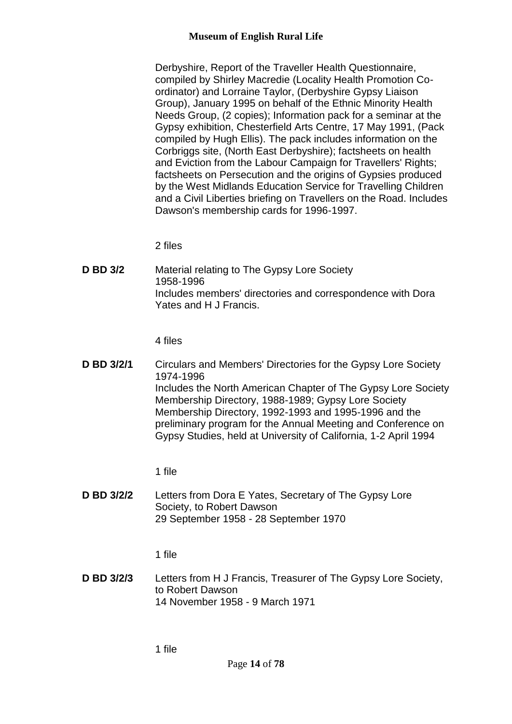Derbyshire, Report of the Traveller Health Questionnaire, compiled by Shirley Macredie (Locality Health Promotion Coordinator) and Lorraine Taylor, (Derbyshire Gypsy Liaison Group), January 1995 on behalf of the Ethnic Minority Health Needs Group, (2 copies); Information pack for a seminar at the Gypsy exhibition, Chesterfield Arts Centre, 17 May 1991, (Pack compiled by Hugh Ellis). The pack includes information on the Corbriggs site, (North East Derbyshire); factsheets on health and Eviction from the Labour Campaign for Travellers' Rights; factsheets on Persecution and the origins of Gypsies produced by the West Midlands Education Service for Travelling Children and a Civil Liberties briefing on Travellers on the Road. Includes Dawson's membership cards for 1996-1997.

2 files

**D BD 3/2** Material relating to The Gypsy Lore Society 1958-1996 Includes members' directories and correspondence with Dora Yates and H J Francis.

4 files

**D BD 3/2/1** Circulars and Members' Directories for the Gypsy Lore Society 1974-1996 Includes the North American Chapter of The Gypsy Lore Society Membership Directory, 1988-1989; Gypsy Lore Society Membership Directory, 1992-1993 and 1995-1996 and the preliminary program for the Annual Meeting and Conference on Gypsy Studies, held at University of California, 1-2 April 1994

1 file

**D BD 3/2/2** Letters from Dora E Yates, Secretary of The Gypsy Lore Society, to Robert Dawson 29 September 1958 - 28 September 1970

1 file

**D BD 3/2/3** Letters from H J Francis, Treasurer of The Gypsy Lore Society, to Robert Dawson 14 November 1958 - 9 March 1971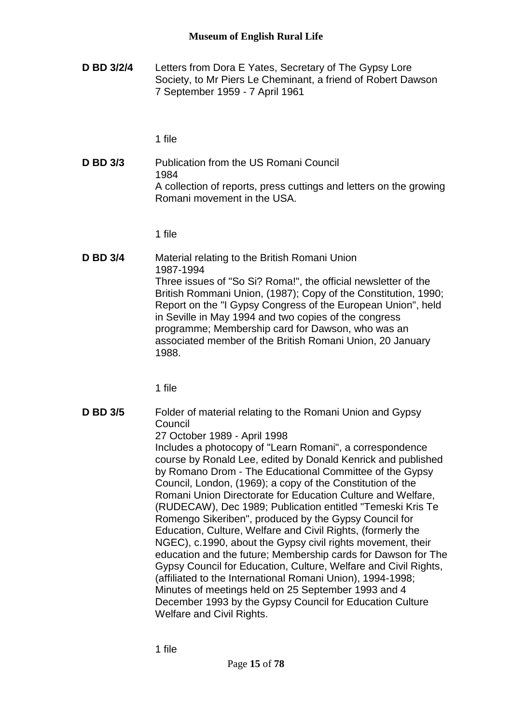**D BD 3/2/4** Letters from Dora E Yates, Secretary of The Gypsy Lore Society, to Mr Piers Le Cheminant, a friend of Robert Dawson 7 September 1959 - 7 April 1961

1 file

**D BD 3/3** Publication from the US Romani Council 1984 A collection of reports, press cuttings and letters on the growing Romani movement in the USA.

1 file

**D BD 3/4** Material relating to the British Romani Union 1987-1994 Three issues of "So Si? Roma!", the official newsletter of the British Rommani Union, (1987); Copy of the Constitution, 1990; Report on the "I Gypsy Congress of the European Union", held in Seville in May 1994 and two copies of the congress programme; Membership card for Dawson, who was an associated member of the British Romani Union, 20 January 1988.

1 file

**D BD 3/5** Folder of material relating to the Romani Union and Gypsy Council 27 October 1989 - April 1998 Includes a photocopy of "Learn Romani", a correspondence course by Ronald Lee, edited by Donald Kenrick and published by Romano Drom - The Educational Committee of the Gypsy Council, London, (1969); a copy of the Constitution of the Romani Union Directorate for Education Culture and Welfare, (RUDECAW), Dec 1989; Publication entitled "Temeski Kris Te Romengo Sikeriben", produced by the Gypsy Council for Education, Culture, Welfare and Civil Rights, (formerly the NGEC), c.1990, about the Gypsy civil rights movement, their education and the future; Membership cards for Dawson for The Gypsy Council for Education, Culture, Welfare and Civil Rights, (affiliated to the International Romani Union), 1994-1998; Minutes of meetings held on 25 September 1993 and 4 December 1993 by the Gypsy Council for Education Culture Welfare and Civil Rights.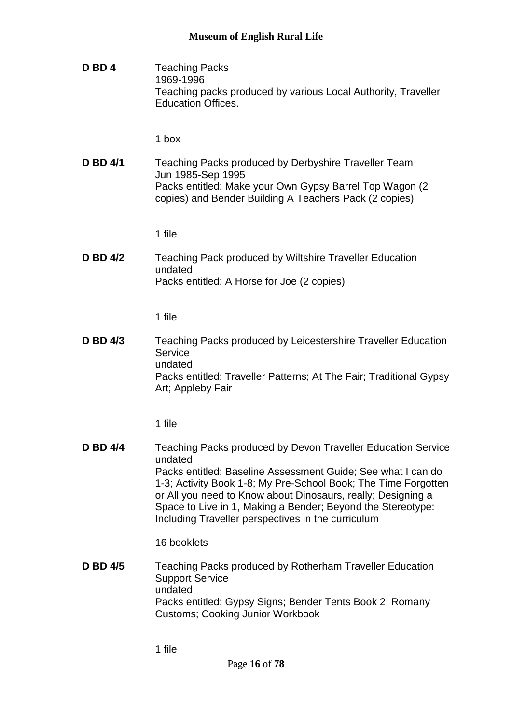**D BD 4** Teaching Packs 1969-1996 Teaching packs produced by various Local Authority, Traveller Education Offices.

1 box

**D BD 4/1** Teaching Packs produced by Derbyshire Traveller Team Jun 1985-Sep 1995 Packs entitled: Make your Own Gypsy Barrel Top Wagon (2 copies) and Bender Building A Teachers Pack (2 copies)

1 file

**D BD 4/2** Teaching Pack produced by Wiltshire Traveller Education undated Packs entitled: A Horse for Joe (2 copies)

1 file

**D BD 4/3** Teaching Packs produced by Leicestershire Traveller Education **Service** undated Packs entitled: Traveller Patterns; At The Fair; Traditional Gypsy Art; Appleby Fair

1 file

**D BD 4/4** Teaching Packs produced by Devon Traveller Education Service undated Packs entitled: Baseline Assessment Guide; See what I can do 1-3; Activity Book 1-8; My Pre-School Book; The Time Forgotten or All you need to Know about Dinosaurs, really; Designing a Space to Live in 1, Making a Bender; Beyond the Stereotype: Including Traveller perspectives in the curriculum

16 booklets

**D BD 4/5** Teaching Packs produced by Rotherham Traveller Education Support Service undated Packs entitled: Gypsy Signs; Bender Tents Book 2; Romany Customs; Cooking Junior Workbook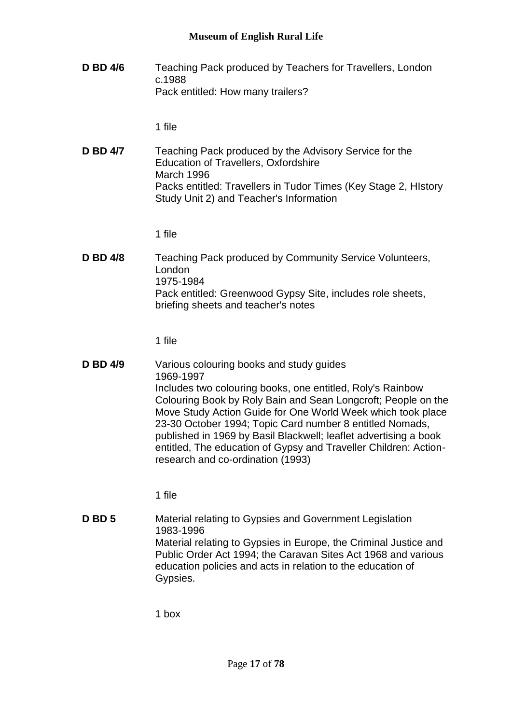**D BD 4/6** Teaching Pack produced by Teachers for Travellers, London c.1988 Pack entitled: How many trailers?

1 file

**D BD 4/7** Teaching Pack produced by the Advisory Service for the Education of Travellers, Oxfordshire March 1996 Packs entitled: Travellers in Tudor Times (Key Stage 2, HIstory Study Unit 2) and Teacher's Information

1 file

**D BD 4/8** Teaching Pack produced by Community Service Volunteers, London 1975-1984 Pack entitled: Greenwood Gypsy Site, includes role sheets, briefing sheets and teacher's notes

1 file

**D BD 4/9** Various colouring books and study guides 1969-1997 Includes two colouring books, one entitled, Roly's Rainbow Colouring Book by Roly Bain and Sean Longcroft; People on the Move Study Action Guide for One World Week which took place 23-30 October 1994; Topic Card number 8 entitled Nomads, published in 1969 by Basil Blackwell; leaflet advertising a book entitled, The education of Gypsy and Traveller Children: Actionresearch and co-ordination (1993)

1 file

**D BD 5** Material relating to Gypsies and Government Legislation 1983-1996 Material relating to Gypsies in Europe, the Criminal Justice and Public Order Act 1994; the Caravan Sites Act 1968 and various education policies and acts in relation to the education of Gypsies.

1 box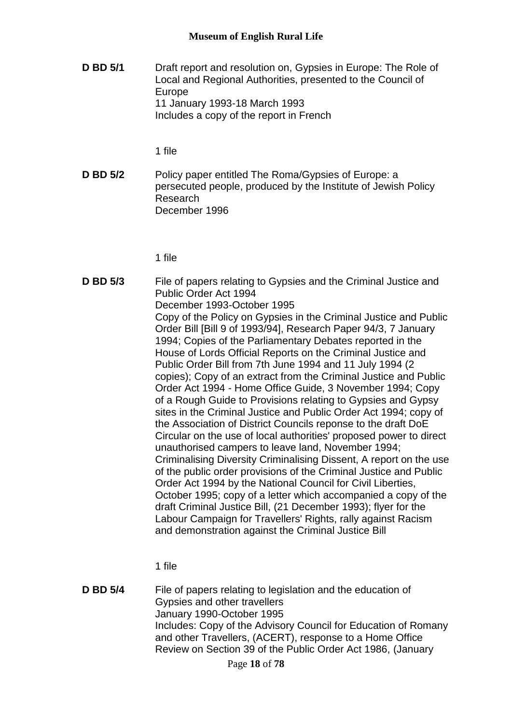**D BD 5/1** Draft report and resolution on, Gypsies in Europe: The Role of Local and Regional Authorities, presented to the Council of Europe 11 January 1993-18 March 1993 Includes a copy of the report in French

1 file

**D BD 5/2** Policy paper entitled The Roma/Gypsies of Europe: a persecuted people, produced by the Institute of Jewish Policy Research December 1996

1 file

**D BD 5/3** File of papers relating to Gypsies and the Criminal Justice and Public Order Act 1994 December 1993-October 1995 Copy of the Policy on Gypsies in the Criminal Justice and Public Order Bill [Bill 9 of 1993/94], Research Paper 94/3, 7 January 1994; Copies of the Parliamentary Debates reported in the House of Lords Official Reports on the Criminal Justice and Public Order Bill from 7th June 1994 and 11 July 1994 (2 copies); Copy of an extract from the Criminal Justice and Public Order Act 1994 - Home Office Guide, 3 November 1994; Copy of a Rough Guide to Provisions relating to Gypsies and Gypsy sites in the Criminal Justice and Public Order Act 1994; copy of the Association of District Councils reponse to the draft DoE Circular on the use of local authorities' proposed power to direct unauthorised campers to leave land, November 1994; Criminalising Diversity Criminalising Dissent, A report on the use of the public order provisions of the Criminal Justice and Public Order Act 1994 by the National Council for Civil Liberties, October 1995; copy of a letter which accompanied a copy of the draft Criminal Justice Bill, (21 December 1993); flyer for the Labour Campaign for Travellers' Rights, rally against Racism and demonstration against the Criminal Justice Bill

1 file

**D BD 5/4** File of papers relating to legislation and the education of Gypsies and other travellers January 1990-October 1995 Includes: Copy of the Advisory Council for Education of Romany and other Travellers, (ACERT), response to a Home Office Review on Section 39 of the Public Order Act 1986, (January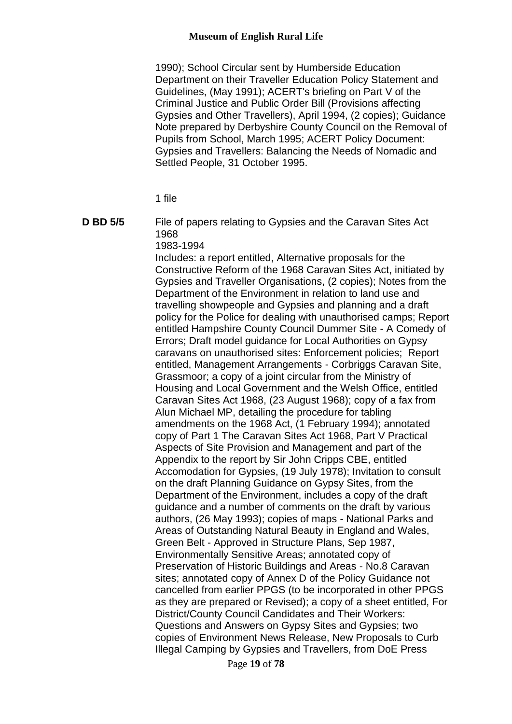1990); School Circular sent by Humberside Education Department on their Traveller Education Policy Statement and Guidelines, (May 1991); ACERT's briefing on Part V of the Criminal Justice and Public Order Bill (Provisions affecting Gypsies and Other Travellers), April 1994, (2 copies); Guidance Note prepared by Derbyshire County Council on the Removal of Pupils from School, March 1995; ACERT Policy Document: Gypsies and Travellers: Balancing the Needs of Nomadic and Settled People, 31 October 1995.

1 file

**D BD 5/5** File of papers relating to Gypsies and the Caravan Sites Act 1968

1983-1994

Includes: a report entitled, Alternative proposals for the Constructive Reform of the 1968 Caravan Sites Act, initiated by Gypsies and Traveller Organisations, (2 copies); Notes from the Department of the Environment in relation to land use and travelling showpeople and Gypsies and planning and a draft policy for the Police for dealing with unauthorised camps; Report entitled Hampshire County Council Dummer Site - A Comedy of Errors; Draft model guidance for Local Authorities on Gypsy caravans on unauthorised sites: Enforcement policies; Report entitled, Management Arrangements - Corbriggs Caravan Site, Grassmoor; a copy of a joint circular from the Ministry of Housing and Local Government and the Welsh Office, entitled Caravan Sites Act 1968, (23 August 1968); copy of a fax from Alun Michael MP, detailing the procedure for tabling amendments on the 1968 Act, (1 February 1994); annotated copy of Part 1 The Caravan Sites Act 1968, Part V Practical Aspects of Site Provision and Management and part of the Appendix to the report by Sir John Cripps CBE, entitled Accomodation for Gypsies, (19 July 1978); Invitation to consult on the draft Planning Guidance on Gypsy Sites, from the Department of the Environment, includes a copy of the draft guidance and a number of comments on the draft by various authors, (26 May 1993); copies of maps - National Parks and Areas of Outstanding Natural Beauty in England and Wales, Green Belt - Approved in Structure Plans, Sep 1987, Environmentally Sensitive Areas; annotated copy of Preservation of Historic Buildings and Areas - No.8 Caravan sites; annotated copy of Annex D of the Policy Guidance not cancelled from earlier PPGS (to be incorporated in other PPGS as they are prepared or Revised); a copy of a sheet entitled, For District/County Council Candidates and Their Workers: Questions and Answers on Gypsy Sites and Gypsies; two copies of Environment News Release, New Proposals to Curb Illegal Camping by Gypsies and Travellers, from DoE Press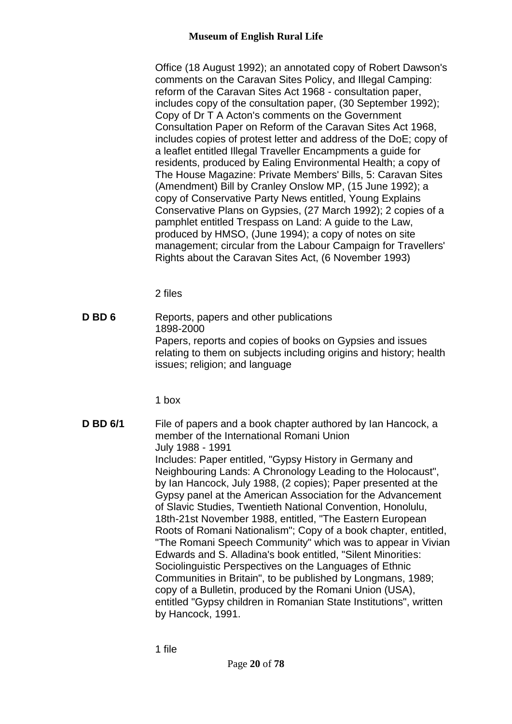Office (18 August 1992); an annotated copy of Robert Dawson's comments on the Caravan Sites Policy, and Illegal Camping: reform of the Caravan Sites Act 1968 - consultation paper, includes copy of the consultation paper, (30 September 1992); Copy of Dr T A Acton's comments on the Government Consultation Paper on Reform of the Caravan Sites Act 1968, includes copies of protest letter and address of the DoE; copy of a leaflet entitled Illegal Traveller Encampments a guide for residents, produced by Ealing Environmental Health; a copy of The House Magazine: Private Members' Bills, 5: Caravan Sites (Amendment) Bill by Cranley Onslow MP, (15 June 1992); a copy of Conservative Party News entitled, Young Explains Conservative Plans on Gypsies, (27 March 1992); 2 copies of a pamphlet entitled Trespass on Land: A guide to the Law, produced by HMSO, (June 1994); a copy of notes on site management; circular from the Labour Campaign for Travellers' Rights about the Caravan Sites Act, (6 November 1993)

2 files

**D BD 6** Reports, papers and other publications 1898-2000 Papers, reports and copies of books on Gypsies and issues relating to them on subjects including origins and history; health issues; religion; and language

1 box

**D BD 6/1** File of papers and a book chapter authored by Ian Hancock, a member of the International Romani Union July 1988 - 1991 Includes: Paper entitled, "Gypsy History in Germany and Neighbouring Lands: A Chronology Leading to the Holocaust", by Ian Hancock, July 1988, (2 copies); Paper presented at the Gypsy panel at the American Association for the Advancement of Slavic Studies, Twentieth National Convention, Honolulu, 18th-21st November 1988, entitled, "The Eastern European Roots of Romani Nationalism"; Copy of a book chapter, entitled, "The Romani Speech Community" which was to appear in Vivian Edwards and S. Alladina's book entitled, "Silent Minorities: Sociolinguistic Perspectives on the Languages of Ethnic Communities in Britain", to be published by Longmans, 1989; copy of a Bulletin, produced by the Romani Union (USA), entitled "Gypsy children in Romanian State Institutions", written by Hancock, 1991.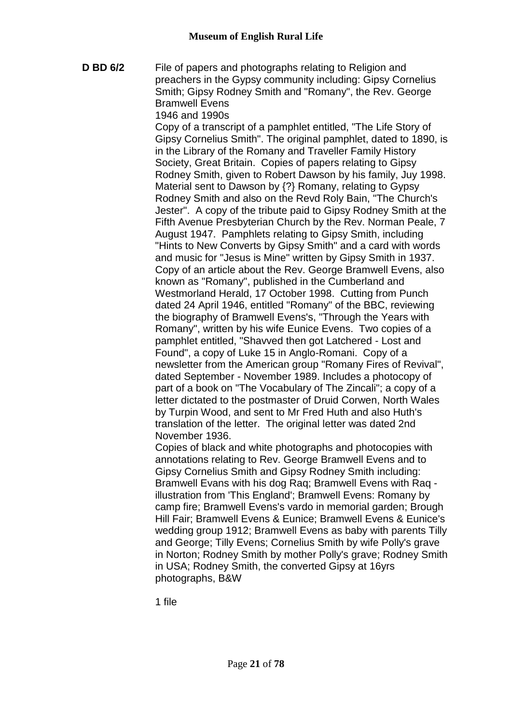**D BD 6/2** File of papers and photographs relating to Religion and preachers in the Gypsy community including: Gipsy Cornelius Smith; Gipsy Rodney Smith and "Romany", the Rev. George Bramwell Evens

1946 and 1990s

Copy of a transcript of a pamphlet entitled, "The Life Story of Gipsy Cornelius Smith". The original pamphlet, dated to 1890, is in the Library of the Romany and Traveller Family History Society, Great Britain. Copies of papers relating to Gipsy Rodney Smith, given to Robert Dawson by his family, Juy 1998. Material sent to Dawson by {?} Romany, relating to Gypsy Rodney Smith and also on the Revd Roly Bain, "The Church's Jester". A copy of the tribute paid to Gipsy Rodney Smith at the Fifth Avenue Presbyterian Church by the Rev. Norman Peale, 7 August 1947. Pamphlets relating to Gipsy Smith, including "Hints to New Converts by Gipsy Smith" and a card with words and music for "Jesus is Mine" written by Gipsy Smith in 1937. Copy of an article about the Rev. George Bramwell Evens, also known as "Romany", published in the Cumberland and Westmorland Herald, 17 October 1998. Cutting from Punch dated 24 April 1946, entitled "Romany" of the BBC, reviewing the biography of Bramwell Evens's, "Through the Years with Romany", written by his wife Eunice Evens. Two copies of a pamphlet entitled, "Shavved then got Latchered - Lost and Found", a copy of Luke 15 in Anglo-Romani. Copy of a newsletter from the American group "Romany Fires of Revival", dated September - November 1989. Includes a photocopy of part of a book on "The Vocabulary of The Zincali"; a copy of a letter dictated to the postmaster of Druid Corwen, North Wales by Turpin Wood, and sent to Mr Fred Huth and also Huth's translation of the letter. The original letter was dated 2nd November 1936.

Copies of black and white photographs and photocopies with annotations relating to Rev. George Bramwell Evens and to Gipsy Cornelius Smith and Gipsy Rodney Smith including: Bramwell Evans with his dog Raq; Bramwell Evens with Raq illustration from 'This England'; Bramwell Evens: Romany by camp fire; Bramwell Evens's vardo in memorial garden; Brough Hill Fair; Bramwell Evens & Eunice; Bramwell Evens & Eunice's wedding group 1912; Bramwell Evens as baby with parents Tilly and George; Tilly Evens; Cornelius Smith by wife Polly's grave in Norton; Rodney Smith by mother Polly's grave; Rodney Smith in USA; Rodney Smith, the converted Gipsy at 16yrs photographs, B&W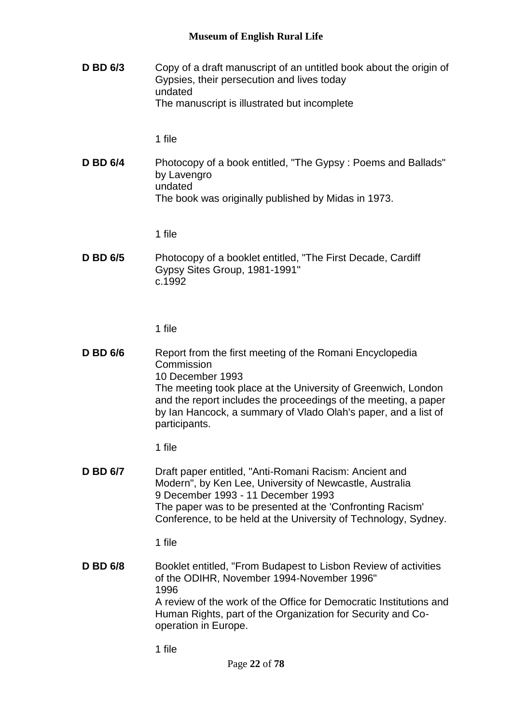**D BD 6/3** Copy of a draft manuscript of an untitled book about the origin of Gypsies, their persecution and lives today undated The manuscript is illustrated but incomplete

1 file

**D BD 6/4** Photocopy of a book entitled, "The Gypsy : Poems and Ballads" by Lavengro undated The book was originally published by Midas in 1973.

1 file

**D BD 6/5** Photocopy of a booklet entitled, "The First Decade, Cardiff Gypsy Sites Group, 1981-1991" c.1992

1 file

**D BD 6/6** Report from the first meeting of the Romani Encyclopedia **Commission** 10 December 1993 The meeting took place at the University of Greenwich, London and the report includes the proceedings of the meeting, a paper by Ian Hancock, a summary of Vlado Olah's paper, and a list of participants.

1 file

**D BD 6/7** Draft paper entitled, "Anti-Romani Racism: Ancient and Modern", by Ken Lee, University of Newcastle, Australia 9 December 1993 - 11 December 1993 The paper was to be presented at the 'Confronting Racism' Conference, to be held at the University of Technology, Sydney.

1 file

**D BD 6/8** Booklet entitled, "From Budapest to Lisbon Review of activities of the ODIHR, November 1994-November 1996" 1996 A review of the work of the Office for Democratic Institutions and Human Rights, part of the Organization for Security and Cooperation in Europe.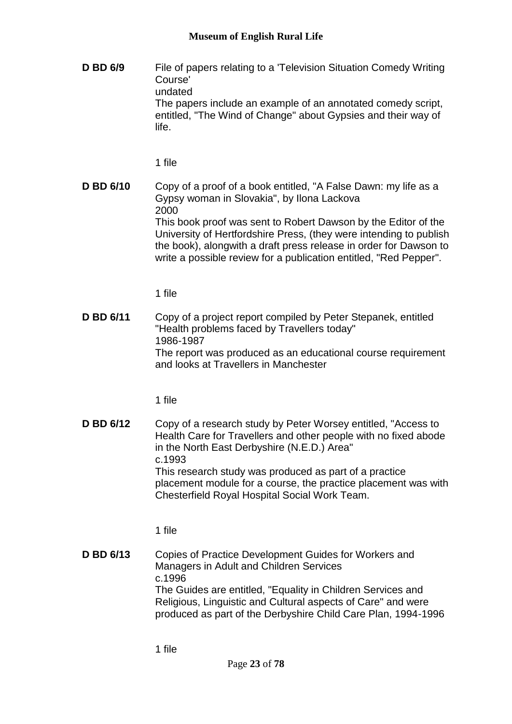**D BD 6/9** File of papers relating to a 'Television Situation Comedy Writing Course' undated The papers include an example of an annotated comedy script, entitled, "The Wind of Change" about Gypsies and their way of life.

1 file

**D BD 6/10** Copy of a proof of a book entitled, "A False Dawn: my life as a Gypsy woman in Slovakia", by Ilona Lackova 2000 This book proof was sent to Robert Dawson by the Editor of the University of Hertfordshire Press, (they were intending to publish the book), alongwith a draft press release in order for Dawson to write a possible review for a publication entitled, "Red Pepper".

1 file

**D BD 6/11** Copy of a project report compiled by Peter Stepanek, entitled "Health problems faced by Travellers today" 1986-1987 The report was produced as an educational course requirement and looks at Travellers in Manchester

1 file

**D BD 6/12** Copy of a research study by Peter Worsey entitled, "Access to Health Care for Travellers and other people with no fixed abode in the North East Derbyshire (N.E.D.) Area" c.1993 This research study was produced as part of a practice placement module for a course, the practice placement was with Chesterfield Royal Hospital Social Work Team.

1 file

**D BD 6/13** Copies of Practice Development Guides for Workers and Managers in Adult and Children Services c.1996 The Guides are entitled, "Equality in Children Services and Religious, Linguistic and Cultural aspects of Care" and were produced as part of the Derbyshire Child Care Plan, 1994-1996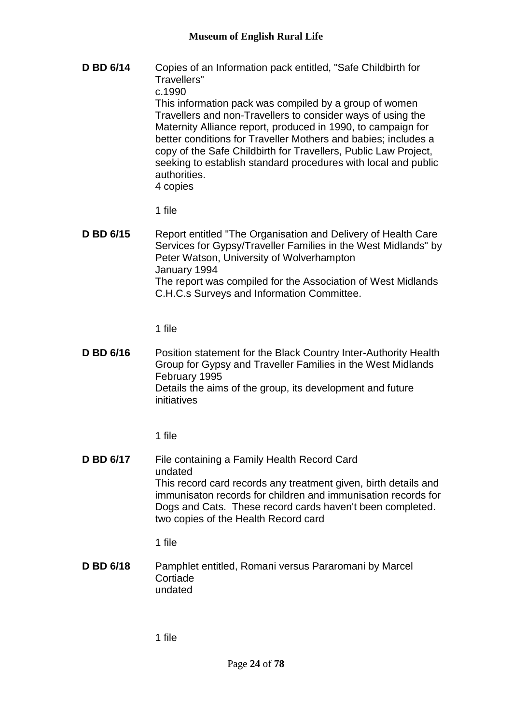**D BD 6/14** Copies of an Information pack entitled, "Safe Childbirth for Travellers" c.1990 This information pack was compiled by a group of women Travellers and non-Travellers to consider ways of using the Maternity Alliance report, produced in 1990, to campaign for better conditions for Traveller Mothers and babies; includes a copy of the Safe Childbirth for Travellers, Public Law Project, seeking to establish standard procedures with local and public authorities. 4 copies

1 file

**D BD 6/15** Report entitled "The Organisation and Delivery of Health Care Services for Gypsy/Traveller Families in the West Midlands" by Peter Watson, University of Wolverhampton January 1994 The report was compiled for the Association of West Midlands C.H.C.s Surveys and Information Committee.

1 file

**D BD 6/16** Position statement for the Black Country Inter-Authority Health Group for Gypsy and Traveller Families in the West Midlands February 1995 Details the aims of the group, its development and future initiatives

1 file

**D BD 6/17** File containing a Family Health Record Card undated This record card records any treatment given, birth details and immunisaton records for children and immunisation records for Dogs and Cats. These record cards haven't been completed. two copies of the Health Record card

1 file

**D BD 6/18** Pamphlet entitled, Romani versus Pararomani by Marcel **Cortiade** undated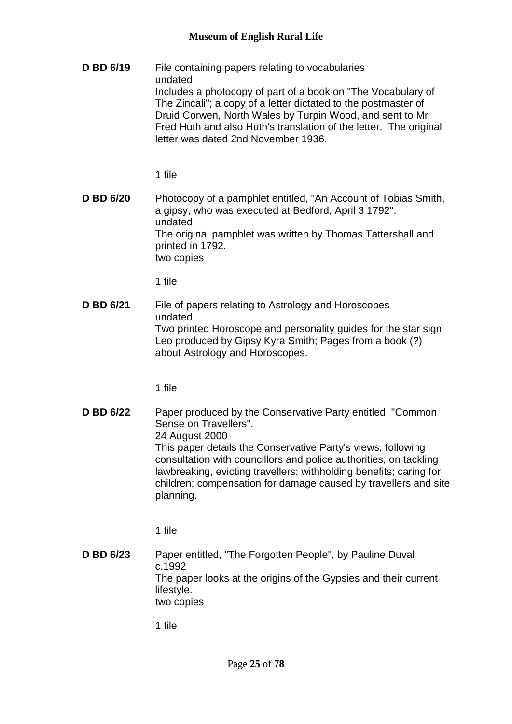**D BD 6/19** File containing papers relating to vocabularies undated Includes a photocopy of part of a book on "The Vocabulary of The Zincali"; a copy of a letter dictated to the postmaster of Druid Corwen, North Wales by Turpin Wood, and sent to Mr Fred Huth and also Huth's translation of the letter. The original letter was dated 2nd November 1936.

1 file

**D BD 6/20** Photocopy of a pamphlet entitled, "An Account of Tobias Smith, a gipsy, who was executed at Bedford, April 3 1792". undated The original pamphlet was written by Thomas Tattershall and printed in 1792. two copies

1 file

**D BD 6/21** File of papers relating to Astrology and Horoscopes undated Two printed Horoscope and personality guides for the star sign Leo produced by Gipsy Kyra Smith; Pages from a book (?) about Astrology and Horoscopes.

1 file

**D BD 6/22** Paper produced by the Conservative Party entitled, "Common" Sense on Travellers". 24 August 2000 This paper details the Conservative Party's views, following consultation with councillors and police authorities, on tackling lawbreaking, evicting travellers; withholding benefits; caring for children; compensation for damage caused by travellers and site planning.

1 file

**D BD 6/23** Paper entitled, "The Forgotten People", by Pauline Duval c.1992 The paper looks at the origins of the Gypsies and their current lifestyle. two copies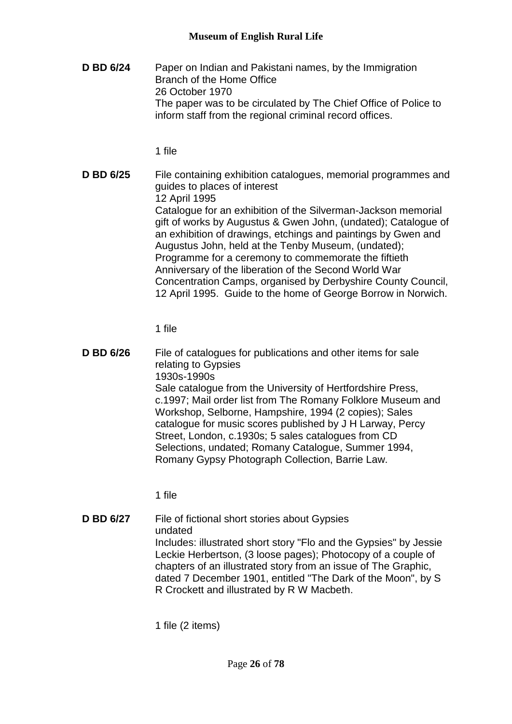**D BD 6/24** Paper on Indian and Pakistani names, by the Immigration Branch of the Home Office 26 October 1970 The paper was to be circulated by The Chief Office of Police to inform staff from the regional criminal record offices.

1 file

**D BD 6/25** File containing exhibition catalogues, memorial programmes and guides to places of interest 12 April 1995 Catalogue for an exhibition of the Silverman-Jackson memorial gift of works by Augustus & Gwen John, (undated); Catalogue of an exhibition of drawings, etchings and paintings by Gwen and Augustus John, held at the Tenby Museum, (undated); Programme for a ceremony to commemorate the fiftieth Anniversary of the liberation of the Second World War Concentration Camps, organised by Derbyshire County Council, 12 April 1995. Guide to the home of George Borrow in Norwich.

1 file

**D BD 6/26** File of catalogues for publications and other items for sale relating to Gypsies 1930s-1990s Sale catalogue from the University of Hertfordshire Press, c.1997; Mail order list from The Romany Folklore Museum and Workshop, Selborne, Hampshire, 1994 (2 copies); Sales catalogue for music scores published by J H Larway, Percy Street, London, c.1930s; 5 sales catalogues from CD Selections, undated; Romany Catalogue, Summer 1994, Romany Gypsy Photograph Collection, Barrie Law.

1 file

**D BD 6/27** File of fictional short stories about Gypsies undated Includes: illustrated short story "Flo and the Gypsies" by Jessie Leckie Herbertson, (3 loose pages); Photocopy of a couple of chapters of an illustrated story from an issue of The Graphic, dated 7 December 1901, entitled "The Dark of the Moon", by S R Crockett and illustrated by R W Macbeth.

1 file (2 items)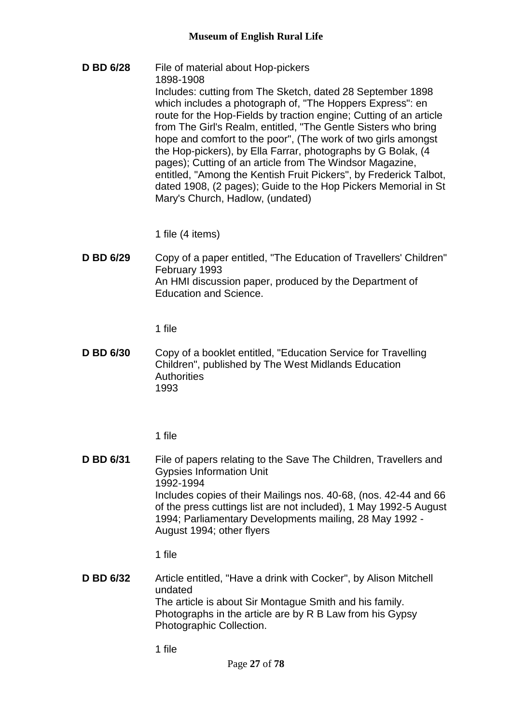**D BD 6/28** File of material about Hop-pickers 1898-1908 Includes: cutting from The Sketch, dated 28 September 1898 which includes a photograph of, "The Hoppers Express": en route for the Hop-Fields by traction engine; Cutting of an article from The Girl's Realm, entitled, "The Gentle Sisters who bring hope and comfort to the poor", (The work of two girls amongst the Hop-pickers), by Ella Farrar, photographs by G Bolak, (4 pages); Cutting of an article from The Windsor Magazine, entitled, "Among the Kentish Fruit Pickers", by Frederick Talbot, dated 1908, (2 pages); Guide to the Hop Pickers Memorial in St Mary's Church, Hadlow, (undated)

1 file (4 items)

**D BD 6/29** Copy of a paper entitled, "The Education of Travellers' Children" February 1993 An HMI discussion paper, produced by the Department of Education and Science.

1 file

**D BD 6/30** Copy of a booklet entitled, "Education Service for Travelling Children", published by The West Midlands Education **Authorities** 1993

1 file

**D BD 6/31** File of papers relating to the Save The Children, Travellers and Gypsies Information Unit 1992-1994 Includes copies of their Mailings nos. 40-68, (nos. 42-44 and 66 of the press cuttings list are not included), 1 May 1992-5 August 1994; Parliamentary Developments mailing, 28 May 1992 - August 1994; other flyers

1 file

**D BD 6/32** Article entitled, "Have a drink with Cocker", by Alison Mitchell undated The article is about Sir Montague Smith and his family. Photographs in the article are by R B Law from his Gypsy Photographic Collection.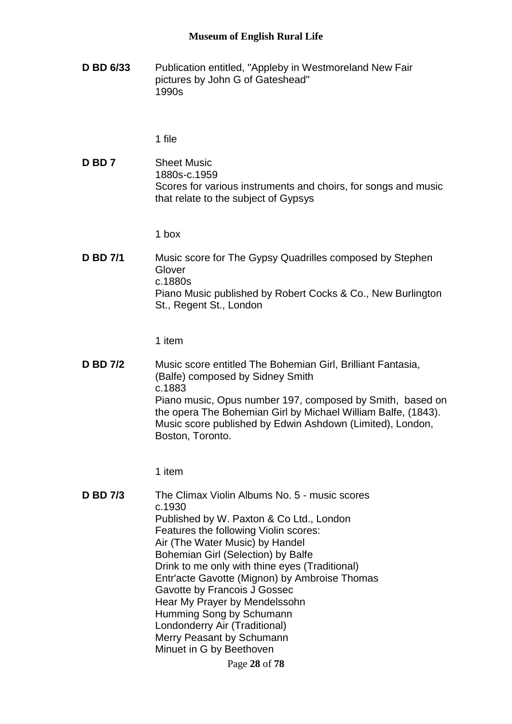**D BD 6/33** Publication entitled, "Appleby in Westmoreland New Fair pictures by John G of Gateshead" 1990s

1 file

**D BD 7** Sheet Music 1880s-c.1959 Scores for various instruments and choirs, for songs and music that relate to the subject of Gypsys

1 box

**D BD 7/1** Music score for The Gypsy Quadrilles composed by Stephen Glover c.1880s Piano Music published by Robert Cocks & Co., New Burlington St., Regent St., London

1 item

**D BD 7/2** Music score entitled The Bohemian Girl, Brilliant Fantasia, (Balfe) composed by Sidney Smith c.1883 Piano music, Opus number 197, composed by Smith, based on the opera The Bohemian Girl by Michael William Balfe, (1843). Music score published by Edwin Ashdown (Limited), London, Boston, Toronto.

1 item

Page **28** of **78 D BD 7/3** The Climax Violin Albums No. 5 - music scores c.1930 Published by W. Paxton & Co Ltd., London Features the following Violin scores: Air (The Water Music) by Handel Bohemian Girl (Selection) by Balfe Drink to me only with thine eyes (Traditional) Entr'acte Gavotte (Mignon) by Ambroise Thomas Gavotte by Francois J Gossec Hear My Prayer by Mendelssohn Humming Song by Schumann Londonderry Air (Traditional) Merry Peasant by Schumann Minuet in G by Beethoven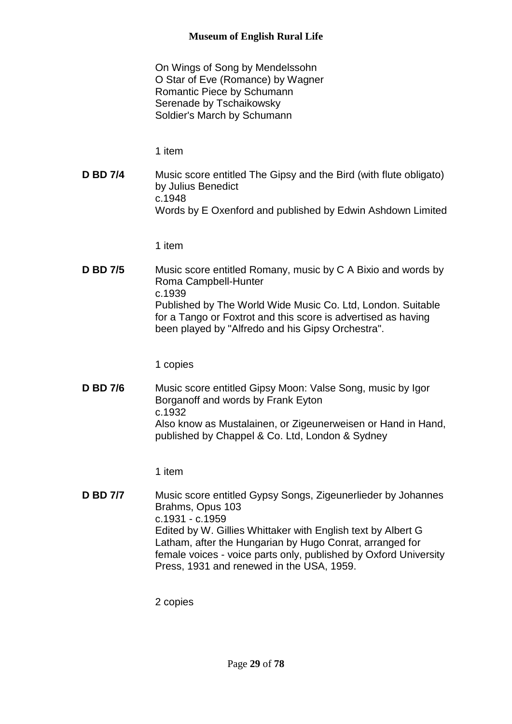On Wings of Song by Mendelssohn O Star of Eve (Romance) by Wagner Romantic Piece by Schumann Serenade by Tschaikowsky Soldier's March by Schumann

1 item

**D BD 7/4** Music score entitled The Gipsy and the Bird (with flute obligato) by Julius Benedict c.1948 Words by E Oxenford and published by Edwin Ashdown Limited

1 item

**D BD 7/5** Music score entitled Romany, music by C A Bixio and words by Roma Campbell-Hunter c.1939 Published by The World Wide Music Co. Ltd, London. Suitable for a Tango or Foxtrot and this score is advertised as having been played by "Alfredo and his Gipsy Orchestra".

1 copies

**D BD 7/6** Music score entitled Gipsy Moon: Valse Song, music by Igor Borganoff and words by Frank Eyton c.1932 Also know as Mustalainen, or Zigeunerweisen or Hand in Hand, published by Chappel & Co. Ltd, London & Sydney

1 item

**D BD 7/7** Music score entitled Gypsy Songs, Zigeunerlieder by Johannes Brahms, Opus 103 c.1931 - c.1959 Edited by W. Gillies Whittaker with English text by Albert G Latham, after the Hungarian by Hugo Conrat, arranged for female voices - voice parts only, published by Oxford University Press, 1931 and renewed in the USA, 1959.

2 copies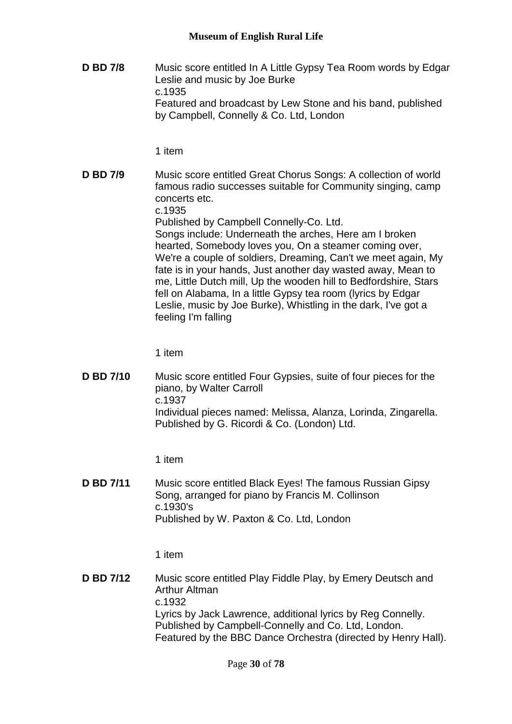**D BD 7/8** Music score entitled In A Little Gypsy Tea Room words by Edgar Leslie and music by Joe Burke c.1935 Featured and broadcast by Lew Stone and his band, published by Campbell, Connelly & Co. Ltd, London

1 item

**D BD 7/9** Music score entitled Great Chorus Songs: A collection of world famous radio successes suitable for Community singing, camp concerts etc. c.1935 Published by Campbell Connelly-Co. Ltd. Songs include: Underneath the arches, Here am I broken hearted, Somebody loves you, On a steamer coming over, We're a couple of soldiers, Dreaming, Can't we meet again, My fate is in your hands, Just another day wasted away, Mean to me, Little Dutch mill, Up the wooden hill to Bedfordshire, Stars fell on Alabama, In a little Gypsy tea room (lyrics by Edgar Leslie, music by Joe Burke), Whistling in the dark, I've got a feeling I'm falling

1 item

**D BD 7/10** Music score entitled Four Gypsies, suite of four pieces for the piano, by Walter Carroll c.1937 Individual pieces named: Melissa, Alanza, Lorinda, Zingarella. Published by G. Ricordi & Co. (London) Ltd.

1 item

**D BD 7/11** Music score entitled Black Eyes! The famous Russian Gipsy Song, arranged for piano by Francis M. Collinson c.1930's Published by W. Paxton & Co. Ltd, London

1 item

**D BD 7/12** Music score entitled Play Fiddle Play, by Emery Deutsch and Arthur Altman c.1932 Lyrics by Jack Lawrence, additional lyrics by Reg Connelly. Published by Campbell-Connelly and Co. Ltd, London. Featured by the BBC Dance Orchestra (directed by Henry Hall).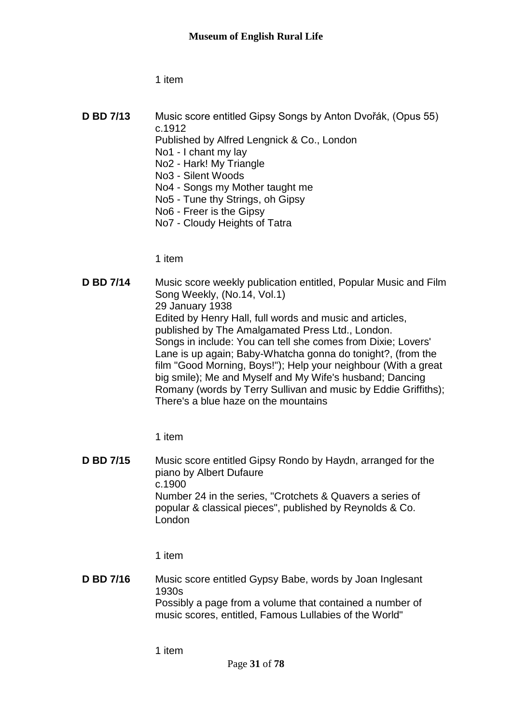1 item

**D BD 7/13** Music score entitled Gipsy Songs by Anton Dvořák, (Opus 55) c.1912 Published by Alfred Lengnick & Co., London No1 - I chant my lay No2 - Hark! My Triangle No3 - Silent Woods No4 - Songs my Mother taught me No5 - Tune thy Strings, oh Gipsy No6 - Freer is the Gipsy No7 - Cloudy Heights of Tatra

1 item

**D BD 7/14** Music score weekly publication entitled, Popular Music and Film Song Weekly, (No.14, Vol.1) 29 January 1938 Edited by Henry Hall, full words and music and articles, published by The Amalgamated Press Ltd., London. Songs in include: You can tell she comes from Dixie; Lovers' Lane is up again; Baby-Whatcha gonna do tonight?, (from the film "Good Morning, Boys!"); Help your neighbour (With a great big smile); Me and Myself and My Wife's husband; Dancing Romany (words by Terry Sullivan and music by Eddie Griffiths); There's a blue haze on the mountains

1 item

**D BD 7/15** Music score entitled Gipsy Rondo by Haydn, arranged for the piano by Albert Dufaure c.1900 Number 24 in the series, "Crotchets & Quavers a series of popular & classical pieces", published by Reynolds & Co. London

1 item

**D BD 7/16** Music score entitled Gypsy Babe, words by Joan Inglesant 1930s Possibly a page from a volume that contained a number of music scores, entitled, Famous Lullabies of the World"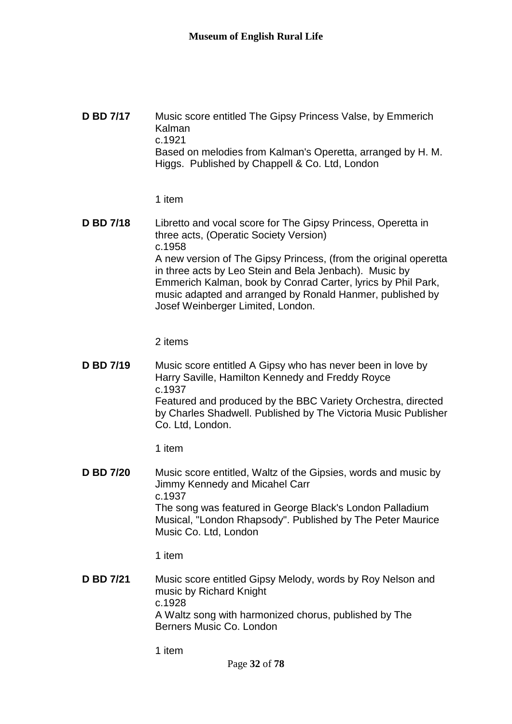**D BD 7/17** Music score entitled The Gipsy Princess Valse, by Emmerich Kalman c.1921 Based on melodies from Kalman's Operetta, arranged by H. M. Higgs. Published by Chappell & Co. Ltd, London

1 item

**D BD 7/18** Libretto and vocal score for The Gipsy Princess, Operetta in three acts, (Operatic Society Version) c.1958 A new version of The Gipsy Princess, (from the original operetta in three acts by Leo Stein and Bela Jenbach). Music by Emmerich Kalman, book by Conrad Carter, lyrics by Phil Park, music adapted and arranged by Ronald Hanmer, published by Josef Weinberger Limited, London.

2 items

**D BD 7/19** Music score entitled A Gipsy who has never been in love by Harry Saville, Hamilton Kennedy and Freddy Royce c.1937 Featured and produced by the BBC Variety Orchestra, directed by Charles Shadwell. Published by The Victoria Music Publisher Co. Ltd, London.

1 item

**D BD 7/20** Music score entitled, Waltz of the Gipsies, words and music by Jimmy Kennedy and Micahel Carr c.1937 The song was featured in George Black's London Palladium Musical, "London Rhapsody". Published by The Peter Maurice Music Co. Ltd, London

1 item

**D BD 7/21** Music score entitled Gipsy Melody, words by Roy Nelson and music by Richard Knight c.1928 A Waltz song with harmonized chorus, published by The Berners Music Co. London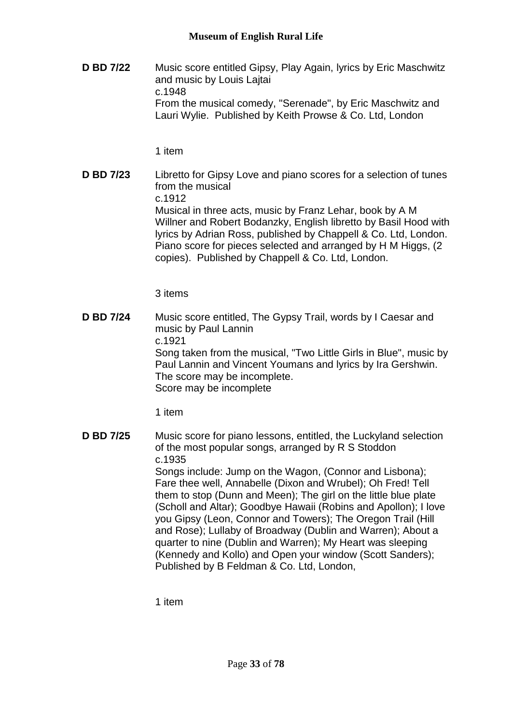**D BD 7/22** Music score entitled Gipsy, Play Again, lyrics by Eric Maschwitz and music by Louis Lajtai c.1948 From the musical comedy, "Serenade", by Eric Maschwitz and Lauri Wylie. Published by Keith Prowse & Co. Ltd, London

1 item

**D BD 7/23** Libretto for Gipsy Love and piano scores for a selection of tunes from the musical c.1912 Musical in three acts, music by Franz Lehar, book by A M Willner and Robert Bodanzky, English libretto by Basil Hood with lyrics by Adrian Ross, published by Chappell & Co. Ltd, London. Piano score for pieces selected and arranged by H M Higgs, (2 copies). Published by Chappell & Co. Ltd, London.

3 items

**D BD 7/24** Music score entitled, The Gypsy Trail, words by I Caesar and music by Paul Lannin c.1921 Song taken from the musical, "Two Little Girls in Blue", music by Paul Lannin and Vincent Youmans and lyrics by Ira Gershwin. The score may be incomplete. Score may be incomplete

1 item

**D BD 7/25** Music score for piano lessons, entitled, the Luckyland selection of the most popular songs, arranged by R S Stoddon c.1935 Songs include: Jump on the Wagon, (Connor and Lisbona); Fare thee well, Annabelle (Dixon and Wrubel); Oh Fred! Tell them to stop (Dunn and Meen); The girl on the little blue plate (Scholl and Altar); Goodbye Hawaii (Robins and Apollon); I love you Gipsy (Leon, Connor and Towers); The Oregon Trail (Hill and Rose); Lullaby of Broadway (Dublin and Warren); About a quarter to nine (Dublin and Warren); My Heart was sleeping (Kennedy and Kollo) and Open your window (Scott Sanders); Published by B Feldman & Co. Ltd, London,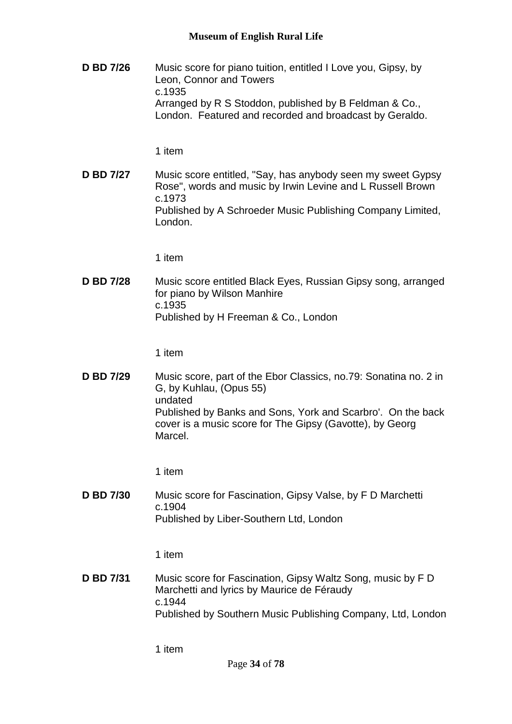**D BD 7/26** Music score for piano tuition, entitled I Love you, Gipsy, by Leon, Connor and Towers c.1935 Arranged by R S Stoddon, published by B Feldman & Co., London. Featured and recorded and broadcast by Geraldo.

## 1 item

**D BD 7/27** Music score entitled, "Say, has anybody seen my sweet Gypsy Rose", words and music by Irwin Levine and L Russell Brown c.1973 Published by A Schroeder Music Publishing Company Limited, London.

1 item

**D BD 7/28** Music score entitled Black Eyes, Russian Gipsy song, arranged for piano by Wilson Manhire c.1935 Published by H Freeman & Co., London

1 item

**D BD 7/29** Music score, part of the Ebor Classics, no.79: Sonatina no. 2 in G, by Kuhlau, (Opus 55) undated Published by Banks and Sons, York and Scarbro'. On the back cover is a music score for The Gipsy (Gavotte), by Georg Marcel.

1 item

**D BD 7/30** Music score for Fascination, Gipsy Valse, by F D Marchetti c.1904 Published by Liber-Southern Ltd, London

1 item

**D BD 7/31** Music score for Fascination, Gipsy Waltz Song, music by F D Marchetti and lyrics by Maurice de Féraudy c.1944 Published by Southern Music Publishing Company, Ltd, London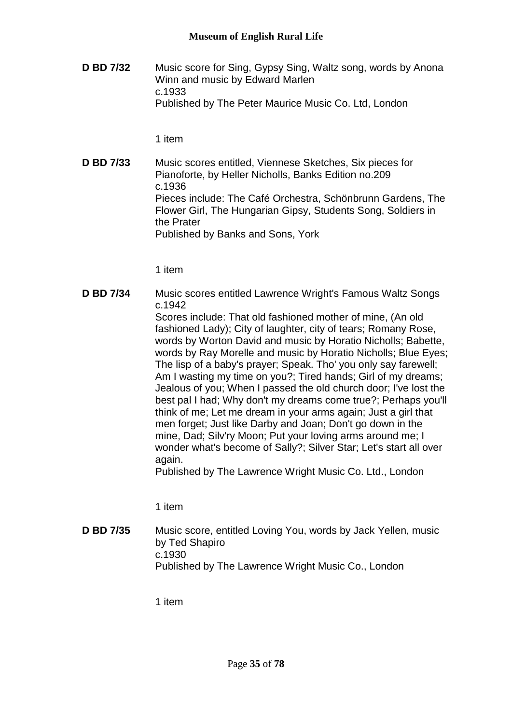**D BD 7/32** Music score for Sing, Gypsy Sing, Waltz song, words by Anona Winn and music by Edward Marlen c.1933 Published by The Peter Maurice Music Co. Ltd, London

1 item

**D BD 7/33** Music scores entitled, Viennese Sketches, Six pieces for Pianoforte, by Heller Nicholls, Banks Edition no.209 c.1936 Pieces include: The Café Orchestra, Schönbrunn Gardens, The Flower Girl, The Hungarian Gipsy, Students Song, Soldiers in the Prater Published by Banks and Sons, York

1 item

**D BD 7/34** Music scores entitled Lawrence Wright's Famous Waltz Songs c.1942 Scores include: That old fashioned mother of mine, (An old fashioned Lady); City of laughter, city of tears; Romany Rose, words by Worton David and music by Horatio Nicholls; Babette, words by Ray Morelle and music by Horatio Nicholls; Blue Eyes; The lisp of a baby's prayer; Speak. Tho' you only say farewell; Am I wasting my time on you?; Tired hands; Girl of my dreams; Jealous of you; When I passed the old church door; I've lost the best pal I had; Why don't my dreams come true?; Perhaps you'll think of me; Let me dream in your arms again; Just a girl that men forget; Just like Darby and Joan; Don't go down in the mine, Dad; Silv'ry Moon; Put your loving arms around me; I wonder what's become of Sally?; Silver Star; Let's start all over again. Published by The Lawrence Wright Music Co. Ltd., London

1 item

**D BD 7/35** Music score, entitled Loving You, words by Jack Yellen, music by Ted Shapiro c.1930 Published by The Lawrence Wright Music Co., London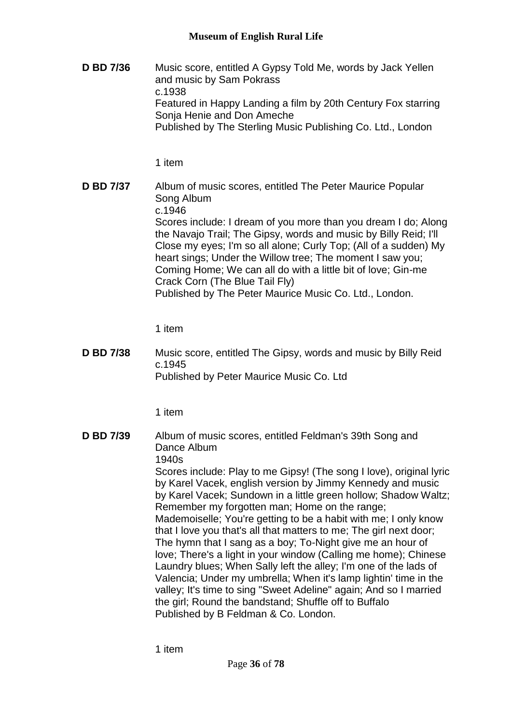**D BD 7/36** Music score, entitled A Gypsy Told Me, words by Jack Yellen and music by Sam Pokrass c.1938 Featured in Happy Landing a film by 20th Century Fox starring Sonja Henie and Don Ameche Published by The Sterling Music Publishing Co. Ltd., London

1 item

**D BD 7/37** Album of music scores, entitled The Peter Maurice Popular Song Album c.1946 Scores include: I dream of you more than you dream I do; Along the Navajo Trail; The Gipsy, words and music by Billy Reid; I'll Close my eyes; I'm so all alone; Curly Top; (All of a sudden) My heart sings; Under the Willow tree; The moment I saw you; Coming Home; We can all do with a little bit of love; Gin-me Crack Corn (The Blue Tail Fly) Published by The Peter Maurice Music Co. Ltd., London.

1 item

**D BD 7/38** Music score, entitled The Gipsy, words and music by Billy Reid c.1945 Published by Peter Maurice Music Co. Ltd

1 item

**D BD 7/39** Album of music scores, entitled Feldman's 39th Song and Dance Album 1940s Scores include: Play to me Gipsy! (The song I love), original lyric by Karel Vacek, english version by Jimmy Kennedy and music by Karel Vacek; Sundown in a little green hollow; Shadow Waltz; Remember my forgotten man; Home on the range; Mademoiselle; You're getting to be a habit with me; I only know that I love you that's all that matters to me; The girl next door; The hymn that I sang as a boy; To-Night give me an hour of love; There's a light in your window (Calling me home); Chinese Laundry blues; When Sally left the alley; I'm one of the lads of Valencia; Under my umbrella; When it's lamp lightin' time in the valley; It's time to sing "Sweet Adeline" again; And so I married the girl; Round the bandstand; Shuffle off to Buffalo Published by B Feldman & Co. London.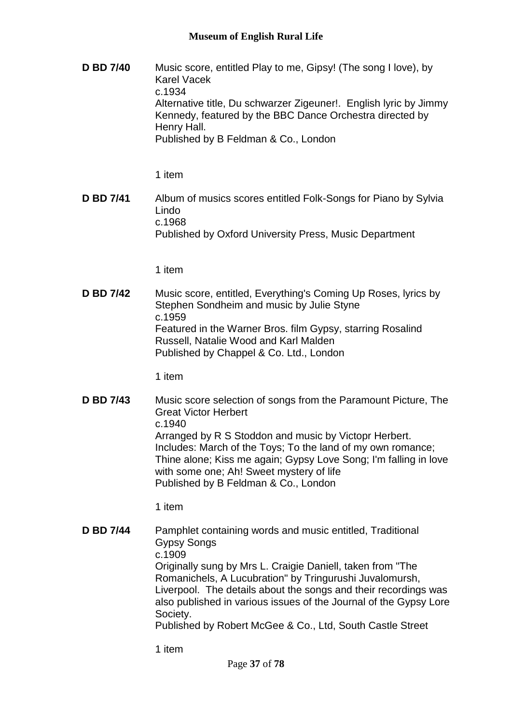**D BD 7/40** Music score, entitled Play to me, Gipsy! (The song I love), by Karel Vacek c.1934 Alternative title, Du schwarzer Zigeuner!. English lyric by Jimmy Kennedy, featured by the BBC Dance Orchestra directed by Henry Hall. Published by B Feldman & Co., London

1 item

**D BD 7/41** Album of musics scores entitled Folk-Songs for Piano by Sylvia Lindo c.1968 Published by Oxford University Press, Music Department

1 item

**D BD 7/42** Music score, entitled, Everything's Coming Up Roses, lyrics by Stephen Sondheim and music by Julie Styne c.1959 Featured in the Warner Bros. film Gypsy, starring Rosalind Russell, Natalie Wood and Karl Malden Published by Chappel & Co. Ltd., London

1 item

**D BD 7/43** Music score selection of songs from the Paramount Picture, The Great Victor Herbert c.1940 Arranged by R S Stoddon and music by Victopr Herbert. Includes: March of the Toys; To the land of my own romance; Thine alone; Kiss me again; Gypsy Love Song; I'm falling in love with some one; Ah! Sweet mystery of life Published by B Feldman & Co., London

1 item

**D BD 7/44** Pamphlet containing words and music entitled, Traditional Gypsy Songs c.1909 Originally sung by Mrs L. Craigie Daniell, taken from "The Romanichels, A Lucubration" by Tringurushi Juvalomursh, Liverpool. The details about the songs and their recordings was also published in various issues of the Journal of the Gypsy Lore Society. Published by Robert McGee & Co., Ltd, South Castle Street

1 item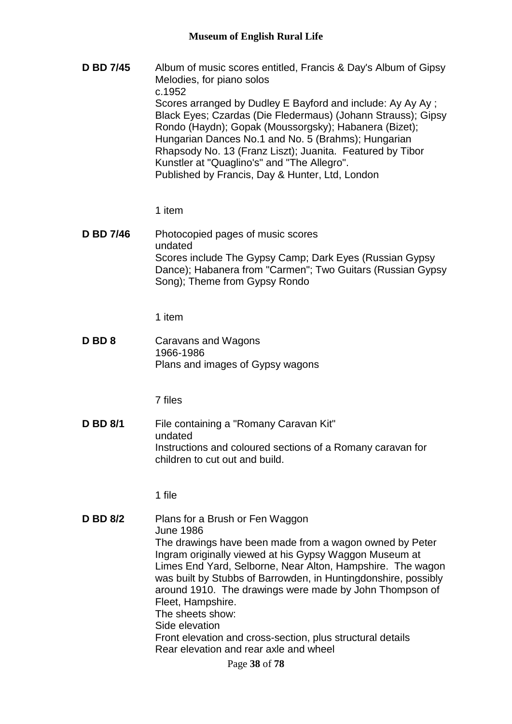**D BD 7/45** Album of music scores entitled, Francis & Day's Album of Gipsy Melodies, for piano solos c.1952 Scores arranged by Dudley E Bayford and include: Ay Ay Ay : Black Eyes; Czardas (Die Fledermaus) (Johann Strauss); Gipsy Rondo (Haydn); Gopak (Moussorgsky); Habanera (Bizet); Hungarian Dances No.1 and No. 5 (Brahms); Hungarian Rhapsody No. 13 (Franz Liszt); Juanita. Featured by Tibor Kunstler at "Quaglino's" and "The Allegro". Published by Francis, Day & Hunter, Ltd, London

1 item

**D BD 7/46** Photocopied pages of music scores undated Scores include The Gypsy Camp; Dark Eyes (Russian Gypsy Dance); Habanera from "Carmen"; Two Guitars (Russian Gypsy Song); Theme from Gypsy Rondo

1 item

**D BD 8** Caravans and Wagons 1966-1986 Plans and images of Gypsy wagons

7 files

**D BD 8/1** File containing a "Romany Caravan Kit" undated Instructions and coloured sections of a Romany caravan for children to cut out and build.

1 file

**D BD 8/2** Plans for a Brush or Fen Waggon June 1986 The drawings have been made from a wagon owned by Peter Ingram originally viewed at his Gypsy Waggon Museum at Limes End Yard, Selborne, Near Alton, Hampshire. The wagon was built by Stubbs of Barrowden, in Huntingdonshire, possibly around 1910. The drawings were made by John Thompson of Fleet, Hampshire. The sheets show: Side elevation Front elevation and cross-section, plus structural details Rear elevation and rear axle and wheel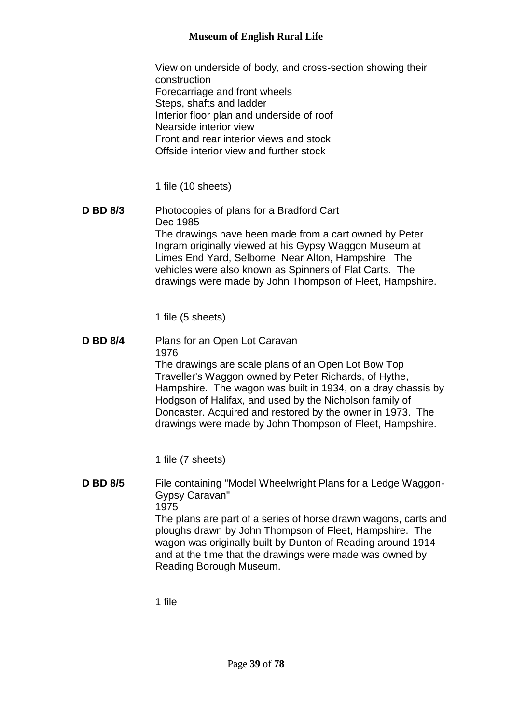View on underside of body, and cross-section showing their construction Forecarriage and front wheels Steps, shafts and ladder Interior floor plan and underside of roof Nearside interior view Front and rear interior views and stock Offside interior view and further stock

1 file (10 sheets)

**D BD 8/3** Photocopies of plans for a Bradford Cart Dec 1985 The drawings have been made from a cart owned by Peter Ingram originally viewed at his Gypsy Waggon Museum at Limes End Yard, Selborne, Near Alton, Hampshire. The vehicles were also known as Spinners of Flat Carts. The drawings were made by John Thompson of Fleet, Hampshire.

1 file (5 sheets)

**D BD 8/4** Plans for an Open Lot Caravan 1976 The drawings are scale plans of an Open Lot Bow Top Traveller's Waggon owned by Peter Richards, of Hythe, Hampshire. The wagon was built in 1934, on a dray chassis by Hodgson of Halifax, and used by the Nicholson family of Doncaster. Acquired and restored by the owner in 1973. The drawings were made by John Thompson of Fleet, Hampshire.

1 file (7 sheets)

**D BD 8/5** File containing "Model Wheelwright Plans for a Ledge Waggon-Gypsy Caravan" 1975 The plans are part of a series of horse drawn wagons, carts and ploughs drawn by John Thompson of Fleet, Hampshire. The wagon was originally built by Dunton of Reading around 1914 and at the time that the drawings were made was owned by Reading Borough Museum.

1 file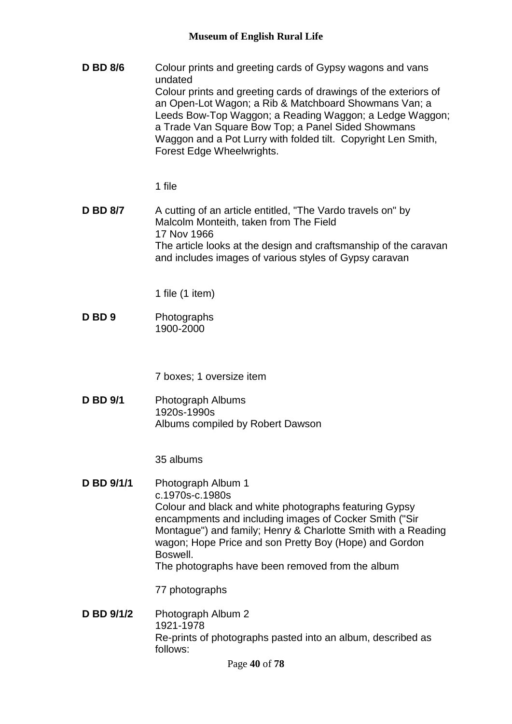**D BD 8/6** Colour prints and greeting cards of Gypsy wagons and vans undated Colour prints and greeting cards of drawings of the exteriors of an Open-Lot Wagon; a Rib & Matchboard Showmans Van; a Leeds Bow-Top Waggon; a Reading Waggon; a Ledge Waggon; a Trade Van Square Bow Top; a Panel Sided Showmans Waggon and a Pot Lurry with folded tilt. Copyright Len Smith, Forest Edge Wheelwrights.

1 file

**D BD 8/7** A cutting of an article entitled, "The Vardo travels on" by Malcolm Monteith, taken from The Field 17 Nov 1966 The article looks at the design and craftsmanship of the caravan and includes images of various styles of Gypsy caravan

1 file (1 item)

**D BD 9** Photographs 1900-2000

7 boxes; 1 oversize item

**D BD 9/1** Photograph Albums 1920s-1990s Albums compiled by Robert Dawson

35 albums

**D BD 9/1/1** Photograph Album 1 c.1970s-c.1980s Colour and black and white photographs featuring Gypsy encampments and including images of Cocker Smith ("Sir Montague") and family; Henry & Charlotte Smith with a Reading wagon; Hope Price and son Pretty Boy (Hope) and Gordon Boswell. The photographs have been removed from the album

77 photographs

**D BD 9/1/2** Photograph Album 2 1921-1978 Re-prints of photographs pasted into an album, described as follows: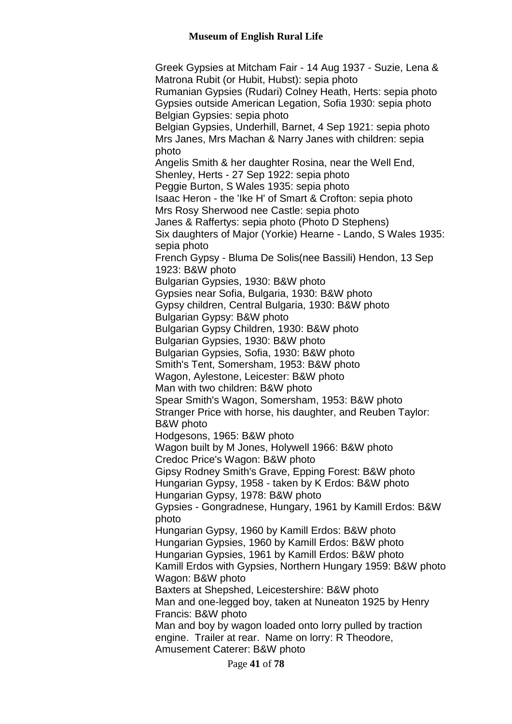Greek Gypsies at Mitcham Fair - 14 Aug 1937 - Suzie, Lena & Matrona Rubit (or Hubit, Hubst): sepia photo Rumanian Gypsies (Rudari) Colney Heath, Herts: sepia photo Gypsies outside American Legation, Sofia 1930: sepia photo Belgian Gypsies: sepia photo Belgian Gypsies, Underhill, Barnet, 4 Sep 1921: sepia photo Mrs Janes, Mrs Machan & Narry Janes with children: sepia photo Angelis Smith & her daughter Rosina, near the Well End, Shenley, Herts - 27 Sep 1922: sepia photo Peggie Burton, S Wales 1935: sepia photo Isaac Heron - the 'Ike H' of Smart & Crofton: sepia photo Mrs Rosy Sherwood nee Castle: sepia photo Janes & Raffertys: sepia photo (Photo D Stephens) Six daughters of Major (Yorkie) Hearne - Lando, S Wales 1935: sepia photo French Gypsy - Bluma De Solis(nee Bassili) Hendon, 13 Sep 1923: B&W photo Bulgarian Gypsies, 1930: B&W photo Gypsies near Sofia, Bulgaria, 1930: B&W photo Gypsy children, Central Bulgaria, 1930: B&W photo Bulgarian Gypsy: B&W photo Bulgarian Gypsy Children, 1930: B&W photo Bulgarian Gypsies, 1930: B&W photo Bulgarian Gypsies, Sofia, 1930: B&W photo Smith's Tent, Somersham, 1953: B&W photo Wagon, Aylestone, Leicester: B&W photo Man with two children: B&W photo Spear Smith's Wagon, Somersham, 1953: B&W photo Stranger Price with horse, his daughter, and Reuben Taylor: B&W photo Hodgesons, 1965: B&W photo Wagon built by M Jones, Holywell 1966: B&W photo Credoc Price's Wagon: B&W photo Gipsy Rodney Smith's Grave, Epping Forest: B&W photo Hungarian Gypsy, 1958 - taken by K Erdos: B&W photo Hungarian Gypsy, 1978: B&W photo Gypsies - Gongradnese, Hungary, 1961 by Kamill Erdos: B&W photo Hungarian Gypsy, 1960 by Kamill Erdos: B&W photo Hungarian Gypsies, 1960 by Kamill Erdos: B&W photo Hungarian Gypsies, 1961 by Kamill Erdos: B&W photo Kamill Erdos with Gypsies, Northern Hungary 1959: B&W photo Wagon: B&W photo Baxters at Shepshed, Leicestershire: B&W photo Man and one-legged boy, taken at Nuneaton 1925 by Henry Francis: B&W photo Man and boy by wagon loaded onto lorry pulled by traction engine. Trailer at rear. Name on lorry: R Theodore, Amusement Caterer: B&W photo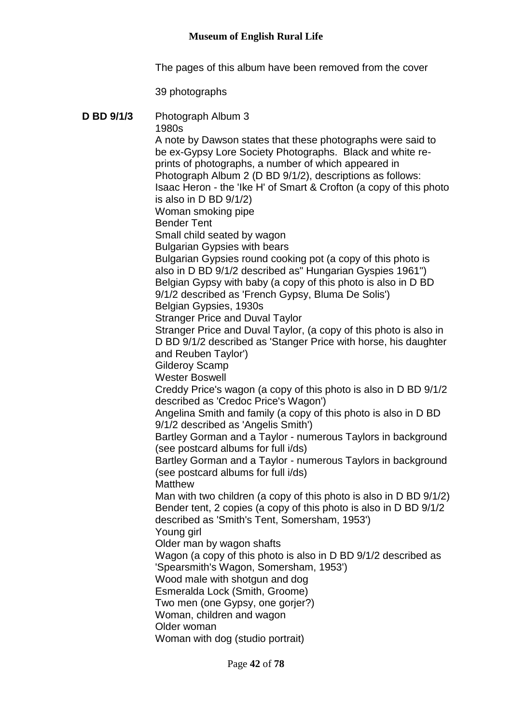The pages of this album have been removed from the cover

#### 39 photographs

# **D BD 9/1/3** Photograph Album 3 1980s A note by Dawson states that these photographs were said to be ex-Gypsy Lore Society Photographs. Black and white reprints of photographs, a number of which appeared in Photograph Album 2 (D BD 9/1/2), descriptions as follows: Isaac Heron - the 'Ike H' of Smart & Crofton (a copy of this photo is also in D BD 9/1/2) Woman smoking pipe Bender Tent Small child seated by wagon Bulgarian Gypsies with bears Bulgarian Gypsies round cooking pot (a copy of this photo is also in D BD 9/1/2 described as" Hungarian Gyspies 1961") Belgian Gypsy with baby (a copy of this photo is also in D BD 9/1/2 described as 'French Gypsy, Bluma De Solis') Belgian Gypsies, 1930s Stranger Price and Duval Taylor Stranger Price and Duval Taylor, (a copy of this photo is also in D BD 9/1/2 described as 'Stanger Price with horse, his daughter and Reuben Taylor') Gilderoy Scamp Wester Boswell Creddy Price's wagon (a copy of this photo is also in D BD 9/1/2 described as 'Credoc Price's Wagon') Angelina Smith and family (a copy of this photo is also in D BD 9/1/2 described as 'Angelis Smith') Bartley Gorman and a Taylor - numerous Taylors in background (see postcard albums for full i/ds) Bartley Gorman and a Taylor - numerous Taylors in background (see postcard albums for full i/ds) **Matthew** Man with two children (a copy of this photo is also in D BD 9/1/2) Bender tent, 2 copies (a copy of this photo is also in D BD 9/1/2 described as 'Smith's Tent, Somersham, 1953') Young girl Older man by wagon shafts Wagon (a copy of this photo is also in D BD 9/1/2 described as 'Spearsmith's Wagon, Somersham, 1953') Wood male with shotgun and dog Esmeralda Lock (Smith, Groome) Two men (one Gypsy, one gorjer?) Woman, children and wagon Older woman Woman with dog (studio portrait)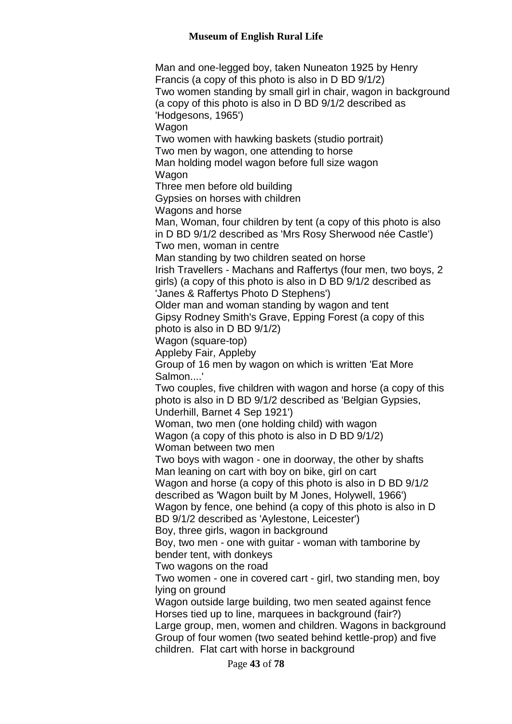Page **43** of **78** Man and one-legged boy, taken Nuneaton 1925 by Henry Francis (a copy of this photo is also in D BD 9/1/2) Two women standing by small girl in chair, wagon in background (a copy of this photo is also in D BD 9/1/2 described as 'Hodgesons, 1965') Wagon Two women with hawking baskets (studio portrait) Two men by wagon, one attending to horse Man holding model wagon before full size wagon Wagon Three men before old building Gypsies on horses with children Wagons and horse Man, Woman, four children by tent (a copy of this photo is also in D BD 9/1/2 described as 'Mrs Rosy Sherwood née Castle') Two men, woman in centre Man standing by two children seated on horse Irish Travellers - Machans and Raffertys (four men, two boys, 2 girls) (a copy of this photo is also in D BD 9/1/2 described as 'Janes & Raffertys Photo D Stephens') Older man and woman standing by wagon and tent Gipsy Rodney Smith's Grave, Epping Forest (a copy of this photo is also in D BD 9/1/2) Wagon (square-top) Appleby Fair, Appleby Group of 16 men by wagon on which is written 'Eat More Salmon....' Two couples, five children with wagon and horse (a copy of this photo is also in D BD 9/1/2 described as 'Belgian Gypsies, Underhill, Barnet 4 Sep 1921') Woman, two men (one holding child) with wagon Wagon (a copy of this photo is also in D BD 9/1/2) Woman between two men Two boys with wagon - one in doorway, the other by shafts Man leaning on cart with boy on bike, girl on cart Wagon and horse (a copy of this photo is also in D BD 9/1/2 described as 'Wagon built by M Jones, Holywell, 1966') Wagon by fence, one behind (a copy of this photo is also in D BD 9/1/2 described as 'Aylestone, Leicester') Boy, three girls, wagon in background Boy, two men - one with guitar - woman with tamborine by bender tent, with donkeys Two wagons on the road Two women - one in covered cart - girl, two standing men, boy lying on ground Wagon outside large building, two men seated against fence Horses tied up to line, marquees in background (fair?) Large group, men, women and children. Wagons in background Group of four women (two seated behind kettle-prop) and five children. Flat cart with horse in background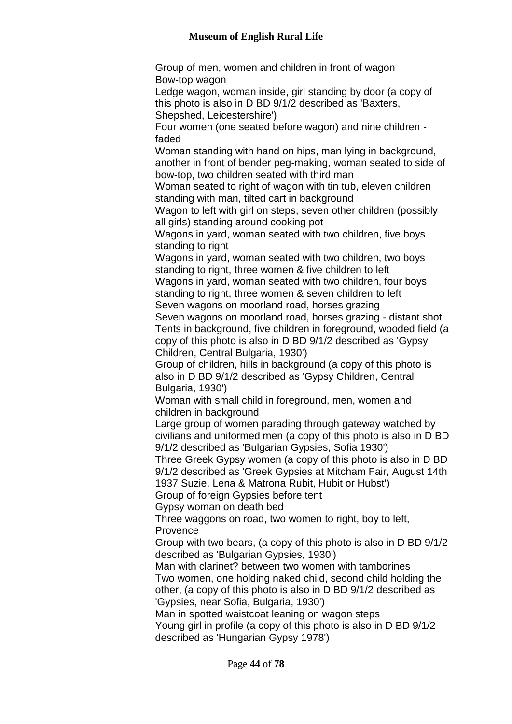Group of men, women and children in front of wagon Bow-top wagon Ledge wagon, woman inside, girl standing by door (a copy of this photo is also in D BD 9/1/2 described as 'Baxters, Shepshed, Leicestershire') Four women (one seated before wagon) and nine children faded Woman standing with hand on hips, man lying in background, another in front of bender peg-making, woman seated to side of bow-top, two children seated with third man Woman seated to right of wagon with tin tub, eleven children standing with man, tilted cart in background Wagon to left with girl on steps, seven other children (possibly all girls) standing around cooking pot Wagons in yard, woman seated with two children, five boys standing to right Wagons in yard, woman seated with two children, two boys standing to right, three women & five children to left Wagons in yard, woman seated with two children, four boys standing to right, three women & seven children to left Seven wagons on moorland road, horses grazing Seven wagons on moorland road, horses grazing - distant shot Tents in background, five children in foreground, wooded field (a copy of this photo is also in D BD 9/1/2 described as 'Gypsy Children, Central Bulgaria, 1930') Group of children, hills in background (a copy of this photo is also in D BD 9/1/2 described as 'Gypsy Children, Central Bulgaria, 1930') Woman with small child in foreground, men, women and children in background Large group of women parading through gateway watched by civilians and uniformed men (a copy of this photo is also in D BD 9/1/2 described as 'Bulgarian Gypsies, Sofia 1930') Three Greek Gypsy women (a copy of this photo is also in D BD 9/1/2 described as 'Greek Gypsies at Mitcham Fair, August 14th 1937 Suzie, Lena & Matrona Rubit, Hubit or Hubst') Group of foreign Gypsies before tent Gypsy woman on death bed Three waggons on road, two women to right, boy to left, Provence Group with two bears, (a copy of this photo is also in D BD 9/1/2 described as 'Bulgarian Gypsies, 1930') Man with clarinet? between two women with tamborines Two women, one holding naked child, second child holding the other, (a copy of this photo is also in D BD 9/1/2 described as 'Gypsies, near Sofia, Bulgaria, 1930') Man in spotted waistcoat leaning on wagon steps Young girl in profile (a copy of this photo is also in D BD 9/1/2 described as 'Hungarian Gypsy 1978')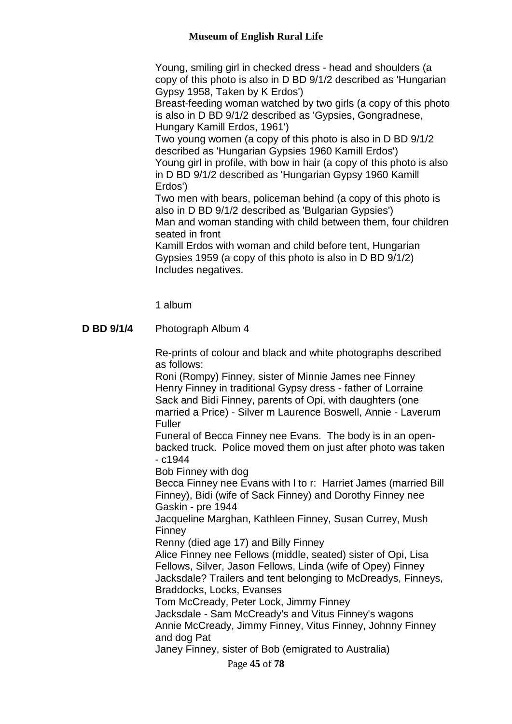Young, smiling girl in checked dress - head and shoulders (a copy of this photo is also in D BD 9/1/2 described as 'Hungarian Gypsy 1958, Taken by K Erdos')

Breast-feeding woman watched by two girls (a copy of this photo is also in D BD 9/1/2 described as 'Gypsies, Gongradnese, Hungary Kamill Erdos, 1961')

Two young women (a copy of this photo is also in D BD 9/1/2 described as 'Hungarian Gypsies 1960 Kamill Erdos') Young girl in profile, with bow in hair (a copy of this photo is also in D BD 9/1/2 described as 'Hungarian Gypsy 1960 Kamill Erdos')

Two men with bears, policeman behind (a copy of this photo is also in D BD 9/1/2 described as 'Bulgarian Gypsies') Man and woman standing with child between them, four children seated in front

Kamill Erdos with woman and child before tent, Hungarian Gypsies 1959 (a copy of this photo is also in D BD 9/1/2) Includes negatives.

1 album

# **D BD 9/1/4** Photograph Album 4

Re-prints of colour and black and white photographs described as follows:

Roni (Rompy) Finney, sister of Minnie James nee Finney Henry Finney in traditional Gypsy dress - father of Lorraine Sack and Bidi Finney, parents of Opi, with daughters (one married a Price) - Silver m Laurence Boswell, Annie - Laverum Fuller

Funeral of Becca Finney nee Evans. The body is in an openbacked truck. Police moved them on just after photo was taken - c1944

Bob Finney with dog

Becca Finney nee Evans with l to r: Harriet James (married Bill Finney), Bidi (wife of Sack Finney) and Dorothy Finney nee Gaskin - pre 1944

Jacqueline Marghan, Kathleen Finney, Susan Currey, Mush Finney

Renny (died age 17) and Billy Finney

Alice Finney nee Fellows (middle, seated) sister of Opi, Lisa Fellows, Silver, Jason Fellows, Linda (wife of Opey) Finney Jacksdale? Trailers and tent belonging to McDreadys, Finneys, Braddocks, Locks, Evanses

Tom McCready, Peter Lock, Jimmy Finney

Jacksdale - Sam McCready's and Vitus Finney's wagons Annie McCready, Jimmy Finney, Vitus Finney, Johnny Finney and dog Pat

Janey Finney, sister of Bob (emigrated to Australia)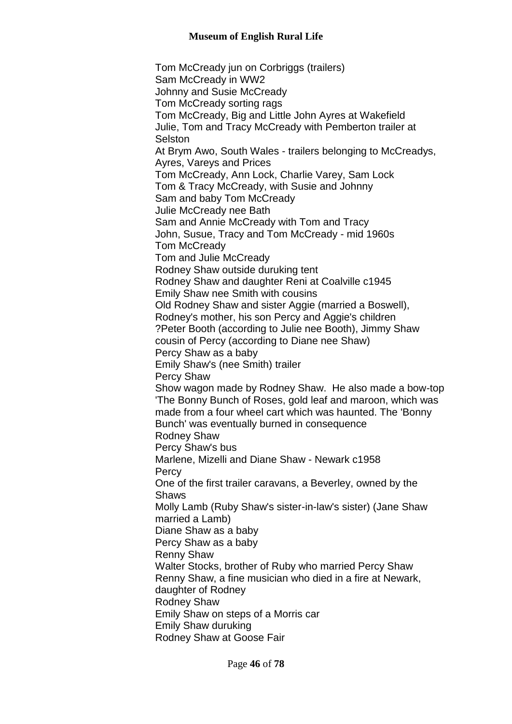Tom McCready jun on Corbriggs (trailers) Sam McCready in WW2 Johnny and Susie McCready Tom McCready sorting rags Tom McCready, Big and Little John Ayres at Wakefield Julie, Tom and Tracy McCready with Pemberton trailer at **Selston** At Brym Awo, South Wales - trailers belonging to McCreadys, Ayres, Vareys and Prices Tom McCready, Ann Lock, Charlie Varey, Sam Lock Tom & Tracy McCready, with Susie and Johnny Sam and baby Tom McCready Julie McCready nee Bath Sam and Annie McCready with Tom and Tracy John, Susue, Tracy and Tom McCready - mid 1960s Tom McCready Tom and Julie McCready Rodney Shaw outside duruking tent Rodney Shaw and daughter Reni at Coalville c1945 Emily Shaw nee Smith with cousins Old Rodney Shaw and sister Aggie (married a Boswell), Rodney's mother, his son Percy and Aggie's children ?Peter Booth (according to Julie nee Booth), Jimmy Shaw cousin of Percy (according to Diane nee Shaw) Percy Shaw as a baby Emily Shaw's (nee Smith) trailer Percy Shaw Show wagon made by Rodney Shaw. He also made a bow-top 'The Bonny Bunch of Roses, gold leaf and maroon, which was made from a four wheel cart which was haunted. The 'Bonny Bunch' was eventually burned in consequence Rodney Shaw Percy Shaw's bus Marlene, Mizelli and Diane Shaw - Newark c1958 **Percy** One of the first trailer caravans, a Beverley, owned by the Shaws Molly Lamb (Ruby Shaw's sister-in-law's sister) (Jane Shaw married a Lamb) Diane Shaw as a baby Percy Shaw as a baby Renny Shaw Walter Stocks, brother of Ruby who married Percy Shaw Renny Shaw, a fine musician who died in a fire at Newark, daughter of Rodney Rodney Shaw Emily Shaw on steps of a Morris car Emily Shaw duruking Rodney Shaw at Goose Fair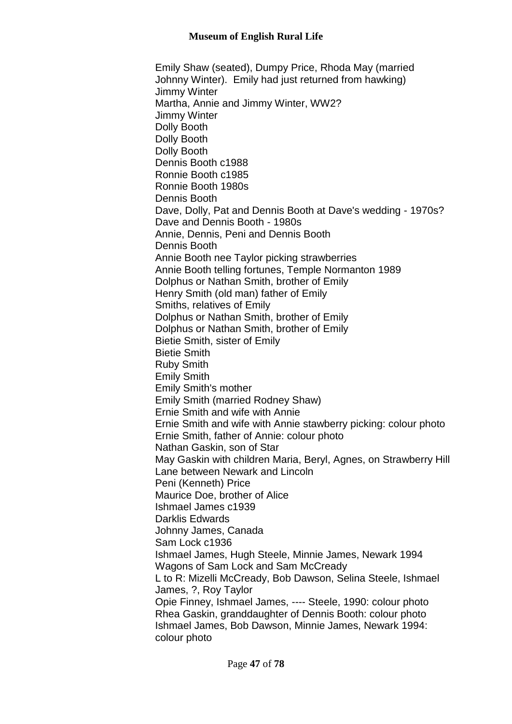Emily Shaw (seated), Dumpy Price, Rhoda May (married Johnny Winter). Emily had just returned from hawking) Jimmy Winter Martha, Annie and Jimmy Winter, WW2? Jimmy Winter Dolly Booth Dolly Booth Dolly Booth Dennis Booth c1988 Ronnie Booth c1985 Ronnie Booth 1980s Dennis Booth Dave, Dolly, Pat and Dennis Booth at Dave's wedding - 1970s? Dave and Dennis Booth - 1980s Annie, Dennis, Peni and Dennis Booth Dennis Booth Annie Booth nee Taylor picking strawberries Annie Booth telling fortunes, Temple Normanton 1989 Dolphus or Nathan Smith, brother of Emily Henry Smith (old man) father of Emily Smiths, relatives of Emily Dolphus or Nathan Smith, brother of Emily Dolphus or Nathan Smith, brother of Emily Bietie Smith, sister of Emily Bietie Smith Ruby Smith Emily Smith Emily Smith's mother Emily Smith (married Rodney Shaw) Ernie Smith and wife with Annie Ernie Smith and wife with Annie stawberry picking: colour photo Ernie Smith, father of Annie: colour photo Nathan Gaskin, son of Star May Gaskin with children Maria, Beryl, Agnes, on Strawberry Hill Lane between Newark and Lincoln Peni (Kenneth) Price Maurice Doe, brother of Alice Ishmael James c1939 Darklis Edwards Johnny James, Canada Sam Lock c1936 Ishmael James, Hugh Steele, Minnie James, Newark 1994 Wagons of Sam Lock and Sam McCready L to R: Mizelli McCready, Bob Dawson, Selina Steele, Ishmael James, ?, Roy Taylor Opie Finney, Ishmael James, ---- Steele, 1990: colour photo Rhea Gaskin, granddaughter of Dennis Booth: colour photo Ishmael James, Bob Dawson, Minnie James, Newark 1994: colour photo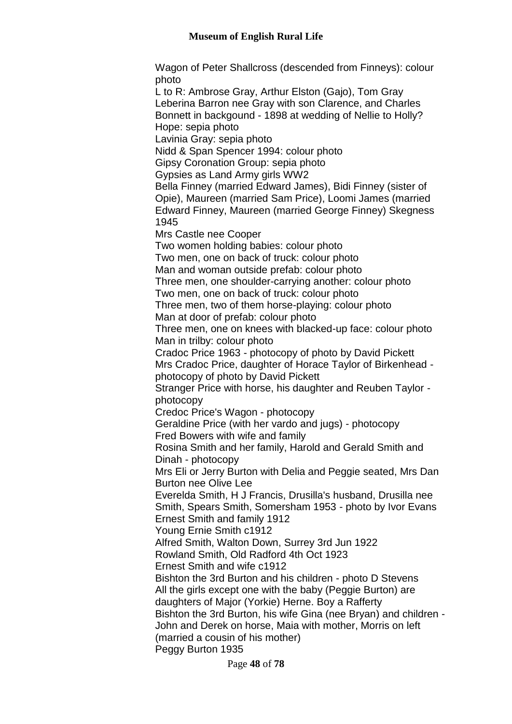Wagon of Peter Shallcross (descended from Finneys): colour photo

L to R: Ambrose Gray, Arthur Elston (Gajo), Tom Gray Leberina Barron nee Gray with son Clarence, and Charles Bonnett in backgound - 1898 at wedding of Nellie to Holly? Hope: sepia photo

Lavinia Gray: sepia photo

Nidd & Span Spencer 1994: colour photo

Gipsy Coronation Group: sepia photo

Gypsies as Land Army girls WW2

Bella Finney (married Edward James), Bidi Finney (sister of Opie), Maureen (married Sam Price), Loomi James (married Edward Finney, Maureen (married George Finney) Skegness 1945

Mrs Castle nee Cooper

Two women holding babies: colour photo

Two men, one on back of truck: colour photo

Man and woman outside prefab: colour photo

Three men, one shoulder-carrying another: colour photo

Two men, one on back of truck: colour photo

Three men, two of them horse-playing: colour photo Man at door of prefab: colour photo

Three men, one on knees with blacked-up face: colour photo Man in trilby: colour photo

Cradoc Price 1963 - photocopy of photo by David Pickett Mrs Cradoc Price, daughter of Horace Taylor of Birkenhead photocopy of photo by David Pickett

Stranger Price with horse, his daughter and Reuben Taylor photocopy

Credoc Price's Wagon - photocopy

Geraldine Price (with her vardo and jugs) - photocopy Fred Bowers with wife and family

Rosina Smith and her family, Harold and Gerald Smith and Dinah - photocopy

Mrs Eli or Jerry Burton with Delia and Peggie seated, Mrs Dan Burton nee Olive Lee

Everelda Smith, H J Francis, Drusilla's husband, Drusilla nee Smith, Spears Smith, Somersham 1953 - photo by Ivor Evans Ernest Smith and family 1912

Young Ernie Smith c1912

Alfred Smith, Walton Down, Surrey 3rd Jun 1922

Rowland Smith, Old Radford 4th Oct 1923

Ernest Smith and wife c1912

Bishton the 3rd Burton and his children - photo D Stevens All the girls except one with the baby (Peggie Burton) are daughters of Major (Yorkie) Herne. Boy a Rafferty Bishton the 3rd Burton, his wife Gina (nee Bryan) and children - John and Derek on horse, Maia with mother, Morris on left (married a cousin of his mother)

Peggy Burton 1935

Page **48** of **78**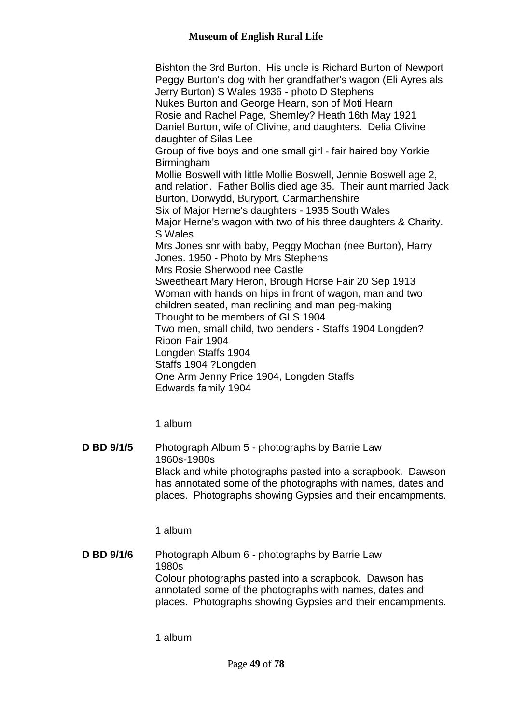Bishton the 3rd Burton. His uncle is Richard Burton of Newport Peggy Burton's dog with her grandfather's wagon (Eli Ayres als Jerry Burton) S Wales 1936 - photo D Stephens Nukes Burton and George Hearn, son of Moti Hearn Rosie and Rachel Page, Shemley? Heath 16th May 1921 Daniel Burton, wife of Olivine, and daughters. Delia Olivine daughter of Silas Lee Group of five boys and one small girl - fair haired boy Yorkie Birmingham Mollie Boswell with little Mollie Boswell, Jennie Boswell age 2, and relation. Father Bollis died age 35. Their aunt married Jack Burton, Dorwydd, Buryport, Carmarthenshire Six of Major Herne's daughters - 1935 South Wales Major Herne's wagon with two of his three daughters & Charity. S Wales Mrs Jones snr with baby, Peggy Mochan (nee Burton), Harry Jones. 1950 - Photo by Mrs Stephens Mrs Rosie Sherwood nee Castle Sweetheart Mary Heron, Brough Horse Fair 20 Sep 1913 Woman with hands on hips in front of wagon, man and two children seated, man reclining and man peg-making Thought to be members of GLS 1904 Two men, small child, two benders - Staffs 1904 Longden? Ripon Fair 1904 Longden Staffs 1904 Staffs 1904 ?Longden One Arm Jenny Price 1904, Longden Staffs Edwards family 1904

1 album

**D BD 9/1/5** Photograph Album 5 - photographs by Barrie Law 1960s-1980s Black and white photographs pasted into a scrapbook. Dawson has annotated some of the photographs with names, dates and places. Photographs showing Gypsies and their encampments.

1 album

**D BD 9/1/6** Photograph Album 6 - photographs by Barrie Law 1980s Colour photographs pasted into a scrapbook. Dawson has annotated some of the photographs with names, dates and places. Photographs showing Gypsies and their encampments.

1 album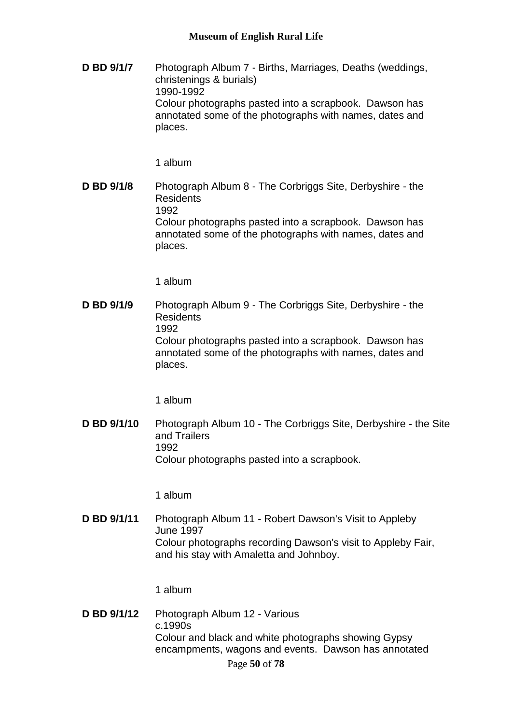**D BD 9/1/7** Photograph Album 7 - Births, Marriages, Deaths (weddings, christenings & burials) 1990-1992 Colour photographs pasted into a scrapbook. Dawson has annotated some of the photographs with names, dates and places.

1 album

**D BD 9/1/8** Photograph Album 8 - The Corbriggs Site, Derbyshire - the Residents 1992 Colour photographs pasted into a scrapbook. Dawson has annotated some of the photographs with names, dates and places.

1 album

**D BD 9/1/9** Photograph Album 9 - The Corbriggs Site, Derbyshire - the Residents 1992 Colour photographs pasted into a scrapbook. Dawson has annotated some of the photographs with names, dates and places.

1 album

**D BD 9/1/10** Photograph Album 10 - The Corbriggs Site, Derbyshire - the Site and Trailers 1992 Colour photographs pasted into a scrapbook.

1 album

**D BD 9/1/11** Photograph Album 11 - Robert Dawson's Visit to Appleby June 1997 Colour photographs recording Dawson's visit to Appleby Fair, and his stay with Amaletta and Johnboy.

1 album

Page **50** of **78 D BD 9/1/12** Photograph Album 12 - Various c.1990s Colour and black and white photographs showing Gypsy encampments, wagons and events. Dawson has annotated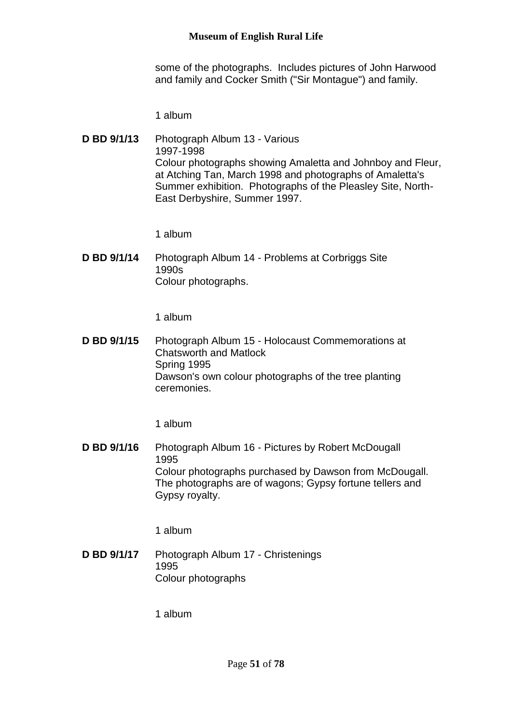some of the photographs. Includes pictures of John Harwood and family and Cocker Smith ("Sir Montague") and family.

1 album

**D BD 9/1/13** Photograph Album 13 - Various 1997-1998 Colour photographs showing Amaletta and Johnboy and Fleur, at Atching Tan, March 1998 and photographs of Amaletta's Summer exhibition. Photographs of the Pleasley Site, North-East Derbyshire, Summer 1997.

1 album

**D BD 9/1/14** Photograph Album 14 - Problems at Corbriggs Site 1990s Colour photographs.

1 album

**D BD 9/1/15** Photograph Album 15 - Holocaust Commemorations at Chatsworth and Matlock Spring 1995 Dawson's own colour photographs of the tree planting ceremonies.

1 album

**D BD 9/1/16** Photograph Album 16 - Pictures by Robert McDougall 1995 Colour photographs purchased by Dawson from McDougall. The photographs are of wagons; Gypsy fortune tellers and Gypsy royalty.

1 album

**D BD 9/1/17** Photograph Album 17 - Christenings 1995 Colour photographs

1 album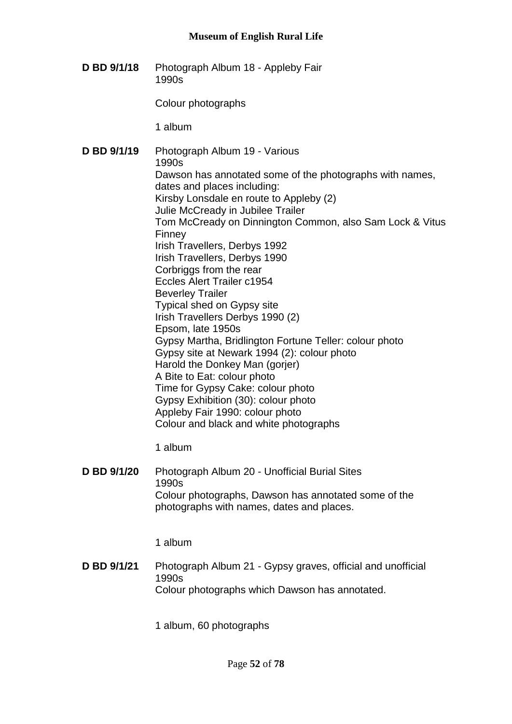**D BD 9/1/18** Photograph Album 18 - Appleby Fair 1990s

Colour photographs

1 album

**D BD 9/1/19** Photograph Album 19 - Various 1990s Dawson has annotated some of the photographs with names, dates and places including: Kirsby Lonsdale en route to Appleby (2) Julie McCready in Jubilee Trailer Tom McCready on Dinnington Common, also Sam Lock & Vitus Finney Irish Travellers, Derbys 1992 Irish Travellers, Derbys 1990 Corbriggs from the rear Eccles Alert Trailer c1954 Beverley Trailer Typical shed on Gypsy site Irish Travellers Derbys 1990 (2) Epsom, late 1950s Gypsy Martha, Bridlington Fortune Teller: colour photo Gypsy site at Newark 1994 (2): colour photo Harold the Donkey Man (gorjer) A Bite to Eat: colour photo Time for Gypsy Cake: colour photo Gypsy Exhibition (30): colour photo Appleby Fair 1990: colour photo Colour and black and white photographs

1 album

**D BD 9/1/20** Photograph Album 20 - Unofficial Burial Sites 1990s Colour photographs, Dawson has annotated some of the photographs with names, dates and places.

1 album

**D BD 9/1/21** Photograph Album 21 - Gypsy graves, official and unofficial 1990s Colour photographs which Dawson has annotated.

1 album, 60 photographs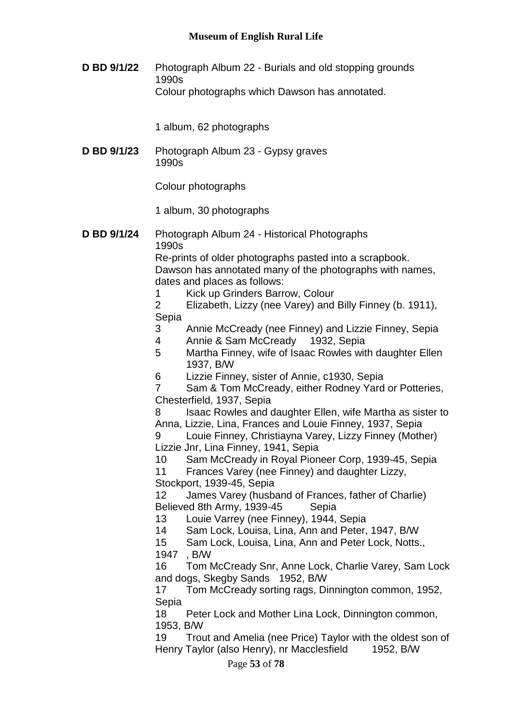**D BD 9/1/22** Photograph Album 22 - Burials and old stopping grounds 1990s Colour photographs which Dawson has annotated.

1 album, 62 photographs

**D BD 9/1/23** Photograph Album 23 - Gypsy graves 1990s

Colour photographs

1 album, 30 photographs

**D BD 9/1/24** Photograph Album 24 - Historical Photographs 1990s

Re-prints of older photographs pasted into a scrapbook. Dawson has annotated many of the photographs with names, dates and places as follows:

- 1 Kick up Grinders Barrow, Colour
- 2 Elizabeth, Lizzy (nee Varey) and Billy Finney (b. 1911), Sepia
- 3 Annie McCready (nee Finney) and Lizzie Finney, Sepia
- 4 Annie & Sam McCready 1932, Sepia
- 5 Martha Finney, wife of Isaac Rowles with daughter Ellen 1937, B/W
- 6 Lizzie Finney, sister of Annie, c1930, Sepia

7 Sam & Tom McCready, either Rodney Yard or Potteries, Chesterfield, 1937, Sepia

8 Isaac Rowles and daughter Ellen, wife Martha as sister to Anna, Lizzie, Lina, Frances and Louie Finney, 1937, Sepia

9 Louie Finney, Christiayna Varey, Lizzy Finney (Mother) Lizzie Jnr, Lina Finney, 1941, Sepia

10 Sam McCready in Royal Pioneer Corp, 1939-45, Sepia

11 Frances Varey (nee Finney) and daughter Lizzy,

Stockport, 1939-45, Sepia

12 James Varey (husband of Frances, father of Charlie) Believed 8th Army, 1939-45 Sepia

13 Louie Varrey (nee Finney), 1944, Sepia

14 Sam Lock, Louisa, Lina, Ann and Peter, 1947, B/W

15 Sam Lock, Louisa, Lina, Ann and Peter Lock, Notts., 1947 , B/W

16 Tom McCready Snr, Anne Lock, Charlie Varey, Sam Lock and dogs, Skegby Sands 1952, B/W

17 Tom McCready sorting rags, Dinnington common, 1952, Sepia

18 Peter Lock and Mother Lina Lock, Dinnington common, 1953, B/W

19 Trout and Amelia (nee Price) Taylor with the oldest son of Henry Taylor (also Henry), nr Macclesfield 1952, B/W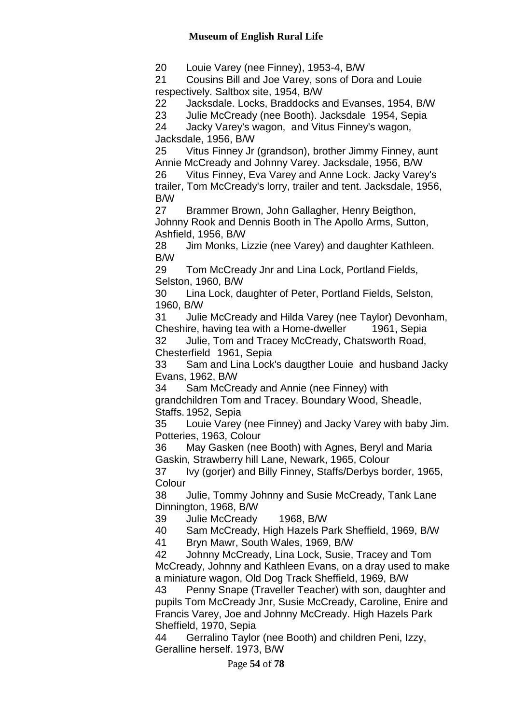20 Louie Varey (nee Finney), 1953-4, B/W

21 Cousins Bill and Joe Varey, sons of Dora and Louie respectively. Saltbox site, 1954, B/W

22 Jacksdale. Locks, Braddocks and Evanses, 1954, B/W

23 Julie McCready (nee Booth). Jacksdale 1954, Sepia

24 Jacky Varey's wagon, and Vitus Finney's wagon, Jacksdale, 1956, B/W

25 Vitus Finney Jr (grandson), brother Jimmy Finney, aunt Annie McCready and Johnny Varey. Jacksdale, 1956, B/W

26 Vitus Finney, Eva Varey and Anne Lock. Jacky Varey's trailer, Tom McCready's lorry, trailer and tent. Jacksdale, 1956, B/W

27 Brammer Brown, John Gallagher, Henry Beigthon, Johnny Rook and Dennis Booth in The Apollo Arms, Sutton, Ashfield, 1956, B/W

28 Jim Monks, Lizzie (nee Varey) and daughter Kathleen. B/W

29 Tom McCready Jnr and Lina Lock, Portland Fields, Selston, 1960, B/W

30 Lina Lock, daughter of Peter, Portland Fields, Selston, 1960, B/W

31 Julie McCready and Hilda Varey (nee Taylor) Devonham, Cheshire, having tea with a Home-dweller 1961, Sepia

32 Julie, Tom and Tracey McCready, Chatsworth Road, Chesterfield 1961, Sepia

33 Sam and Lina Lock's daugther Louie and husband Jacky Evans, 1962, B/W

34 Sam McCready and Annie (nee Finney) with grandchildren Tom and Tracey. Boundary Wood, Sheadle, Staffs. 1952, Sepia

35 Louie Varey (nee Finney) and Jacky Varey with baby Jim. Potteries, 1963, Colour

36 May Gasken (nee Booth) with Agnes, Beryl and Maria Gaskin, Strawberry hill Lane, Newark, 1965, Colour

37 Ivy (gorjer) and Billy Finney, Staffs/Derbys border, 1965, **Colour** 

38 Julie, Tommy Johnny and Susie McCready, Tank Lane Dinnington, 1968, B/W

39 Julie McCready 1968, B/W

40 Sam McCready, High Hazels Park Sheffield, 1969, B/W

41 Bryn Mawr, South Wales, 1969, B/W

42 Johnny McCready, Lina Lock, Susie, Tracey and Tom McCready, Johnny and Kathleen Evans, on a dray used to make a miniature wagon, Old Dog Track Sheffield, 1969, B/W

43 Penny Snape (Traveller Teacher) with son, daughter and pupils Tom McCready Jnr, Susie McCready, Caroline, Enire and Francis Varey, Joe and Johnny McCready. High Hazels Park Sheffield, 1970, Sepia

44 Gerralino Taylor (nee Booth) and children Peni, Izzy, Geralline herself. 1973, B/W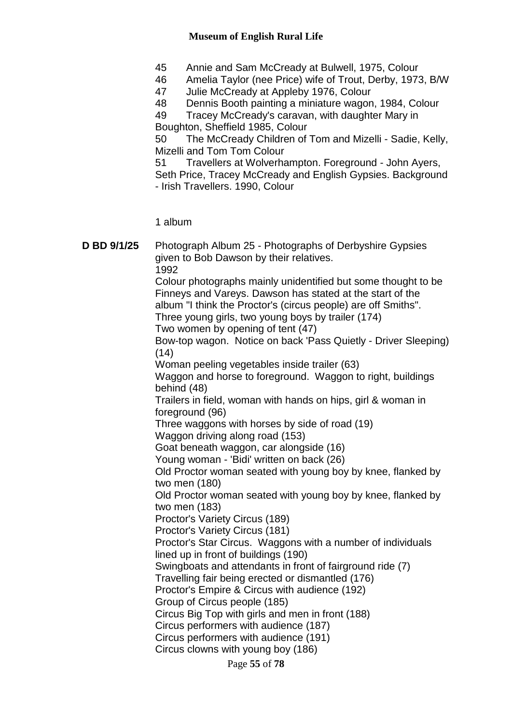- 45 Annie and Sam McCready at Bulwell, 1975, Colour
- 46 Amelia Taylor (nee Price) wife of Trout, Derby, 1973, B/W<br>47 Julie McCready at Appleby 1976, Colour
- Julie McCready at Appleby 1976, Colour
- 48 Dennis Booth painting a miniature wagon, 1984, Colour

49 Tracey McCready's caravan, with daughter Mary in Boughton, Sheffield 1985, Colour

50 The McCready Children of Tom and Mizelli - Sadie, Kelly, Mizelli and Tom Tom Colour

51 Travellers at Wolverhampton. Foreground - John Ayers, Seth Price, Tracey McCready and English Gypsies. Background - Irish Travellers. 1990, Colour

1 album

| D BD 9/1/25 | Photograph Album 25 - Photographs of Derbyshire Gypsies<br>given to Bob Dawson by their relatives.<br>1992                                                                                                                                                                             |
|-------------|----------------------------------------------------------------------------------------------------------------------------------------------------------------------------------------------------------------------------------------------------------------------------------------|
|             | Colour photographs mainly unidentified but some thought to be<br>Finneys and Vareys. Dawson has stated at the start of the<br>album "I think the Proctor's (circus people) are off Smiths".<br>Three young girls, two young boys by trailer (174)<br>Two women by opening of tent (47) |
|             | Bow-top wagon. Notice on back 'Pass Quietly - Driver Sleeping)                                                                                                                                                                                                                         |
|             | (14)<br>Woman peeling vegetables inside trailer (63)                                                                                                                                                                                                                                   |
|             | Waggon and horse to foreground. Waggon to right, buildings<br>behind (48)                                                                                                                                                                                                              |
|             | Trailers in field, woman with hands on hips, girl & woman in<br>foreground (96)                                                                                                                                                                                                        |
|             | Three waggons with horses by side of road (19)                                                                                                                                                                                                                                         |
|             | Waggon driving along road (153)                                                                                                                                                                                                                                                        |
|             | Goat beneath waggon, car alongside (16)                                                                                                                                                                                                                                                |
|             | Young woman - 'Bidi' written on back (26)                                                                                                                                                                                                                                              |
|             | Old Proctor woman seated with young boy by knee, flanked by<br>two men (180)                                                                                                                                                                                                           |
|             | Old Proctor woman seated with young boy by knee, flanked by<br>two men (183)                                                                                                                                                                                                           |
|             | Proctor's Variety Circus (189)                                                                                                                                                                                                                                                         |
|             | Proctor's Variety Circus (181)                                                                                                                                                                                                                                                         |
|             | Proctor's Star Circus. Waggons with a number of individuals<br>lined up in front of buildings (190)                                                                                                                                                                                    |
|             | Swingboats and attendants in front of fairground ride (7)                                                                                                                                                                                                                              |
|             | Travelling fair being erected or dismantled (176)                                                                                                                                                                                                                                      |
|             | Proctor's Empire & Circus with audience (192)                                                                                                                                                                                                                                          |
|             | Group of Circus people (185)                                                                                                                                                                                                                                                           |
|             | Circus Big Top with girls and men in front (188)                                                                                                                                                                                                                                       |
|             | Circus performers with audience (187)                                                                                                                                                                                                                                                  |
|             | Circus performers with audience (191)                                                                                                                                                                                                                                                  |
|             | Circus clowns with young boy (186)                                                                                                                                                                                                                                                     |
|             | Page 55 of 78                                                                                                                                                                                                                                                                          |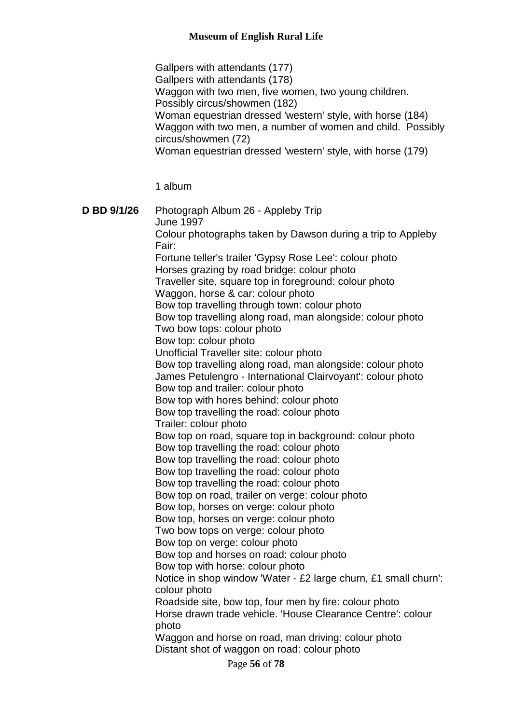Gallpers with attendants (177) Gallpers with attendants (178) Waggon with two men, five women, two young children. Possibly circus/showmen (182) Woman equestrian dressed 'western' style, with horse (184) Waggon with two men, a number of women and child. Possibly circus/showmen (72) Woman equestrian dressed 'western' style, with horse (179)

1 album

**D BD 9/1/26** Photograph Album 26 - Appleby Trip June 1997 Colour photographs taken by Dawson during a trip to Appleby Fair: Fortune teller's trailer 'Gypsy Rose Lee': colour photo Horses grazing by road bridge: colour photo Traveller site, square top in foreground: colour photo Waggon, horse & car: colour photo Bow top travelling through town: colour photo Bow top travelling along road, man alongside: colour photo Two bow tops: colour photo Bow top: colour photo Unofficial Traveller site: colour photo Bow top travelling along road, man alongside: colour photo James Petulengro - International Clairvoyant': colour photo Bow top and trailer: colour photo Bow top with hores behind: colour photo Bow top travelling the road: colour photo Trailer: colour photo Bow top on road, square top in background: colour photo Bow top travelling the road: colour photo Bow top travelling the road: colour photo Bow top travelling the road: colour photo Bow top travelling the road: colour photo Bow top on road, trailer on verge: colour photo Bow top, horses on verge: colour photo Bow top, horses on verge: colour photo Two bow tops on verge: colour photo Bow top on verge: colour photo Bow top and horses on road: colour photo Bow top with horse: colour photo Notice in shop window 'Water - £2 large churn, £1 small churn': colour photo Roadside site, bow top, four men by fire: colour photo Horse drawn trade vehicle. 'House Clearance Centre': colour photo Waggon and horse on road, man driving: colour photo Distant shot of waggon on road: colour photo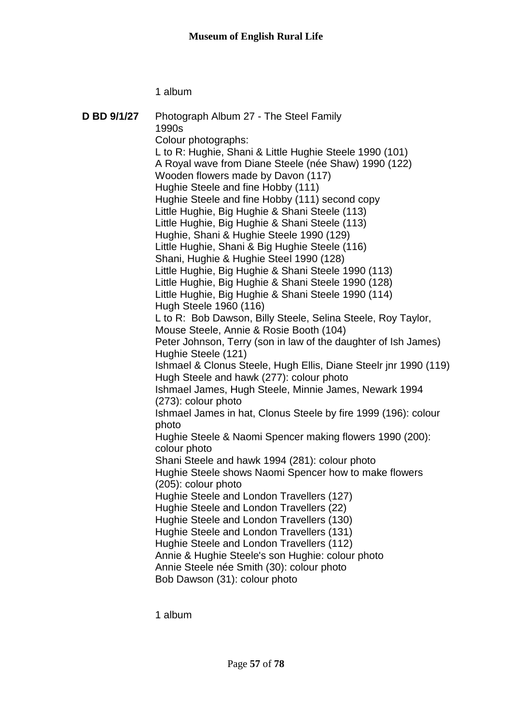1 album

| D BD 9/1/27 | Photograph Album 27 - The Steel Family<br>1990s<br>Colour photographs: |
|-------------|------------------------------------------------------------------------|
|             | L to R: Hughie, Shani & Little Hughie Steele 1990 (101)                |
|             | A Royal wave from Diane Steele (née Shaw) 1990 (122)                   |
|             | Wooden flowers made by Davon (117)                                     |
|             | Hughie Steele and fine Hobby (111)                                     |
|             | Hughie Steele and fine Hobby (111) second copy                         |
|             | Little Hughie, Big Hughie & Shani Steele (113)                         |
|             | Little Hughie, Big Hughie & Shani Steele (113)                         |
|             | Hughie, Shani & Hughie Steele 1990 (129)                               |
|             | Little Hughie, Shani & Big Hughie Steele (116)                         |
|             | Shani, Hughie & Hughie Steel 1990 (128)                                |
|             | Little Hughie, Big Hughie & Shani Steele 1990 (113)                    |
|             | Little Hughie, Big Hughie & Shani Steele 1990 (128)                    |
|             | Little Hughie, Big Hughie & Shani Steele 1990 (114)                    |
|             | Hugh Steele 1960 (116)                                                 |
|             | L to R: Bob Dawson, Billy Steele, Selina Steele, Roy Taylor,           |
|             | Mouse Steele, Annie & Rosie Booth (104)                                |
|             | Peter Johnson, Terry (son in law of the daughter of Ish James)         |
|             | Hughie Steele (121)                                                    |
|             | Ishmael & Clonus Steele, Hugh Ellis, Diane Steelr jnr 1990 (119)       |
|             | Hugh Steele and hawk (277): colour photo                               |
|             | Ishmael James, Hugh Steele, Minnie James, Newark 1994                  |
|             | (273): colour photo                                                    |
|             | Ishmael James in hat, Clonus Steele by fire 1999 (196): colour         |
|             | photo                                                                  |
|             | Hughie Steele & Naomi Spencer making flowers 1990 (200):               |
|             | colour photo                                                           |
|             | Shani Steele and hawk 1994 (281): colour photo                         |
|             | Hughie Steele shows Naomi Spencer how to make flowers                  |
|             | (205): colour photo                                                    |
|             | Hughie Steele and London Travellers (127)                              |
|             | Hughie Steele and London Travellers (22)                               |
|             | Hughie Steele and London Travellers (130)                              |
|             | Hughie Steele and London Travellers (131)                              |
|             | Hughie Steele and London Travellers (112)                              |
|             | Annie & Hughie Steele's son Hughie: colour photo                       |
|             | Annie Steele née Smith (30): colour photo                              |
|             | Bob Dawson (31): colour photo                                          |
|             |                                                                        |

1 album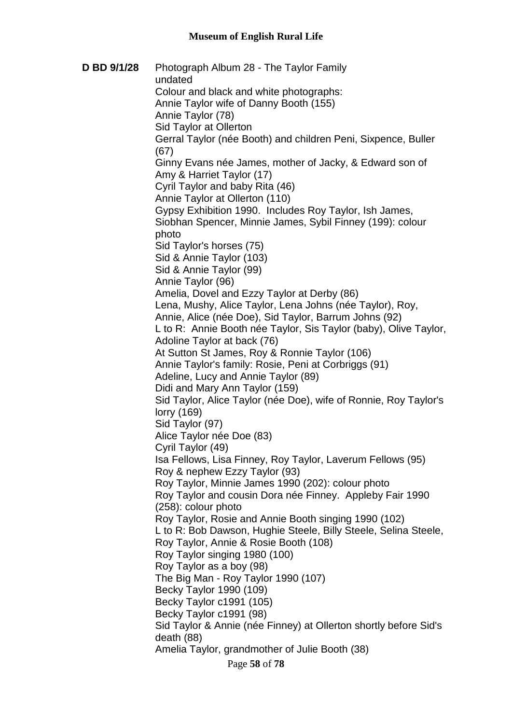**D BD 9/1/28** Photograph Album 28 - The Taylor Family undated Colour and black and white photographs: Annie Taylor wife of Danny Booth (155) Annie Taylor (78) Sid Taylor at Ollerton Gerral Taylor (née Booth) and children Peni, Sixpence, Buller (67) Ginny Evans née James, mother of Jacky, & Edward son of Amy & Harriet Taylor (17) Cyril Taylor and baby Rita (46) Annie Taylor at Ollerton (110) Gypsy Exhibition 1990. Includes Roy Taylor, Ish James, Siobhan Spencer, Minnie James, Sybil Finney (199): colour photo Sid Taylor's horses (75) Sid & Annie Taylor (103) Sid & Annie Taylor (99) Annie Taylor (96) Amelia, Dovel and Ezzy Taylor at Derby (86) Lena, Mushy, Alice Taylor, Lena Johns (née Taylor), Roy, Annie, Alice (née Doe), Sid Taylor, Barrum Johns (92) L to R: Annie Booth née Taylor, Sis Taylor (baby), Olive Taylor, Adoline Taylor at back (76) At Sutton St James, Roy & Ronnie Taylor (106) Annie Taylor's family: Rosie, Peni at Corbriggs (91) Adeline, Lucy and Annie Taylor (89) Didi and Mary Ann Taylor (159) Sid Taylor, Alice Taylor (née Doe), wife of Ronnie, Roy Taylor's lorry (169) Sid Taylor (97) Alice Taylor née Doe (83) Cyril Taylor (49) Isa Fellows, Lisa Finney, Roy Taylor, Laverum Fellows (95) Roy & nephew Ezzy Taylor (93) Roy Taylor, Minnie James 1990 (202): colour photo Roy Taylor and cousin Dora née Finney. Appleby Fair 1990 (258): colour photo Roy Taylor, Rosie and Annie Booth singing 1990 (102) L to R: Bob Dawson, Hughie Steele, Billy Steele, Selina Steele, Roy Taylor, Annie & Rosie Booth (108) Roy Taylor singing 1980 (100) Roy Taylor as a boy (98) The Big Man - Roy Taylor 1990 (107) Becky Taylor 1990 (109) Becky Taylor c1991 (105) Becky Taylor c1991 (98) Sid Taylor & Annie (née Finney) at Ollerton shortly before Sid's death (88) Amelia Taylor, grandmother of Julie Booth (38)

Page **58** of **78**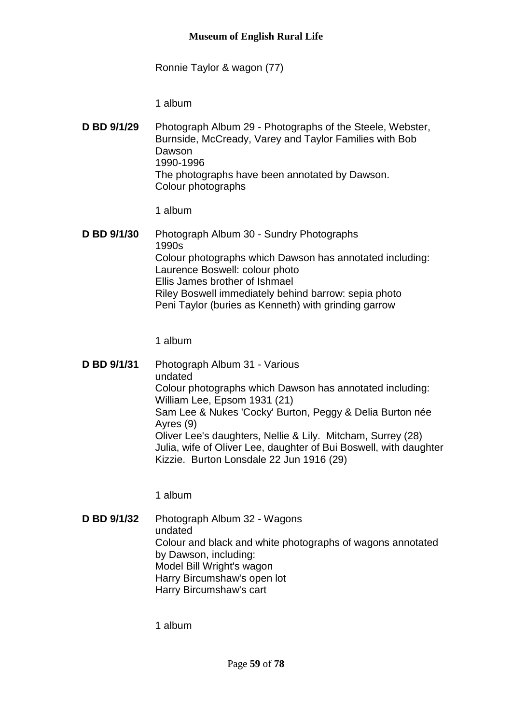Ronnie Taylor & wagon (77)

1 album

**D BD 9/1/29** Photograph Album 29 - Photographs of the Steele, Webster, Burnside, McCready, Varey and Taylor Families with Bob Dawson 1990-1996 The photographs have been annotated by Dawson. Colour photographs

1 album

**D BD 9/1/30** Photograph Album 30 - Sundry Photographs 1990s Colour photographs which Dawson has annotated including: Laurence Boswell: colour photo Ellis James brother of Ishmael Riley Boswell immediately behind barrow: sepia photo Peni Taylor (buries as Kenneth) with grinding garrow

1 album

**D BD 9/1/31** Photograph Album 31 - Various undated Colour photographs which Dawson has annotated including: William Lee, Epsom 1931 (21) Sam Lee & Nukes 'Cocky' Burton, Peggy & Delia Burton née Ayres (9) Oliver Lee's daughters, Nellie & Lily. Mitcham, Surrey (28) Julia, wife of Oliver Lee, daughter of Bui Boswell, with daughter Kizzie. Burton Lonsdale 22 Jun 1916 (29)

1 album

**D BD 9/1/32** Photograph Album 32 - Wagons undated Colour and black and white photographs of wagons annotated by Dawson, including: Model Bill Wright's wagon Harry Bircumshaw's open lot Harry Bircumshaw's cart

1 album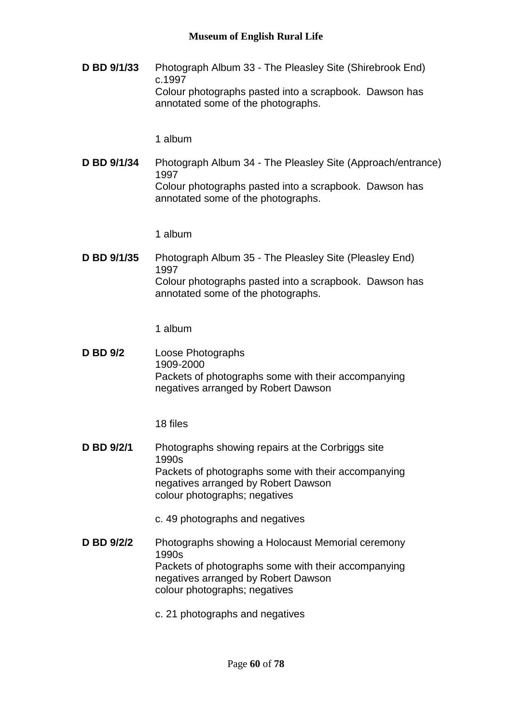**D BD 9/1/33** Photograph Album 33 - The Pleasley Site (Shirebrook End) c.1997 Colour photographs pasted into a scrapbook. Dawson has annotated some of the photographs.

1 album

**D BD 9/1/34** Photograph Album 34 - The Pleasley Site (Approach/entrance) 1997 Colour photographs pasted into a scrapbook. Dawson has annotated some of the photographs.

1 album

**D BD 9/1/35** Photograph Album 35 - The Pleasley Site (Pleasley End) 1997 Colour photographs pasted into a scrapbook. Dawson has annotated some of the photographs.

1 album

**D BD 9/2** Loose Photographs 1909-2000 Packets of photographs some with their accompanying negatives arranged by Robert Dawson

18 files

**D BD 9/2/1** Photographs showing repairs at the Corbriggs site 1990s Packets of photographs some with their accompanying negatives arranged by Robert Dawson colour photographs; negatives

c. 49 photographs and negatives

- **D BD 9/2/2** Photographs showing a Holocaust Memorial ceremony 1990s Packets of photographs some with their accompanying negatives arranged by Robert Dawson colour photographs; negatives
	- c. 21 photographs and negatives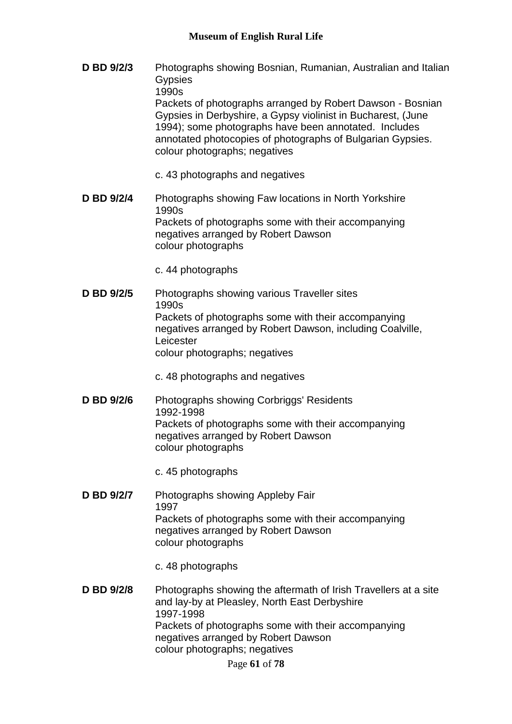- **D BD 9/2/3** Photographs showing Bosnian, Rumanian, Australian and Italian **Gypsies** 1990s Packets of photographs arranged by Robert Dawson - Bosnian Gypsies in Derbyshire, a Gypsy violinist in Bucharest, (June 1994); some photographs have been annotated. Includes annotated photocopies of photographs of Bulgarian Gypsies. colour photographs; negatives
	- c. 43 photographs and negatives
- **D BD 9/2/4** Photographs showing Faw locations in North Yorkshire 1990s Packets of photographs some with their accompanying negatives arranged by Robert Dawson colour photographs
	- c. 44 photographs
- **D BD 9/2/5** Photographs showing various Traveller sites 1990s Packets of photographs some with their accompanying negatives arranged by Robert Dawson, including Coalville, Leicester colour photographs; negatives
	- c. 48 photographs and negatives
- **D BD 9/2/6** Photographs showing Corbriggs' Residents 1992-1998 Packets of photographs some with their accompanying negatives arranged by Robert Dawson colour photographs
	- c. 45 photographs
- **D BD 9/2/7** Photographs showing Appleby Fair 1997 Packets of photographs some with their accompanying negatives arranged by Robert Dawson colour photographs
	- c. 48 photographs
- **D BD 9/2/8** Photographs showing the aftermath of Irish Travellers at a site and lay-by at Pleasley, North East Derbyshire 1997-1998 Packets of photographs some with their accompanying negatives arranged by Robert Dawson colour photographs; negatives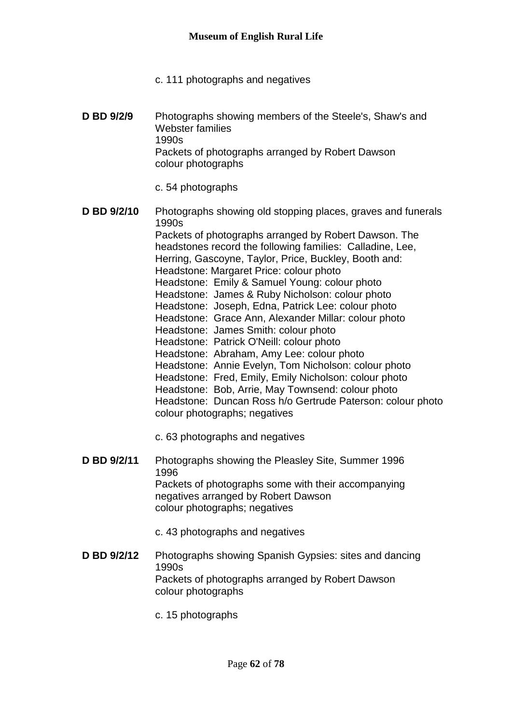- c. 111 photographs and negatives
- **D BD 9/2/9** Photographs showing members of the Steele's, Shaw's and Webster families 1990s Packets of photographs arranged by Robert Dawson colour photographs
	- c. 54 photographs
- **D BD 9/2/10** Photographs showing old stopping places, graves and funerals 1990s Packets of photographs arranged by Robert Dawson. The headstones record the following families: Calladine, Lee, Herring, Gascoyne, Taylor, Price, Buckley, Booth and: Headstone: Margaret Price: colour photo Headstone: Emily & Samuel Young: colour photo Headstone: James & Ruby Nicholson: colour photo Headstone: Joseph, Edna, Patrick Lee: colour photo Headstone: Grace Ann, Alexander Millar: colour photo Headstone: James Smith: colour photo Headstone: Patrick O'Neill: colour photo Headstone: Abraham, Amy Lee: colour photo Headstone: Annie Evelyn, Tom Nicholson: colour photo Headstone: Fred, Emily, Emily Nicholson: colour photo Headstone: Bob, Arrie, May Townsend: colour photo Headstone: Duncan Ross h/o Gertrude Paterson: colour photo colour photographs; negatives
	- c. 63 photographs and negatives
- **D BD 9/2/11** Photographs showing the Pleasley Site, Summer 1996 1996 Packets of photographs some with their accompanying negatives arranged by Robert Dawson colour photographs; negatives
	- c. 43 photographs and negatives
- **D BD 9/2/12** Photographs showing Spanish Gypsies: sites and dancing 1990s Packets of photographs arranged by Robert Dawson colour photographs
	- c. 15 photographs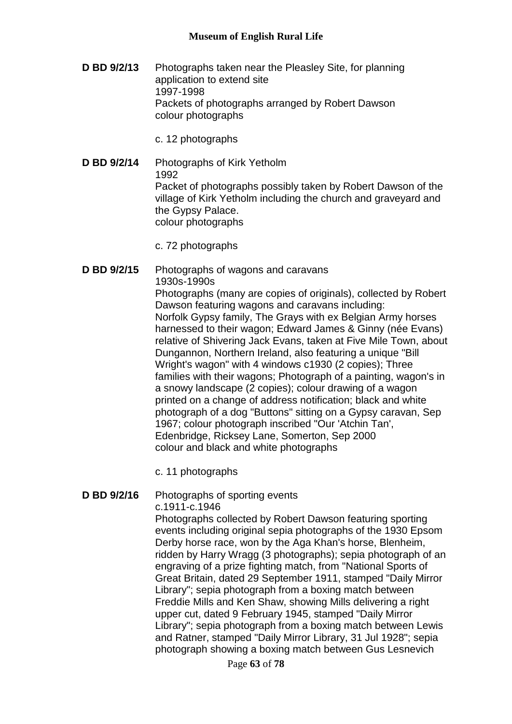- **D BD 9/2/13** Photographs taken near the Pleasley Site, for planning application to extend site 1997-1998 Packets of photographs arranged by Robert Dawson colour photographs
	- c. 12 photographs
- **D BD 9/2/14** Photographs of Kirk Yetholm 1992 Packet of photographs possibly taken by Robert Dawson of the village of Kirk Yetholm including the church and graveyard and the Gypsy Palace. colour photographs
	- c. 72 photographs
- **D BD 9/2/15** Photographs of wagons and caravans 1930s-1990s

Photographs (many are copies of originals), collected by Robert Dawson featuring wagons and caravans including: Norfolk Gypsy family, The Grays with ex Belgian Army horses harnessed to their wagon; Edward James & Ginny (née Evans) relative of Shivering Jack Evans, taken at Five Mile Town, about Dungannon, Northern Ireland, also featuring a unique "Bill Wright's wagon" with 4 windows c1930 (2 copies); Three families with their wagons; Photograph of a painting, wagon's in a snowy landscape (2 copies); colour drawing of a wagon printed on a change of address notification; black and white photograph of a dog "Buttons" sitting on a Gypsy caravan, Sep 1967; colour photograph inscribed "Our 'Atchin Tan', Edenbridge, Ricksey Lane, Somerton, Sep 2000 colour and black and white photographs

c. 11 photographs

# **D BD 9/2/16** Photographs of sporting events

c.1911-c.1946

Photographs collected by Robert Dawson featuring sporting events including original sepia photographs of the 1930 Epsom Derby horse race, won by the Aga Khan's horse, Blenheim, ridden by Harry Wragg (3 photographs); sepia photograph of an engraving of a prize fighting match, from "National Sports of Great Britain, dated 29 September 1911, stamped "Daily Mirror Library"; sepia photograph from a boxing match between Freddie Mills and Ken Shaw, showing Mills delivering a right upper cut, dated 9 February 1945, stamped "Daily Mirror Library"; sepia photograph from a boxing match between Lewis and Ratner, stamped "Daily Mirror Library, 31 Jul 1928"; sepia photograph showing a boxing match between Gus Lesnevich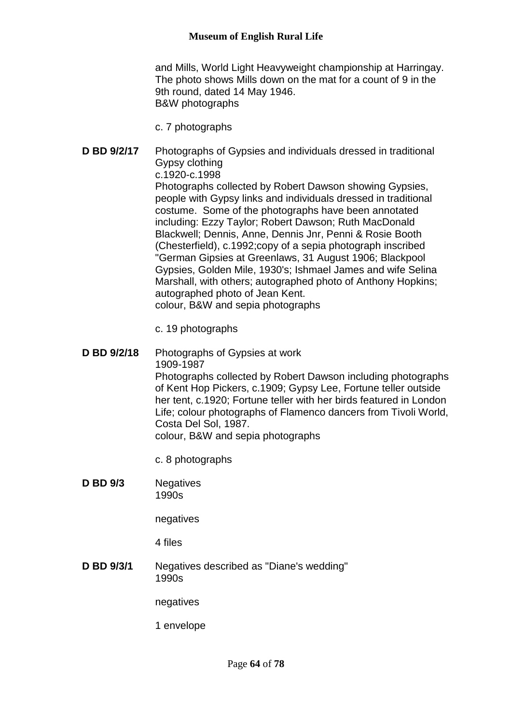and Mills, World Light Heavyweight championship at Harringay. The photo shows Mills down on the mat for a count of 9 in the 9th round, dated 14 May 1946. B&W photographs

c. 7 photographs

- **D BD 9/2/17** Photographs of Gypsies and individuals dressed in traditional Gypsy clothing c.1920-c.1998 Photographs collected by Robert Dawson showing Gypsies, people with Gypsy links and individuals dressed in traditional costume. Some of the photographs have been annotated including: Ezzy Taylor; Robert Dawson; Ruth MacDonald Blackwell; Dennis, Anne, Dennis Jnr, Penni & Rosie Booth (Chesterfield), c.1992;copy of a sepia photograph inscribed "German Gipsies at Greenlaws, 31 August 1906; Blackpool Gypsies, Golden Mile, 1930's; Ishmael James and wife Selina Marshall, with others; autographed photo of Anthony Hopkins; autographed photo of Jean Kent. colour, B&W and sepia photographs
	- c. 19 photographs
- **D BD 9/2/18** Photographs of Gypsies at work 1909-1987 Photographs collected by Robert Dawson including photographs of Kent Hop Pickers, c.1909; Gypsy Lee, Fortune teller outside her tent, c.1920; Fortune teller with her birds featured in London Life; colour photographs of Flamenco dancers from Tivoli World, Costa Del Sol, 1987. colour, B&W and sepia photographs

c. 8 photographs

**D BD 9/3** Negatives 1990s

negatives

4 files

**D BD 9/3/1** Negatives described as "Diane's wedding" 1990s

negatives

1 envelope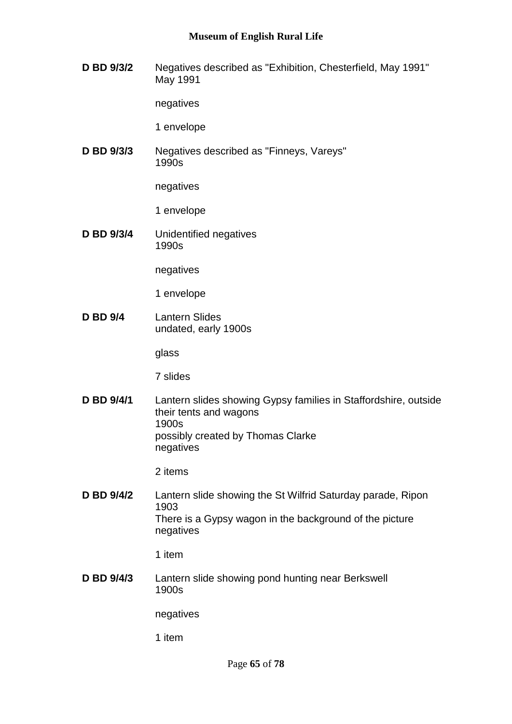**D BD 9/3/2** Negatives described as "Exhibition, Chesterfield, May 1991" May 1991

negatives

1 envelope

**D BD 9/3/3** Negatives described as "Finneys, Vareys" 1990s

negatives

1 envelope

**D BD 9/3/4** Unidentified negatives 1990s

negatives

1 envelope

**D BD 9/4** Lantern Slides undated, early 1900s

glass

7 slides

**D BD 9/4/1** Lantern slides showing Gypsy families in Staffordshire, outside their tents and wagons 1900s possibly created by Thomas Clarke negatives

2 items

**D BD 9/4/2** Lantern slide showing the St Wilfrid Saturday parade, Ripon 1903 There is a Gypsy wagon in the background of the picture negatives

1 item

**D BD 9/4/3** Lantern slide showing pond hunting near Berkswell 1900s

negatives

1 item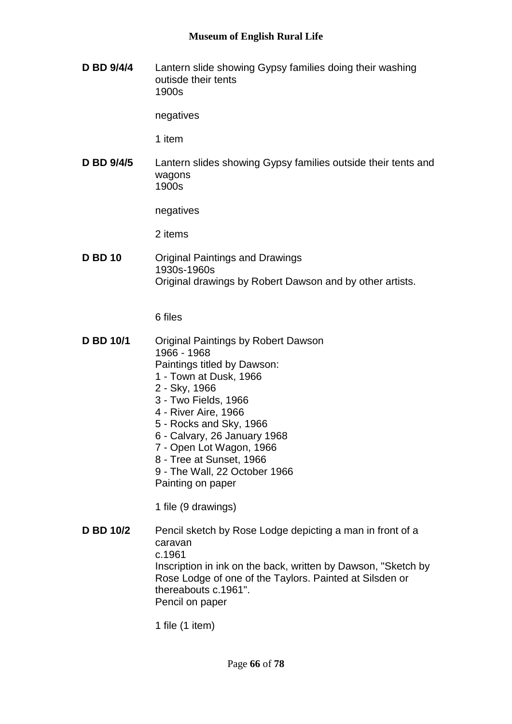**D BD 9/4/4** Lantern slide showing Gypsy families doing their washing outisde their tents 1900s

negatives

1 item

**D BD 9/4/5** Lantern slides showing Gypsy families outside their tents and wagons 1900s

negatives

2 items

**D BD 10** Original Paintings and Drawings 1930s-1960s Original drawings by Robert Dawson and by other artists.

6 files

- **D BD 10/1** Original Paintings by Robert Dawson 1966 - 1968 Paintings titled by Dawson: 1 - Town at Dusk, 1966 2 - Sky, 1966 3 - Two Fields, 1966 4 - River Aire, 1966 5 - Rocks and Sky, 1966
	- 6 Calvary, 26 January 1968
	- 7 Open Lot Wagon, 1966
	- 8 Tree at Sunset, 1966
	- 9 The Wall, 22 October 1966

Painting on paper

1 file (9 drawings)

**D BD 10/2** Pencil sketch by Rose Lodge depicting a man in front of a caravan c.1961 Inscription in ink on the back, written by Dawson, "Sketch by Rose Lodge of one of the Taylors. Painted at Silsden or thereabouts c.1961". Pencil on paper

1 file (1 item)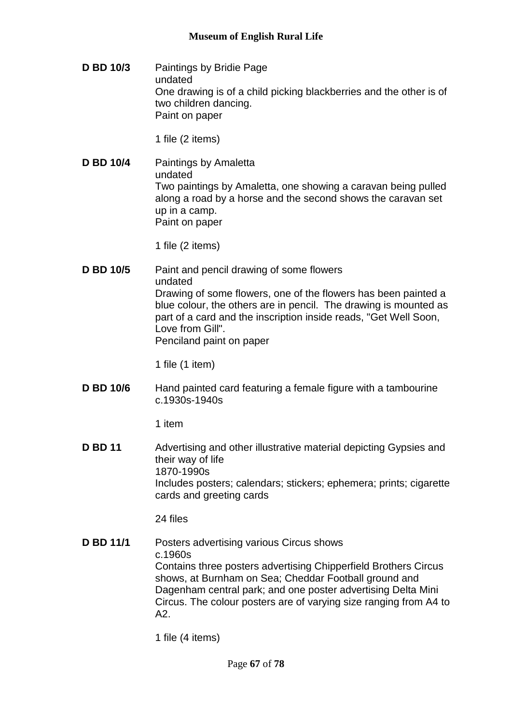**D BD 10/3** Paintings by Bridie Page undated One drawing is of a child picking blackberries and the other is of two children dancing. Paint on paper

1 file (2 items)

**D BD 10/4** Paintings by Amaletta undated Two paintings by Amaletta, one showing a caravan being pulled along a road by a horse and the second shows the caravan set up in a camp. Paint on paper

1 file (2 items)

**D BD 10/5** Paint and pencil drawing of some flowers undated Drawing of some flowers, one of the flowers has been painted a blue colour, the others are in pencil. The drawing is mounted as part of a card and the inscription inside reads, "Get Well Soon, Love from Gill". Penciland paint on paper

1 file (1 item)

**D BD 10/6** Hand painted card featuring a female figure with a tambourine c.1930s-1940s

1 item

**D BD 11** Advertising and other illustrative material depicting Gypsies and their way of life 1870-1990s Includes posters; calendars; stickers; ephemera; prints; cigarette cards and greeting cards

24 files

**D BD 11/1** Posters advertising various Circus shows c.1960s Contains three posters advertising Chipperfield Brothers Circus shows, at Burnham on Sea; Cheddar Football ground and Dagenham central park; and one poster advertising Delta Mini Circus. The colour posters are of varying size ranging from A4 to A2.

1 file (4 items)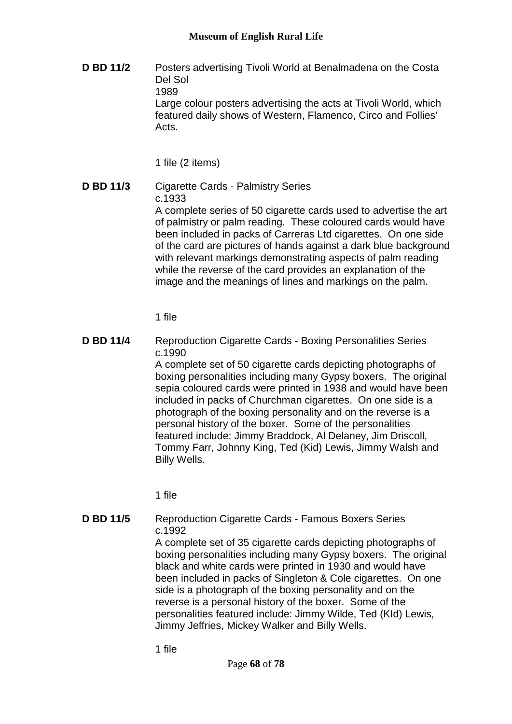**D BD 11/2** Posters advertising Tivoli World at Benalmadena on the Costa Del Sol 1989 Large colour posters advertising the acts at Tivoli World, which featured daily shows of Western, Flamenco, Circo and Follies' Acts.

1 file (2 items)

**D BD 11/3** Cigarette Cards - Palmistry Series c.1933 A complete series of 50 cigarette cards used to advertise the art of palmistry or palm reading. These coloured cards would have been included in packs of Carreras Ltd cigarettes. On one side of the card are pictures of hands against a dark blue background with relevant markings demonstrating aspects of palm reading while the reverse of the card provides an explanation of the

1 file

**D BD 11/4** Reproduction Cigarette Cards - Boxing Personalities Series c.1990

A complete set of 50 cigarette cards depicting photographs of boxing personalities including many Gypsy boxers. The original sepia coloured cards were printed in 1938 and would have been included in packs of Churchman cigarettes. On one side is a photograph of the boxing personality and on the reverse is a personal history of the boxer. Some of the personalities featured include: Jimmy Braddock, Al Delaney, Jim Driscoll, Tommy Farr, Johnny King, Ted (Kid) Lewis, Jimmy Walsh and Billy Wells.

image and the meanings of lines and markings on the palm.

1 file

**D BD 11/5** Reproduction Cigarette Cards - Famous Boxers Series c.1992 A complete set of 35 cigarette cards depicting photographs of boxing personalities including many Gypsy boxers. The original black and white cards were printed in 1930 and would have been included in packs of Singleton & Cole cigarettes. On one side is a photograph of the boxing personality and on the reverse is a personal history of the boxer. Some of the personalities featured include: Jimmy Wilde, Ted (KId) Lewis, Jimmy Jeffries, Mickey Walker and Billy Wells.

1 file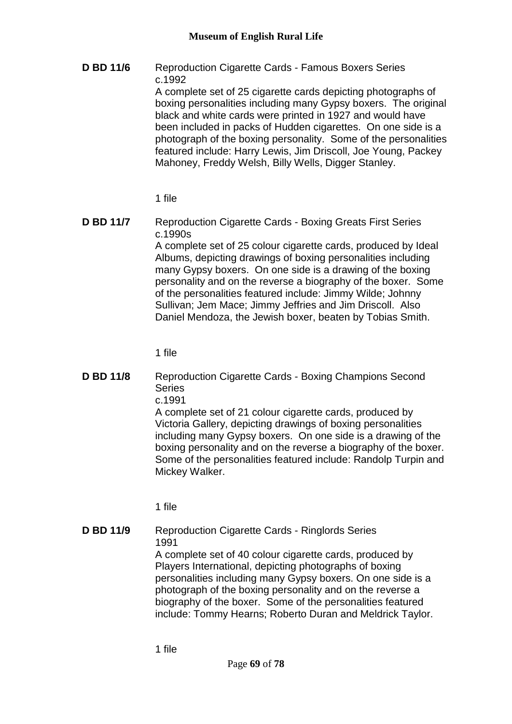**D BD 11/6** Reproduction Cigarette Cards - Famous Boxers Series c.1992 A complete set of 25 cigarette cards depicting photographs of boxing personalities including many Gypsy boxers. The original black and white cards were printed in 1927 and would have been included in packs of Hudden cigarettes. On one side is a photograph of the boxing personality. Some of the personalities featured include: Harry Lewis, Jim Driscoll, Joe Young, Packey Mahoney, Freddy Welsh, Billy Wells, Digger Stanley.

1 file

**D BD 11/7** Reproduction Cigarette Cards - Boxing Greats First Series c.1990s A complete set of 25 colour cigarette cards, produced by Ideal Albums, depicting drawings of boxing personalities including many Gypsy boxers. On one side is a drawing of the boxing personality and on the reverse a biography of the boxer. Some of the personalities featured include: Jimmy Wilde; Johnny Sullivan; Jem Mace; Jimmy Jeffries and Jim Driscoll. Also Daniel Mendoza, the Jewish boxer, beaten by Tobias Smith.

1 file

**D BD 11/8** Reproduction Cigarette Cards - Boxing Champions Second **Series** 

c.1991

A complete set of 21 colour cigarette cards, produced by Victoria Gallery, depicting drawings of boxing personalities including many Gypsy boxers. On one side is a drawing of the boxing personality and on the reverse a biography of the boxer. Some of the personalities featured include: Randolp Turpin and Mickey Walker.

1 file

# **D BD 11/9** Reproduction Cigarette Cards - Ringlords Series 1991

A complete set of 40 colour cigarette cards, produced by Players International, depicting photographs of boxing personalities including many Gypsy boxers. On one side is a photograph of the boxing personality and on the reverse a biography of the boxer. Some of the personalities featured include: Tommy Hearns; Roberto Duran and Meldrick Taylor.

1 file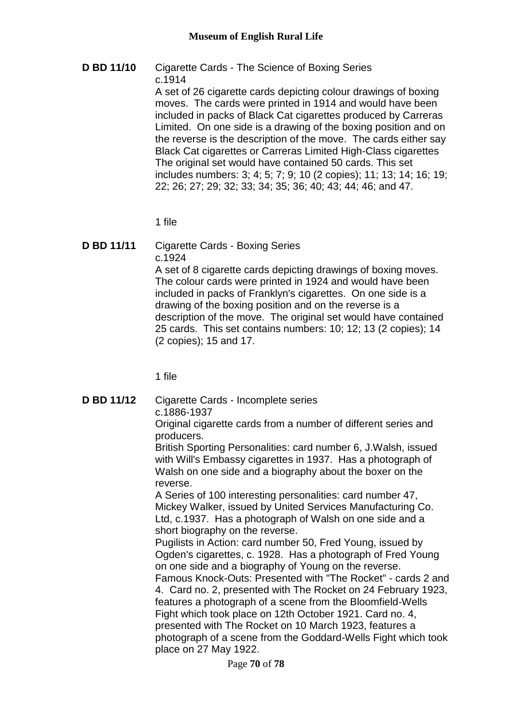# **D BD 11/10** Cigarette Cards - The Science of Boxing Series c.1914

A set of 26 cigarette cards depicting colour drawings of boxing moves. The cards were printed in 1914 and would have been included in packs of Black Cat cigarettes produced by Carreras Limited. On one side is a drawing of the boxing position and on the reverse is the description of the move. The cards either say Black Cat cigarettes or Carreras Limited High-Class cigarettes The original set would have contained 50 cards. This set includes numbers: 3; 4; 5; 7; 9; 10 (2 copies); 11; 13; 14; 16; 19; 22; 26; 27; 29; 32; 33; 34; 35; 36; 40; 43; 44; 46; and 47.

1 file

#### **D BD 11/11** Cigarette Cards - Boxing Series c.1924

A set of 8 cigarette cards depicting drawings of boxing moves. The colour cards were printed in 1924 and would have been included in packs of Franklyn's cigarettes. On one side is a drawing of the boxing position and on the reverse is a description of the move. The original set would have contained 25 cards. This set contains numbers: 10; 12; 13 (2 copies); 14 (2 copies); 15 and 17.

1 file

# **D BD 11/12** Cigarette Cards - Incomplete series c.1886-1937

Original cigarette cards from a number of different series and producers.

British Sporting Personalities: card number 6, J.Walsh, issued with Will's Embassy cigarettes in 1937. Has a photograph of Walsh on one side and a biography about the boxer on the reverse.

A Series of 100 interesting personalities: card number 47, Mickey Walker, issued by United Services Manufacturing Co. Ltd, c.1937. Has a photograph of Walsh on one side and a short biography on the reverse.

Pugilists in Action: card number 50, Fred Young, issued by Ogden's cigarettes, c. 1928. Has a photograph of Fred Young on one side and a biography of Young on the reverse.

Famous Knock-Outs: Presented with "The Rocket" - cards 2 and 4. Card no. 2, presented with The Rocket on 24 February 1923, features a photograph of a scene from the Bloomfield-Wells Fight which took place on 12th October 1921. Card no. 4, presented with The Rocket on 10 March 1923, features a photograph of a scene from the Goddard-Wells Fight which took place on 27 May 1922.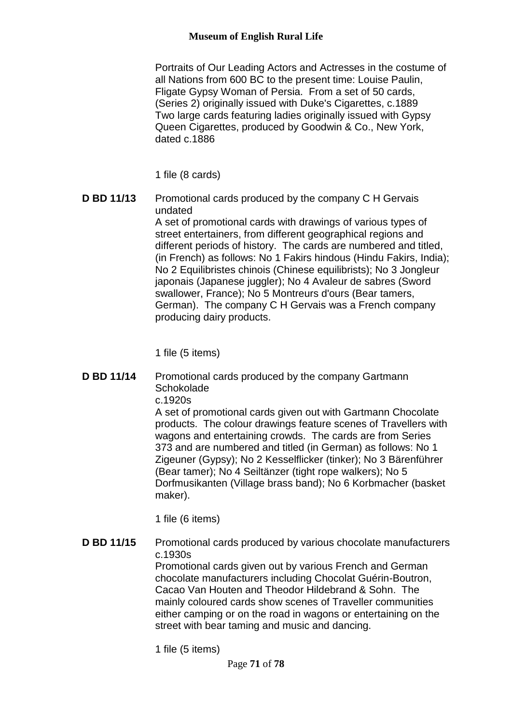Portraits of Our Leading Actors and Actresses in the costume of all Nations from 600 BC to the present time: Louise Paulin, Fligate Gypsy Woman of Persia. From a set of 50 cards, (Series 2) originally issued with Duke's Cigarettes, c.1889 Two large cards featuring ladies originally issued with Gypsy Queen Cigarettes, produced by Goodwin & Co., New York, dated c.1886

1 file (8 cards)

**D BD 11/13** Promotional cards produced by the company C H Gervais undated

A set of promotional cards with drawings of various types of street entertainers, from different geographical regions and different periods of history. The cards are numbered and titled, (in French) as follows: No 1 Fakirs hindous (Hindu Fakirs, India); No 2 Equilibristes chinois (Chinese equilibrists); No 3 Jongleur japonais (Japanese juggler); No 4 Avaleur de sabres (Sword swallower, France); No 5 Montreurs d'ours (Bear tamers, German). The company C H Gervais was a French company producing dairy products.

1 file (5 items)

**D BD 11/14** Promotional cards produced by the company Gartmann **Schokolade** 

c.1920s

A set of promotional cards given out with Gartmann Chocolate products. The colour drawings feature scenes of Travellers with wagons and entertaining crowds. The cards are from Series 373 and are numbered and titled (in German) as follows: No 1 Zigeuner (Gypsy); No 2 Kesselflicker (tinker); No 3 Bärenführer (Bear tamer); No 4 Seiltänzer (tight rope walkers); No 5 Dorfmusikanten (Village brass band); No 6 Korbmacher (basket maker).

1 file (6 items)

**D BD 11/15** Promotional cards produced by various chocolate manufacturers c.1930s Promotional cards given out by various French and German chocolate manufacturers including Chocolat Guérin-Boutron, Cacao Van Houten and Theodor Hildebrand & Sohn. The mainly coloured cards show scenes of Traveller communities either camping or on the road in wagons or entertaining on the street with bear taming and music and dancing.

1 file (5 items)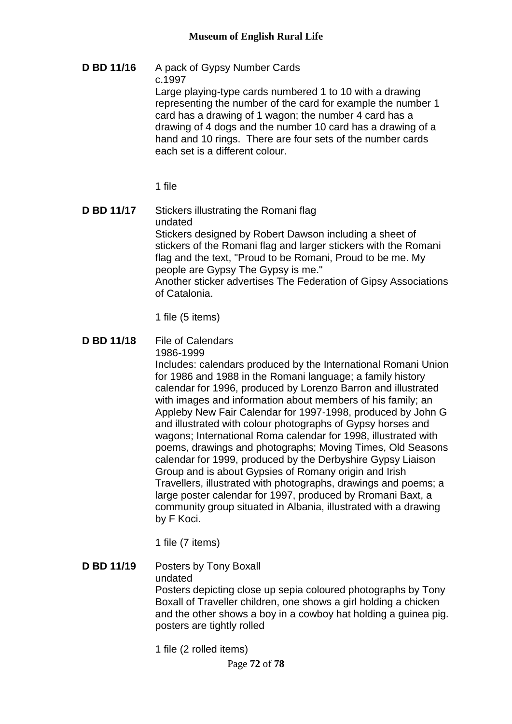**D BD 11/16** A pack of Gypsy Number Cards c.1997 Large playing-type cards numbered 1 to 10 with a drawing representing the number of the card for example the number 1 card has a drawing of 1 wagon; the number 4 card has a drawing of 4 dogs and the number 10 card has a drawing of a hand and 10 rings. There are four sets of the number cards each set is a different colour.

1 file

**D BD 11/17** Stickers illustrating the Romani flag undated Stickers designed by Robert Dawson including a sheet of stickers of the Romani flag and larger stickers with the Romani flag and the text, "Proud to be Romani, Proud to be me. My people are Gypsy The Gypsy is me." Another sticker advertises The Federation of Gipsy Associations of Catalonia.

1 file (5 items)

**D BD 11/18** File of Calendars

1986-1999

Includes: calendars produced by the International Romani Union for 1986 and 1988 in the Romani language; a family history calendar for 1996, produced by Lorenzo Barron and illustrated with images and information about members of his family; an Appleby New Fair Calendar for 1997-1998, produced by John G and illustrated with colour photographs of Gypsy horses and wagons; International Roma calendar for 1998, illustrated with poems, drawings and photographs; Moving Times, Old Seasons calendar for 1999, produced by the Derbyshire Gypsy Liaison Group and is about Gypsies of Romany origin and Irish Travellers, illustrated with photographs, drawings and poems; a large poster calendar for 1997, produced by Rromani Baxt, a community group situated in Albania, illustrated with a drawing by F Koci.

1 file (7 items)

- **D BD 11/19** Posters by Tony Boxall undated Posters depicting close up sepia coloured photographs by Tony Boxall of Traveller children, one shows a girl holding a chicken and the other shows a boy in a cowboy hat holding a guinea pig. posters are tightly rolled
	- 1 file (2 rolled items)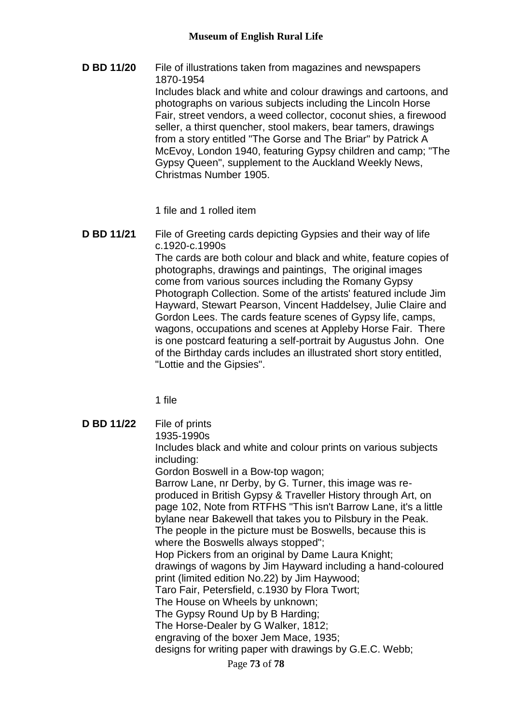**D BD 11/20** File of illustrations taken from magazines and newspapers 1870-1954 Includes black and white and colour drawings and cartoons, and photographs on various subjects including the Lincoln Horse Fair, street vendors, a weed collector, coconut shies, a firewood seller, a thirst quencher, stool makers, bear tamers, drawings from a story entitled "The Gorse and The Briar" by Patrick A McEvoy, London 1940, featuring Gypsy children and camp; "The Gypsy Queen", supplement to the Auckland Weekly News, Christmas Number 1905.

1 file and 1 rolled item

**D BD 11/21** File of Greeting cards depicting Gypsies and their way of life c.1920-c.1990s The cards are both colour and black and white, feature copies of photographs, drawings and paintings, The original images come from various sources including the Romany Gypsy Photograph Collection. Some of the artists' featured include Jim Hayward, Stewart Pearson, Vincent Haddelsey, Julie Claire and Gordon Lees. The cards feature scenes of Gypsy life, camps, wagons, occupations and scenes at Appleby Horse Fair. There is one postcard featuring a self-portrait by Augustus John. One of the Birthday cards includes an illustrated short story entitled, "Lottie and the Gipsies".

1 file

Page **73** of **78 D BD 11/22** File of prints 1935-1990s Includes black and white and colour prints on various subjects including: Gordon Boswell in a Bow-top wagon; Barrow Lane, nr Derby, by G. Turner, this image was reproduced in British Gypsy & Traveller History through Art, on page 102, Note from RTFHS "This isn't Barrow Lane, it's a little bylane near Bakewell that takes you to Pilsbury in the Peak. The people in the picture must be Boswells, because this is where the Boswells always stopped"; Hop Pickers from an original by Dame Laura Knight; drawings of wagons by Jim Hayward including a hand-coloured print (limited edition No.22) by Jim Haywood; Taro Fair, Petersfield, c.1930 by Flora Twort; The House on Wheels by unknown; The Gypsy Round Up by B Harding; The Horse-Dealer by G Walker, 1812; engraving of the boxer Jem Mace, 1935; designs for writing paper with drawings by G.E.C. Webb;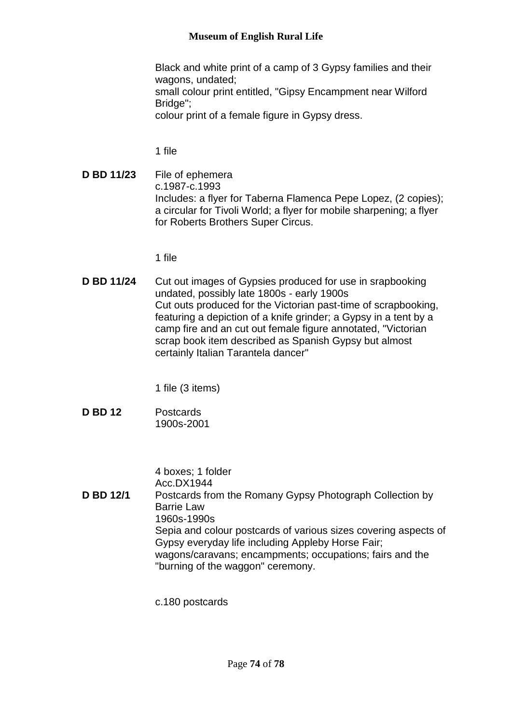## **Museum of English Rural Life**

Black and white print of a camp of 3 Gypsy families and their wagons, undated;

small colour print entitled, "Gipsy Encampment near Wilford Bridge":

colour print of a female figure in Gypsy dress.

1 file

**D BD 11/23** File of ephemera c.1987-c.1993 Includes: a flyer for Taberna Flamenca Pepe Lopez, (2 copies); a circular for Tivoli World; a flyer for mobile sharpening; a flyer for Roberts Brothers Super Circus.

1 file

**D BD 11/24** Cut out images of Gypsies produced for use in srapbooking undated, possibly late 1800s - early 1900s Cut outs produced for the Victorian past-time of scrapbooking, featuring a depiction of a knife grinder; a Gypsy in a tent by a camp fire and an cut out female figure annotated, "Victorian scrap book item described as Spanish Gypsy but almost certainly Italian Tarantela dancer"

1 file (3 items)

**D BD 12** Postcards 1900s-2001

4 boxes; 1 folder Acc.DX1944 **D BD 12/1** Postcards from the Romany Gypsy Photograph Collection by Barrie Law 1960s-1990s Sepia and colour postcards of various sizes covering aspects of Gypsy everyday life including Appleby Horse Fair; wagons/caravans; encampments; occupations; fairs and the "burning of the waggon" ceremony.

c.180 postcards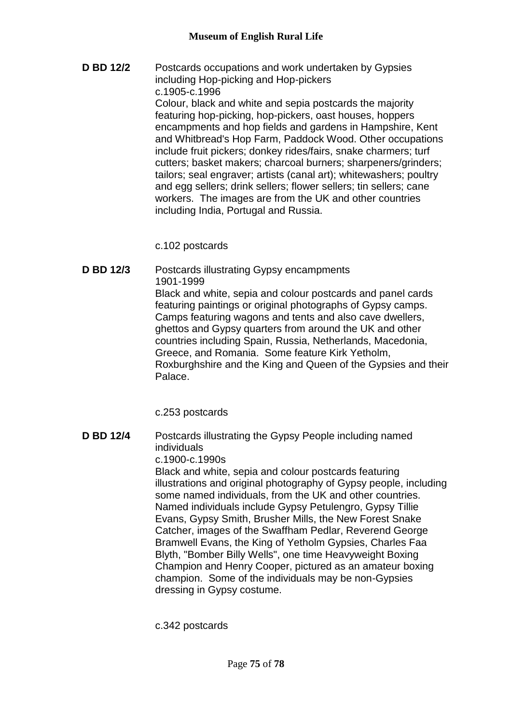**D BD 12/2** Postcards occupations and work undertaken by Gypsies including Hop-picking and Hop-pickers c.1905-c.1996 Colour, black and white and sepia postcards the majority featuring hop-picking, hop-pickers, oast houses, hoppers encampments and hop fields and gardens in Hampshire, Kent and Whitbread's Hop Farm, Paddock Wood. Other occupations include fruit pickers; donkey rides/fairs, snake charmers; turf cutters; basket makers; charcoal burners; sharpeners/grinders; tailors; seal engraver; artists (canal art); whitewashers; poultry and egg sellers; drink sellers; flower sellers; tin sellers; cane workers. The images are from the UK and other countries including India, Portugal and Russia.

c.102 postcards

**D BD 12/3** Postcards illustrating Gypsy encampments 1901-1999 Black and white, sepia and colour postcards and panel cards featuring paintings or original photographs of Gypsy camps. Camps featuring wagons and tents and also cave dwellers, ghettos and Gypsy quarters from around the UK and other countries including Spain, Russia, Netherlands, Macedonia, Greece, and Romania. Some feature Kirk Yetholm, Roxburghshire and the King and Queen of the Gypsies and their Palace.

c.253 postcards

**D BD 12/4** Postcards illustrating the Gypsy People including named individuals c.1900-c.1990s Black and white, sepia and colour postcards featuring illustrations and original photography of Gypsy people, including some named individuals, from the UK and other countries. Named individuals include Gypsy Petulengro, Gypsy Tillie Evans, Gypsy Smith, Brusher Mills, the New Forest Snake Catcher, images of the Swaffham Pedlar, Reverend George Bramwell Evans, the King of Yetholm Gypsies, Charles Faa Blyth, "Bomber Billy Wells", one time Heavyweight Boxing Champion and Henry Cooper, pictured as an amateur boxing champion. Some of the individuals may be non-Gypsies dressing in Gypsy costume.

c.342 postcards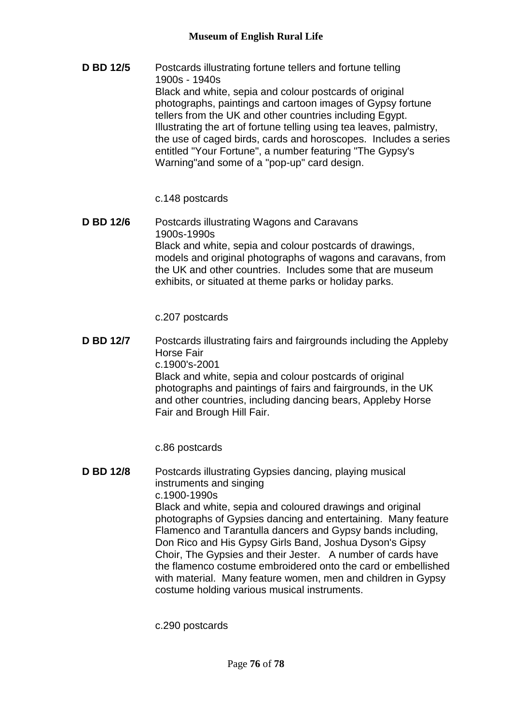**D BD 12/5** Postcards illustrating fortune tellers and fortune telling 1900s - 1940s Black and white, sepia and colour postcards of original photographs, paintings and cartoon images of Gypsy fortune tellers from the UK and other countries including Egypt. Illustrating the art of fortune telling using tea leaves, palmistry, the use of caged birds, cards and horoscopes. Includes a series entitled "Your Fortune", a number featuring "The Gypsy's Warning"and some of a "pop-up" card design.

c.148 postcards

**D BD 12/6** Postcards illustrating Wagons and Caravans 1900s-1990s Black and white, sepia and colour postcards of drawings, models and original photographs of wagons and caravans, from the UK and other countries. Includes some that are museum exhibits, or situated at theme parks or holiday parks.

c.207 postcards

**D BD 12/7** Postcards illustrating fairs and fairgrounds including the Appleby Horse Fair c.1900's-2001 Black and white, sepia and colour postcards of original photographs and paintings of fairs and fairgrounds, in the UK and other countries, including dancing bears, Appleby Horse Fair and Brough Hill Fair.

c.86 postcards

**D BD 12/8** Postcards illustrating Gypsies dancing, playing musical instruments and singing c.1900-1990s Black and white, sepia and coloured drawings and original photographs of Gypsies dancing and entertaining. Many feature Flamenco and Tarantulla dancers and Gypsy bands including, Don Rico and His Gypsy Girls Band, Joshua Dyson's Gipsy Choir, The Gypsies and their Jester. A number of cards have the flamenco costume embroidered onto the card or embellished with material. Many feature women, men and children in Gypsy costume holding various musical instruments.

c.290 postcards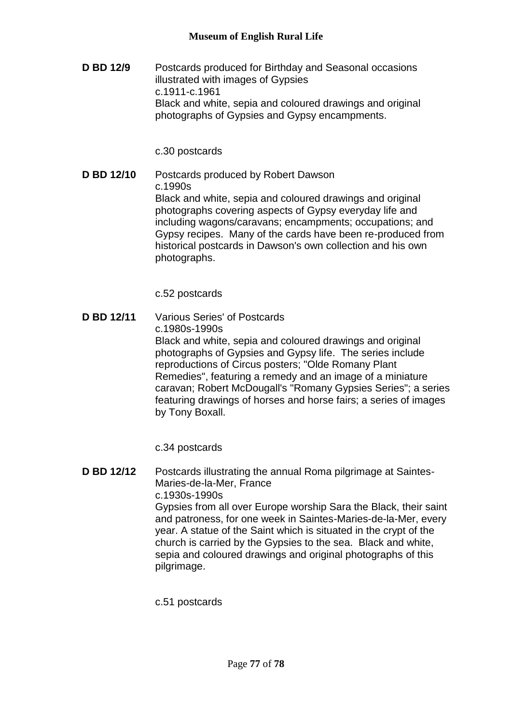**D BD 12/9** Postcards produced for Birthday and Seasonal occasions illustrated with images of Gypsies c.1911-c.1961 Black and white, sepia and coloured drawings and original photographs of Gypsies and Gypsy encampments.

## c.30 postcards

**D BD 12/10** Postcards produced by Robert Dawson c.1990s Black and white, sepia and coloured drawings and original photographs covering aspects of Gypsy everyday life and including wagons/caravans; encampments; occupations; and Gypsy recipes. Many of the cards have been re-produced from historical postcards in Dawson's own collection and his own photographs.

c.52 postcards

**D BD 12/11** Various Series' of Postcards c.1980s-1990s Black and white, sepia and coloured drawings and original photographs of Gypsies and Gypsy life. The series include reproductions of Circus posters; "Olde Romany Plant Remedies", featuring a remedy and an image of a miniature caravan; Robert McDougall's "Romany Gypsies Series"; a series featuring drawings of horses and horse fairs; a series of images by Tony Boxall.

c.34 postcards

**D BD 12/12** Postcards illustrating the annual Roma pilgrimage at Saintes-Maries-de-la-Mer, France c.1930s-1990s Gypsies from all over Europe worship Sara the Black, their saint and patroness, for one week in Saintes-Maries-de-la-Mer, every year. A statue of the Saint which is situated in the crypt of the church is carried by the Gypsies to the sea. Black and white, sepia and coloured drawings and original photographs of this pilgrimage.

c.51 postcards